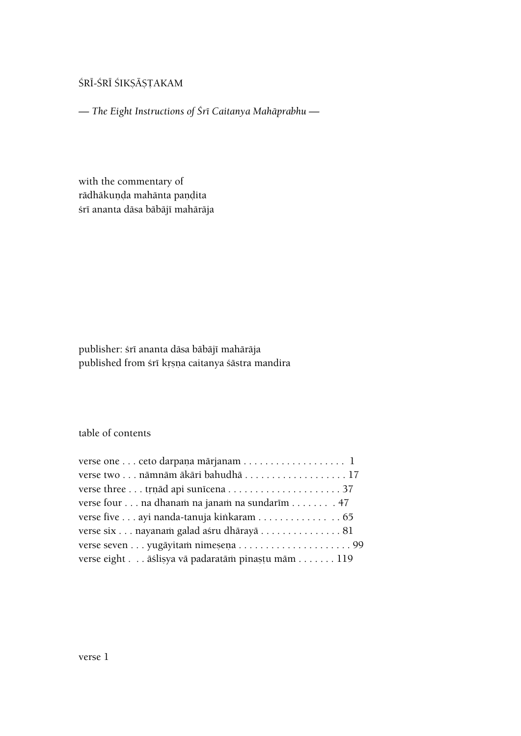# ŚRĪ-ŚRĪ ŚIKṢĀṢṬAKAM

*— The Eight Instructions of Çré Caitanya Mahäprabhu —*

with the commentary of rādhākuņda mahānta paņdita śrī ananta dāsa bābājī mahārāja

publisher: śrī ananta dāsa bābājī mahārāja published from śrī krṣṇa caitanya śāstra mandira

## table of contents

| verse one  ceto darpana mārjanam  1              |
|--------------------------------------------------|
|                                                  |
|                                                  |
| verse four na dhanam na janam na sundarim 47     |
| verse five ayi nanda-tanuja kinkaram 65          |
| verse six nayanam galad aśru dhārayā 81          |
|                                                  |
| verse eight āślisya vā padaratām pinastu mām 119 |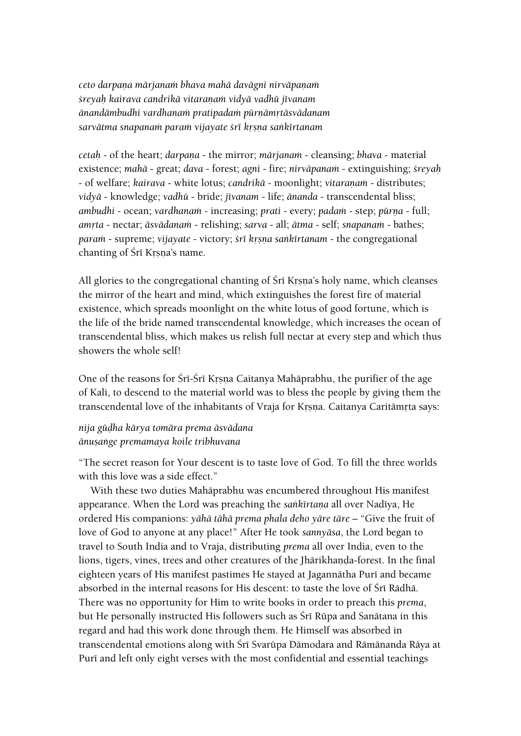*ceto darpaëa märjanaà bhava mahä davägni nirväpaëaà çreyaù kairava candrikä vitaraëaà vidyä vadhü jévanam änandämbudhi vardhanaà pratipadaà pürëämåtäsvädanam* sarvātma snapanam param vijayate *śrī krsņa sankīrtanam* 

*cetah* - of the heart; *darpana* - the mirror; *mārjanam* - cleansing; *bhava* - material existence; *mahä* - great; *dava* - forest; *agni* - fire; *nirväpanaà* - extinguishing; *çreyaù* - of welfare; *kairava* - white lotus; *candrikā* - moonlight; *vitaranam* - distributes; *vidyä* - knowledge; *vadhü* - bride; *jévanam* - life; *änanda* - transcendental bliss; *ambudhi* - ocean; *vardhanam* - increasing; *prati* - every; *padam* - step; *pūrna* - full; *amrta* - nectar; *āsvādanam* - relishing; *sarva* - all; *ātma* - self; *snapanam* - bathes; *param* - supreme; *vijayate* - victory; *śrī krsņa sankīrtanam* - the congregational chanting of Śrī Krsna's name.

All glories to the congregational chanting of Śrī Krsna's holy name, which cleanses the mirror of the heart and mind, which extinguishes the forest fire of material existence, which spreads moonlight on the white lotus of good fortune, which is the life of the bride named transcendental knowledge, which increases the ocean of transcendental bliss, which makes us relish full nectar at every step and which thus showers the whole self!

One of the reasons for Śrī-Śrī Krsņa Caitanya Mahāprabhu, the purifier of the age of Kali, to descend to the material world was to bless the people by giving them the transcendental love of the inhabitants of Vraja for Krsna. Caitanya Caritāmrta says:

*nija güòha kärya tomära prema äsvädana änuñaìge premamaya koile tribhuvana* 

"The secret reason for Your descent is to taste love of God. To fill the three worlds with this love was a side effect."

With these two duties Mahäprabhu was encumbered throughout His manifest appearance. When the Lord was preaching the *sankurtana* all over Nadiya, He ordered His companions: *yähä tähä prema phala deho yäre täre* – "Give the fruit of love of God to anyone at any place!" After He took *sannyäsa*, the Lord began to travel to South India and to Vraja, distributing *prema* all over India, even to the lions, tigers, vines, trees and other creatures of the Jhārikhanda-forest. In the final eighteen years of His manifest pastimes He stayed at Jagannātha Purī and became absorbed in the internal reasons for His descent: to taste the love of Śrī Rādhā. There was no opportunity for Him to write books in order to preach this *prema*, but He personally instructed His followers such as Śrī Rūpa and Sanātana in this regard and had this work done through them. He Himself was absorbed in transcendental emotions along with Śrī Svarūpa Dāmodara and Rāmānanda Rāya at Puri and left only eight verses with the most confidential and essential teachings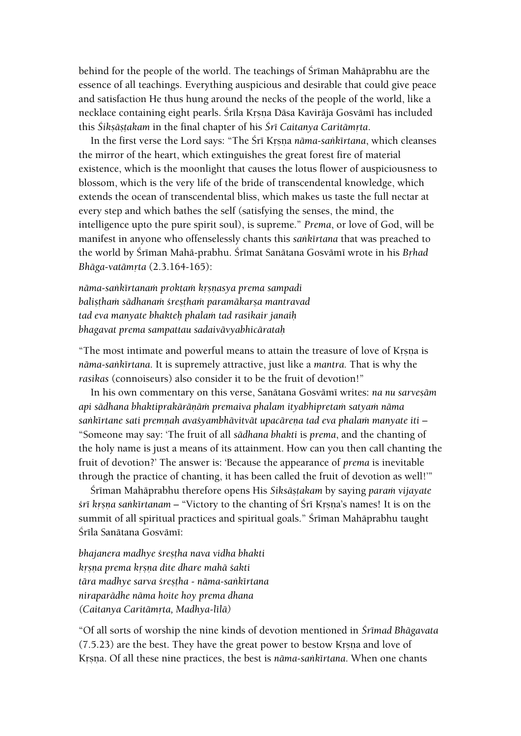behind for the people of the world. The teachings of Śrīman Mahāprabhu are the essence of all teachings. Everything auspicious and desirable that could give peace and satisfaction He thus hung around the necks of the people of the world, like a necklace containing eight pearls. Śrīla Krsna Dāsa Kavirāja Gosvāmī has included this *Śikṣāṣṭakam* in the final chapter of his *Śrī Caitanya Caritāmṛta*.

In the first verse the Lord says: "The Śrī Krsna nāma-sankīrtana, which cleanses the mirror of the heart, which extinguishes the great forest fire of material existence, which is the moonlight that causes the lotus flower of auspiciousness to blossom, which is the very life of the bride of transcendental knowledge, which extends the ocean of transcendental bliss, which makes us taste the full nectar at every step and which bathes the self (satisfying the senses, the mind, the intelligence upto the pure spirit soul), is supreme." *Prema*, or love of God, will be manifest in anyone who offenselessly chants this *saìkértana* that was preached to the world by Śrīman Mahā-prabhu. Śrīmat Sanātana Gosvāmī wrote in his *Brhad Bhäga-vatämåta* (2.3.164-165):

*näma-saìkértanaà proktaà kåñëasya prema sampadi*  balistham sādhanam śrestham paramākarsa mantravad *tad eva manyate bhakteù phalaà tad rasikair janaiù bhagavat prema sampattau sadaivävyabhicärataù*

"The most intimate and powerful means to attain the treasure of love of Krsna is *näma-saìkértana*. It is supremely attractive, just like a *mantra.* That is why the *rasikas* (connoiseurs) also consider it to be the fruit of devotion!"

In his own commentary on this verse, Sanātana Gosvāmī writes: *na nu sarvesām api sädhana bhaktiprakäräëäà premaiva phalam ityabhipretaà satyaà näma*  sankīrtane sati premņah avasyambhāvitvāt upacāreņa tad eva phalam manyate iti – "Someone may say: 'The fruit of all *sädhana bhakti* is *prema*, and the chanting of the holy name is just a means of its attainment. How can you then call chanting the fruit of devotion?' The answer is: 'Because the appearance of *prema* is inevitable through the practice of chanting, it has been called the fruit of devotion as well!'"

Śrīman Mahāprabhu therefore opens His Siksāstakam by saying *param vijayate fi* kysna sankirtanam – "Victory to the chanting of Śri Kysna's names! It is on the summit of all spiritual practices and spiritual goals." Śrīman Mahāprabhu taught Śrīla Sanātana Gosvāmī:

*bhajanera madhye çreñöha nava vidha bhakti kåñëa prema kåñëa dite dhare mahä çakti tära madhye sarva çreñöha - näma-saìkértana niraparädhe näma hoite hoy prema dhana (Caitanya Caritämåta, Madhya-lélä)* 

"Of all sorts of worship the nine kinds of devotion mentioned in *Çrémad Bhägavata*   $(7.5.23)$  are the best. They have the great power to bestow Krsna and love of Krsna. Of all these nine practices, the best is *nāma-sankīrtana*. When one chants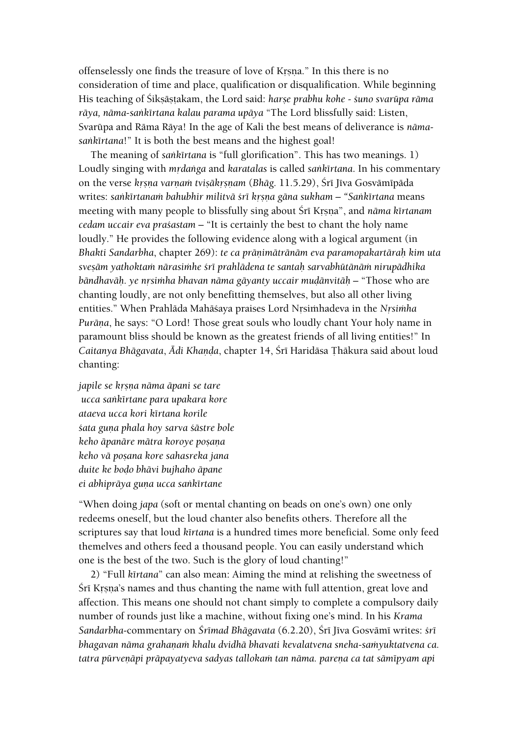offenselessly one finds the treasure of love of Krsna." In this there is no consideration of time and place, qualification or disqualification. While beginning His teaching of Śikṣāṣṭakam, the Lord said: *harṣe prabhu kohe - śuno svarūpa rāma räya, näma-saìkértana kalau parama upäya* "The Lord blissfully said: Listen, Svarüpa and Räma Räya! In the age of Kali the best means of deliverance is *näma*sankirtana!" It is both the best means and the highest goal!

The meaning of *saìkértana* is "full glorification". This has two meanings. 1) Loudly singing with *mrdanga* and *karatalas* is called *sankirtana*. In his commentary on the verse *krsna varnam tviṣākṛṣnam* (Bhāg. 11.5.29), Śrī Jīva Gosvāmīpāda writes: *saìkértanaà bahubhir militvä çré kåñëa gäna sukham – "Saìkértana* means meeting with many people to blissfully sing about *Sri Krsna*", and *näma kirtanam cedam uccair eva praçastam* – "It is certainly the best to chant the holy name loudly." He provides the following evidence along with a logical argument (in *Bhakti Sandarbha*, chapter 269): *te ca präëimätränäm eva paramopakartäraù kim uta sveñäm yathoktaà närasiàhe çré prahlädena te santaù sarvabhütänäà nirupädhika bāndhavāḥ*. ye nrsimha bhavan nāma gāyanty uccair muḍānvitāḥ – "Those who are chanting loudly, are not only benefitting themselves, but also all other living entities." When Prahläda Mahäçaya praises Lord Nåsiàhadeva in the *Nåsiàha Purāna*, he says: "O Lord! Those great souls who loudly chant Your holy name in paramount bliss should be known as the greatest friends of all living entities!" In *Caitanya Bhāgavata, Ādi Khanda, chapter 14, Śrī Haridāsa Thākura said about loud* chanting:

*japile se krsna nāma āpani se tare ucca saìkértane para upakara kore ataeva ucca kori kértana korile çata guëa phala hoy sarva çästre bole keho āpanāre mātra koroye posana keho vä poñana kore sahasreka jana duite ke boòo bhävi bujhaho äpane*  $e$ *i abhiprāya guņa ucca sankīrtane* 

"When doing *japa* (soft or mental chanting on beads on one's own) one only redeems oneself, but the loud chanter also benefits others. Therefore all the scriptures say that loud *kīrtana* is a hundred times more beneficial. Some only feed themelves and others feed a thousand people. You can easily understand which one is the best of the two. Such is the glory of loud chanting!"

2) "Full *kértana*" can also mean: Aiming the mind at relishing the sweetness of Śrī Krsna's names and thus chanting the name with full attention, great love and affection. This means one should not chant simply to complete a compulsory daily number of rounds just like a machine, without fixing one's mind. In his *Krama Sandarbha*-commentary on *Çrémad Bhägavata* (6.2.20), Çré Jéva Gosvämé writes: *çré*  bhagavan nāma grahaņam khalu dvidhā bhavati kevalatvena sneha-samyuktatvena ca. tatra pūrveņāpi prāpayatyeva sadyas tallokam tan nāma. pareņa ca tat sāmīpyam api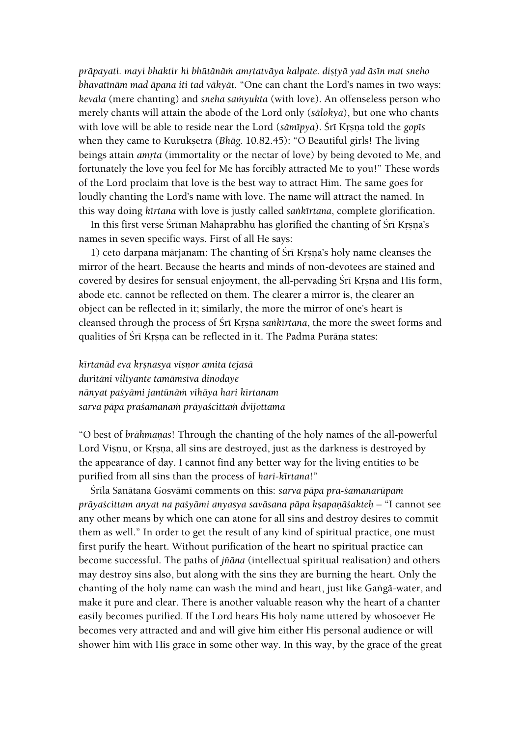*präpayati. mayi bhaktir hi bhütänäà amåtatväya kalpate. diñöyä yad äsén mat sneho bhavaténäm mad äpana iti tad väkyät.* "One can chant the Lord's names in two ways: *kevala* (mere chanting) and *sneha samyukta* (with love). An offenseless person who merely chants will attain the abode of the Lord only (*sälokya*), but one who chants with love will be able to reside near the Lord (sāmīpya). Śrī Krsņa told the gopīs when they came to Kurukṣetra (*Bhāg. 10.82.45*): "O Beautiful girls! The living beings attain *amrta* (immortality or the nectar of love) by being devoted to Me, and fortunately the love you feel for Me has forcibly attracted Me to you!" These words of the Lord proclaim that love is the best way to attract Him. The same goes for loudly chanting the Lord's name with love. The name will attract the named. In this way doing *kértana* with love is justly called *saìkértana*, complete glorification.

In this first verse Śrīman Mahāprabhu has glorified the chanting of Śrī Krsna's names in seven specific ways. First of all He says:

1) ceto darpana märjanam: The chanting of Śrī Krsna's holy name cleanses the mirror of the heart. Because the hearts and minds of non-devotees are stained and covered by desires for sensual enjoyment, the all-pervading Śrī Krsna and His form, abode etc. cannot be reflected on them. The clearer a mirror is, the clearer an object can be reflected in it; similarly, the more the mirror of one's heart is cleansed through the process of Śrī Krsna *sankīrtana*, the more the sweet forms and qualities of Śrī Krsņa can be reflected in it. The Padma Purāņa states:

*kértanäd eva kåñëasya viñëor amita tejasä duritäni viléyante tamäàséva dinodaye nänyat paçyämi jantünäà vihäya hari kértanam sarva päpa praçamanaà präyaçcittaà dvijottama*

"O best of *brähmaëas*! Through the chanting of the holy names of the all-powerful Lord Visnu, or Krsna, all sins are destroyed, just as the darkness is destroyed by the appearance of day. I cannot find any better way for the living entities to be purified from all sins than the process of *hari-kértana*!"

Śrīla Sanātana Gosvāmī comments on this: *sarva pāpa pra-śamanarūpam prāyaścittam anyat na paśyāmi anyasya savāsana pāpa kṣapaṇāśakteḥ* – "I cannot see any other means by which one can atone for all sins and destroy desires to commit them as well." In order to get the result of any kind of spiritual practice, one must first purify the heart. Without purification of the heart no spiritual practice can become successful. The paths of *jïäna* (intellectual spiritual realisation) and others may destroy sins also, but along with the sins they are burning the heart. Only the chanting of the holy name can wash the mind and heart, just like Gangā-water, and make it pure and clear. There is another valuable reason why the heart of a chanter easily becomes purified. If the Lord hears His holy name uttered by whosoever He becomes very attracted and and will give him either His personal audience or will shower him with His grace in some other way. In this way, by the grace of the great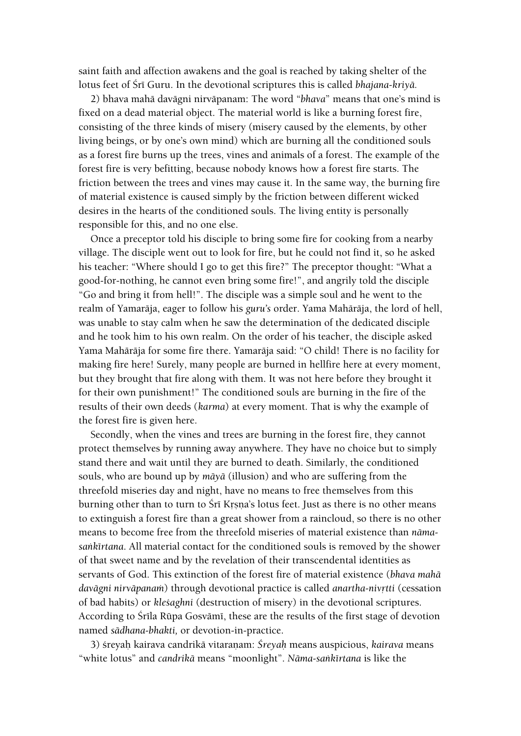saint faith and affection awakens and the goal is reached by taking shelter of the lotus feet of Śrī Guru. In the devotional scriptures this is called *bhajana-kriyā*.

2) bhava mahä davägni nirväpanam: The word "*bhava*" means that one's mind is fixed on a dead material object. The material world is like a burning forest fire, consisting of the three kinds of misery (misery caused by the elements, by other living beings, or by one's own mind) which are burning all the conditioned souls as a forest fire burns up the trees, vines and animals of a forest. The example of the forest fire is very befitting, because nobody knows how a forest fire starts. The friction between the trees and vines may cause it. In the same way, the burning fire of material existence is caused simply by the friction between different wicked desires in the hearts of the conditioned souls. The living entity is personally responsible for this, and no one else.

Once a preceptor told his disciple to bring some fire for cooking from a nearby village. The disciple went out to look for fire, but he could not find it, so he asked his teacher: "Where should I go to get this fire?" The preceptor thought: "What a good-for-nothing, he cannot even bring some fire!", and angrily told the disciple "Go and bring it from hell!". The disciple was a simple soul and he went to the realm of Yamaräja, eager to follow his *guru's* order. Yama Mahäräja, the lord of hell, was unable to stay calm when he saw the determination of the dedicated disciple and he took him to his own realm. On the order of his teacher, the disciple asked Yama Mahäräja for some fire there. Yamaräja said: "O child! There is no facility for making fire here! Surely, many people are burned in hellfire here at every moment, but they brought that fire along with them. It was not here before they brought it for their own punishment!" The conditioned souls are burning in the fire of the results of their own deeds (*karma*) at every moment. That is why the example of the forest fire is given here.

Secondly, when the vines and trees are burning in the forest fire, they cannot protect themselves by running away anywhere. They have no choice but to simply stand there and wait until they are burned to death. Similarly, the conditioned souls, who are bound up by *mäyä* (illusion) and who are suffering from the threefold miseries day and night, have no means to free themselves from this burning other than to turn to Śrī Krsna's lotus feet. Just as there is no other means to extinguish a forest fire than a great shower from a raincloud, so there is no other means to become free from the threefold miseries of material existence than *nämasaìkértana*. All material contact for the conditioned souls is removed by the shower of that sweet name and by the revelation of their transcendental identities as servants of God. This extinction of the forest fire of material existence (*bhava mahä*  davāgni nirvāpanam) through devotional practice is called anartha-nivrtti (cessation of bad habits) or *kleçaghni* (destruction of misery) in the devotional scriptures. According to Śrīla Rūpa Gosvāmī, these are the results of the first stage of devotion named *sädhana-bhakti,* or devotion-in-practice.

3) çreyaù kairava candrikä vitaraëam: *Çreyaù* means auspicious, *kairava* means "white lotus" and *candrikā* means "moonlight". *Nāma-sankīrtana* is like the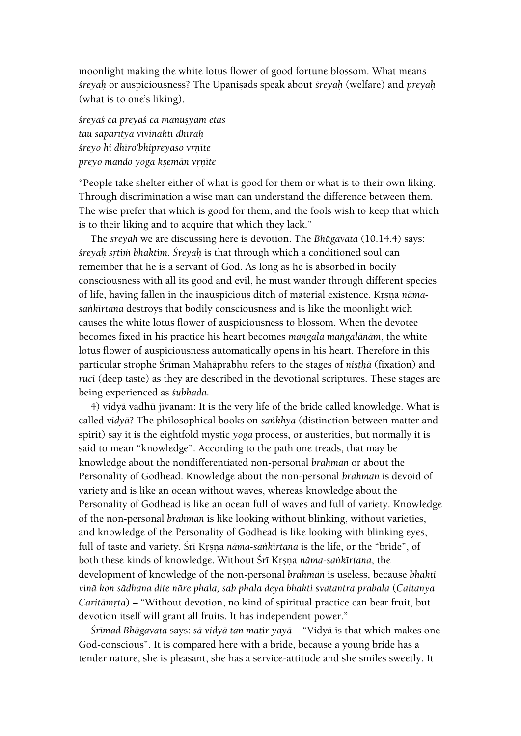moonlight making the white lotus flower of good fortune blossom. What means *çreyaù* or auspiciousness? The Upaniñads speak about *çreyaù* (welfare) and *preyaù* (what is to one's liking).

*çreyaç ca preyaç ca manuñyam etas tau saparétya vivinakti dhéraù śreyo hi dhīro'bhipreyaso vrnīte preyo mando yoga ksemän vrnīte* 

"People take shelter either of what is good for them or what is to their own liking. Through discrimination a wise man can understand the difference between them. The wise prefer that which is good for them, and the fools wish to keep that which is to their liking and to acquire that which they lack."

The *sreyah* we are discussing here is devotion. The *Bhägavata* (10.14.4) says: *çreyaù såtià bhaktim. Çreyaù* is that through which a conditioned soul can remember that he is a servant of God. As long as he is absorbed in bodily consciousness with all its good and evil, he must wander through different species of life, having fallen in the inauspicious ditch of material existence. Krsna *nāma*sankīrtana destroys that bodily consciousness and is like the moonlight wich causes the white lotus flower of auspiciousness to blossom. When the devotee becomes fixed in his practice his heart becomes *maìgala maìgalänäm*, the white lotus flower of auspiciousness automatically opens in his heart. Therefore in this particular strophe Śrīman Mahāprabhu refers to the stages of *nisthā* (fixation) and *ruci* (deep taste) as they are described in the devotional scriptures. These stages are being experienced as *çubhada*.

4) vidyā vadhū jīvanam: It is the very life of the bride called knowledge. What is called *vidyä*? The philosophical books on *saìkhya* (distinction between matter and spirit) say it is the eightfold mystic *yoga* process, or austerities, but normally it is said to mean "knowledge". According to the path one treads, that may be knowledge about the nondifferentiated non-personal *brahman* or about the Personality of Godhead. Knowledge about the non-personal *brahman* is devoid of variety and is like an ocean without waves, whereas knowledge about the Personality of Godhead is like an ocean full of waves and full of variety. Knowledge of the non-personal *brahman* is like looking without blinking, without varieties, and knowledge of the Personality of Godhead is like looking with blinking eyes, full of taste and variety. Srī Krsņa *nāma-sankīrtana* is the life, or the "bride", of both these kinds of knowledge. Without Śrī Krsna nāma-sankīrtana, the development of knowledge of the non-personal *brahman* is useless, because *bhakti vinä kon sädhana dite näre phala, sab phala deya bhakti svatantra prabala* (*Caitanya Caritāmrta*) – "Without devotion, no kind of spiritual practice can bear fruit, but devotion itself will grant all fruits. It has independent power."

*Çrémad Bhägavata* says: *sä vidyä tan matir yayä* – "Vidyä is that which makes one God-conscious". It is compared here with a bride, because a young bride has a tender nature, she is pleasant, she has a service-attitude and she smiles sweetly. It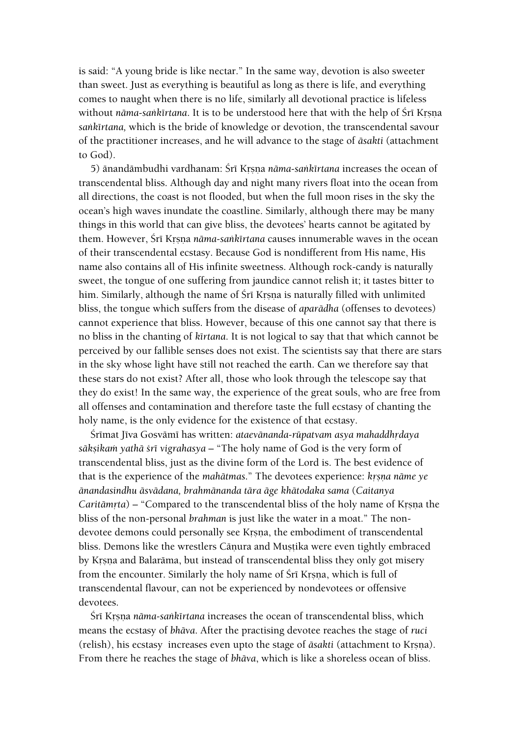is said: "A young bride is like nectar." In the same way, devotion is also sweeter than sweet. Just as everything is beautiful as long as there is life, and everything comes to naught when there is no life, similarly all devotional practice is lifeless without *nāma-sankīrtana*. It is to be understood here that with the help of Śrī Krsna *saìkértana,* which is the bride of knowledge or devotion, the transcendental savour of the practitioner increases, and he will advance to the stage of *äsakti* (attachment to God).

5) änandämbudhi vardhanam: Śrī Krsna nāma-saṅkīrtana increases the ocean of transcendental bliss. Although day and night many rivers float into the ocean from all directions, the coast is not flooded, but when the full moon rises in the sky the ocean's high waves inundate the coastline. Similarly, although there may be many things in this world that can give bliss, the devotees' hearts cannot be agitated by them. However, Śrī Krsna *nāma-sankīrtana* causes innumerable waves in the ocean of their transcendental ecstasy. Because God is nondifferent from His name, His name also contains all of His infinite sweetness. Although rock-candy is naturally sweet, the tongue of one suffering from jaundice cannot relish it; it tastes bitter to him. Similarly, although the name of Sri Krsna is naturally filled with unlimited bliss, the tongue which suffers from the disease of *aparädha* (offenses to devotees) cannot experience that bliss. However, because of this one cannot say that there is no bliss in the chanting of *kértana*. It is not logical to say that that which cannot be perceived by our fallible senses does not exist. The scientists say that there are stars in the sky whose light have still not reached the earth. Can we therefore say that these stars do not exist? After all, those who look through the telescope say that they do exist! In the same way, the experience of the great souls, who are free from all offenses and contamination and therefore taste the full ecstasy of chanting the holy name, is the only evidence for the existence of that ecstasy.

Śrīmat Jīva Gosvāmī has written: *ataevānanda-rūpatvam asya mahaddhrdaya sāksikam yathā śrī vigrahasya* – "The holy name of God is the very form of transcendental bliss, just as the divine form of the Lord is. The best evidence of that is the experience of the *mahātmas*." The devotees experience: *krsna nāme ye änandasindhu äsvädana, brahmänanda tära äge khätodaka sama* (*Caitanya Caritāmrta*) – "Compared to the transcendental bliss of the holy name of Krsna the bliss of the non-personal *brahman* is just like the water in a moat." The nondevotee demons could personally see Krsna, the embodiment of transcendental bliss. Demons like the wrestlers Cāņura and Muștika were even tightly embraced by Krsna and Balarāma, but instead of transcendental bliss they only got misery from the encounter. Similarly the holy name of Śrī Krsna, which is full of transcendental flavour, can not be experienced by nondevotees or offensive devotees.

Śrī Krsna *nāma-saṅkīrtana* increases the ocean of transcendental bliss, which means the ecstasy of *bhäva*. After the practising devotee reaches the stage of *ruci* (relish), his ecstasy increases even upto the stage of *āsakti* (attachment to Krsna). From there he reaches the stage of *bhäva*, which is like a shoreless ocean of bliss.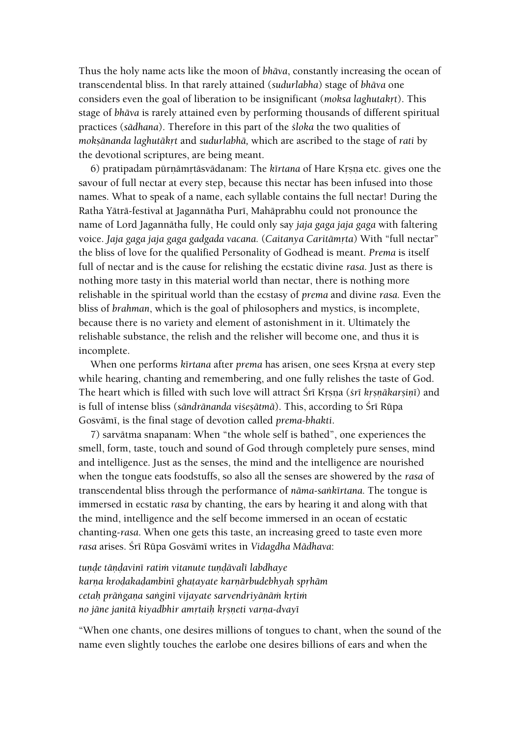Thus the holy name acts like the moon of *bhäva*, constantly increasing the ocean of transcendental bliss. In that rarely attained (*sudurlabha*) stage of *bhäva* one considers even the goal of liberation to be insignificant (*moksa laghutakrt*). This stage of *bhäva* is rarely attained even by performing thousands of different spiritual practices (*sädhana*). Therefore in this part of the *çloka* the two qualities of *moksānanda laghutākrt* and *sudurlabhā*, which are ascribed to the stage of *rati* by the devotional scriptures, are being meant.

6) pratipadam pūrnāmrtāsvādanam: The *kīrtana* of Hare Krsna etc. gives one the savour of full nectar at every step, because this nectar has been infused into those names. What to speak of a name, each syllable contains the full nectar! During the Ratha Yātrā-festival at Jagannātha Purī, Mahāprabhu could not pronounce the name of Lord Jagannätha fully, He could only say *jaja gaga jaja gaga* with faltering voice. *Jaja gaga jaja gaga gadgada vacana.* (*Caitanya Caritāmrta*) With "full nectar" the bliss of love for the qualified Personality of Godhead is meant. *Prema* is itself full of nectar and is the cause for relishing the ecstatic divine *rasa*. Just as there is nothing more tasty in this material world than nectar, there is nothing more relishable in the spiritual world than the ecstasy of *prema* and divine *rasa.* Even the bliss of *brahman*, which is the goal of philosophers and mystics, is incomplete, because there is no variety and element of astonishment in it. Ultimately the relishable substance, the relish and the relisher will become one, and thus it is incomplete.

When one performs *kīrtana* after *prema* has arisen, one sees Krsna at every step while hearing, chanting and remembering, and one fully relishes the taste of God. The heart which is filled with such love will attract Śrī Krsna (*śrī krsnākarsinī*) and is full of intense bliss (*sāndrānanda višesātmā*). This, according to Śrī Rūpa Gosvāmī, is the final stage of devotion called *prema-bhakti*.

7) sarvätma snapanam: When "the whole self is bathed", one experiences the smell, form, taste, touch and sound of God through completely pure senses, mind and intelligence. Just as the senses, the mind and the intelligence are nourished when the tongue eats foodstuffs, so also all the senses are showered by the *rasa* of transcendental bliss through the performance of *näma-saìkértana.* The tongue is immersed in ecstatic *rasa* by chanting, the ears by hearing it and along with that the mind, intelligence and the self become immersed in an ocean of ecstatic chanting*-rasa*. When one gets this taste, an increasing greed to taste even more *rasa* arises. Çré Rüpa Gosvämé writes in *Vidagdha Mädhava*:

tunde tāndavinī ratim vitanute tundāvalī labdhaye *karna krodakadambini ghatayate karnārbudebhyah sprhām cetaù präìgaëa saìginé vijayate sarvendriyänäà kåtià no jäne janitä kiyadbhir amåtaiù kåñëeti varëa-dvayé*

"When one chants, one desires millions of tongues to chant, when the sound of the name even slightly touches the earlobe one desires billions of ears and when the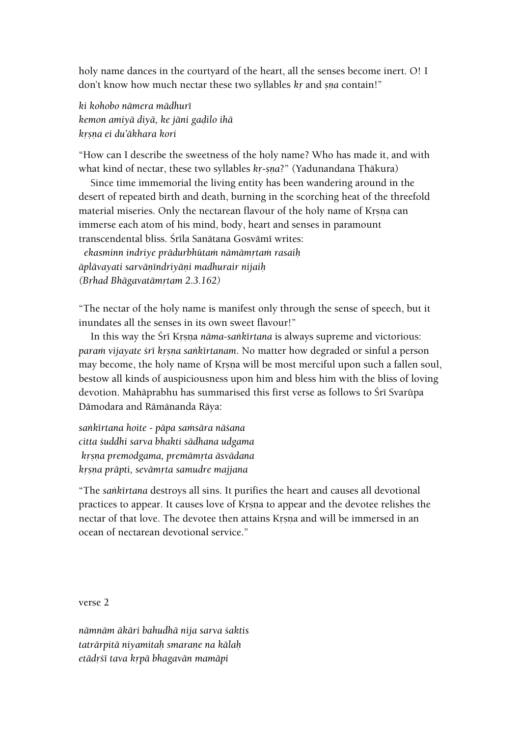holy name dances in the courtyard of the heart, all the senses become inert. O! I don't know how much nectar these two syllables *kr* and *sna* contain!"

*ki kohobo nämera mädhuré kemon amiyä diyä, ke jäni gaòilo ihä kåñëa ei du'äkhara kori*

"How can I describe the sweetness of the holy name? Who has made it, and with what kind of nectar, these two syllables *kr-sna?*" (Yadunandana Thākura)

Since time immemorial the living entity has been wandering around in the desert of repeated birth and death, burning in the scorching heat of the threefold material miseries. Only the nectarean flavour of the holy name of Krsna can immerse each atom of his mind, body, heart and senses in paramount transcendental bliss. Śrīla Sanātana Gosvāmī writes:

 *ekasminn indriye prädurbhütaà nämämåtaà rasaiù äplävayati sarväëéndriyäëi madhurair nijaiù (Båhad Bhägavatämåtam 2.3.162)*

"The nectar of the holy name is manifest only through the sense of speech, but it inundates all the senses in its own sweet flavour!"

In this way the *Śrī Krsna nāma-sankīrtana* is always supreme and victorious: *param vijayate śrī krsna sankīrtanam*. No matter how degraded or sinful a person may become, the holy name of Krsna will be most merciful upon such a fallen soul, bestow all kinds of auspiciousness upon him and bless him with the bliss of loving devotion. Mahāprabhu has summarised this first verse as follows to Śrī Svarūpa Dämodara and Rämänanda Räya:

*saìkértana hoite - päpa saàsära näçana citta çuddhi sarva bhakti sädhana udgama kåñëa premodgama, premämåta äsvädana kåñëa präpti, sevämåta samudre majjana*

"The *saìkértana* destroys all sins. It purifies the heart and causes all devotional practices to appear. It causes love of Krsna to appear and the devotee relishes the nectar of that love. The devotee then attains Krsna and will be immersed in an ocean of nectarean devotional service."

verse 2

*nämnäm äkäri bahudhä nija sarva çaktis taträrpitä niyamitaù smaraëe na kälaù etädåçé tava kåpä bhagavän mamäpi*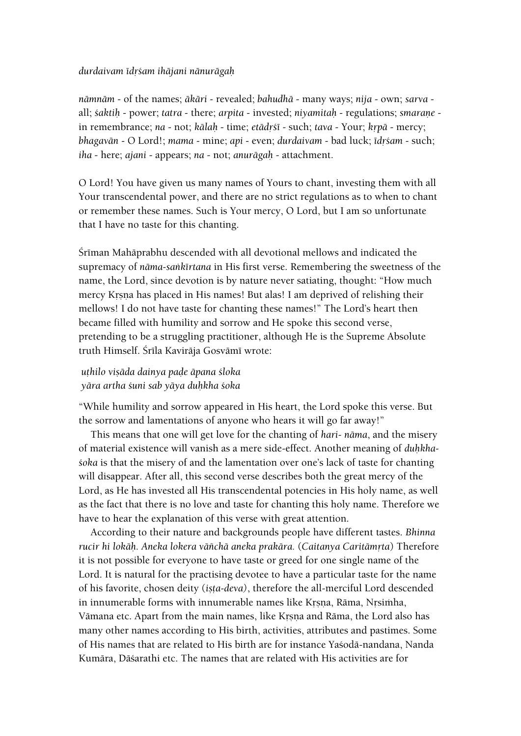#### *durdaivam édåçam ihäjani nänurägaù*

*nämnäm* - of the names; *äkäri -* revealed; *bahudhä* - many ways; *nija* - own; *sarva* all; *çaktiù* - power; *tatra* - there; *arpita* - invested; *niyamitaù* - regulations; *smaraëe* in remembrance; *na* - not; *kālah* - time; *etādrśī* - such; *tava* - Your; *krpā* - mercy; *bhagavān* - O Lord!; *mama* - mine; *api* - even; *durdaivam* - bad luck; *īdrśam* - such; *iha* - here; *ajani* - appears; *na* - not; *anurägaù* - attachment.

O Lord! You have given us many names of Yours to chant, investing them with all Your transcendental power, and there are no strict regulations as to when to chant or remember these names. Such is Your mercy, O Lord, but I am so unfortunate that I have no taste for this chanting.

Śrīman Mahāprabhu descended with all devotional mellows and indicated the supremacy of *näma-saìkértana* in His first verse. Remembering the sweetness of the name, the Lord, since devotion is by nature never satiating, thought: "How much mercy Krsna has placed in His names! But alas! I am deprived of relishing their mellows! I do not have taste for chanting these names!" The Lord's heart then became filled with humility and sorrow and He spoke this second verse, pretending to be a struggling practitioner, although He is the Supreme Absolute truth Himself. Śrīla Kavirāja Gosvāmī wrote:

## *uöhilo viñäda dainya paòe äpana çloka yära artha çuni sab yäya duùkha çoka*

"While humility and sorrow appeared in His heart, the Lord spoke this verse. But the sorrow and lamentations of anyone who hears it will go far away!"

This means that one will get love for the chanting of *hari- näma*, and the misery of material existence will vanish as a mere side-effect. Another meaning of *duhkhaçoka* is that the misery of and the lamentation over one's lack of taste for chanting will disappear. After all, this second verse describes both the great mercy of the Lord, as He has invested all His transcendental potencies in His holy name, as well as the fact that there is no love and taste for chanting this holy name. Therefore we have to hear the explanation of this verse with great attention.

According to their nature and backgrounds people have different tastes. *Bhinna rucir hi lokāḥ. Aneka lokera vāñchā aneka prakāra.* (*Caitanya Caritāmṛta*) Therefore it is not possible for everyone to have taste or greed for one single name of the Lord. It is natural for the practising devotee to have a particular taste for the name of his favorite, chosen deity (*iñöa-deva)*, therefore the all-merciful Lord descended in innumerable forms with innumerable names like Krsna, Rāma, Nrsimha, Vāmana etc. Apart from the main names, like Krsna and Rāma, the Lord also has many other names according to His birth, activities, attributes and pastimes. Some of His names that are related to His birth are for instance Yaçodä-nandana, Nanda Kumära, Däçarathi etc. The names that are related with His activities are for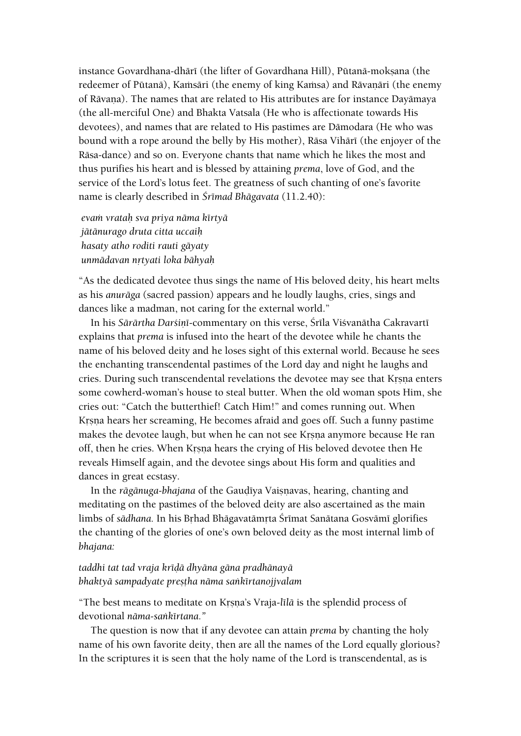instance Govardhana-dhārī (the lifter of Govardhana Hill), Pūtanā-moksana (the redeemer of Pūtanā), Kamsāri (the enemy of king Kamsa) and Rāvanāri (the enemy of Rāvana). The names that are related to His attributes are for instance Dayāmaya (the all-merciful One) and Bhakta Vatsala (He who is affectionate towards His devotees), and names that are related to His pastimes are Dämodara (He who was bound with a rope around the belly by His mother), Rāsa Vihārī (the enjoyer of the Räsa-dance) and so on. Everyone chants that name which he likes the most and thus purifies his heart and is blessed by attaining *prema*, love of God, and the service of the Lord's lotus feet. The greatness of such chanting of one's favorite name is clearly described in *Śrīmad Bhāgavata* (11.2.40):

*evaà vrataù sva priya näma kértyä jätänurago druta citta uccaiù hasaty atho roditi rauti gäyaty unmädavan nåtyati loka bähyaù*

"As the dedicated devotee thus sings the name of His beloved deity, his heart melts as his *anuräga* (sacred passion) appears and he loudly laughs, cries, sings and dances like a madman, not caring for the external world."

In his *Sārārtha Darśinī-commentary on this verse, Śrīla Viśvanātha Cakravartī* explains that *prema* is infused into the heart of the devotee while he chants the name of his beloved deity and he loses sight of this external world. Because he sees the enchanting transcendental pastimes of the Lord day and night he laughs and cries. During such transcendental revelations the devotee may see that Krsna enters some cowherd-woman's house to steal butter. When the old woman spots Him, she cries out: "Catch the butterthief! Catch Him!" and comes running out. When Krsna hears her screaming, He becomes afraid and goes off. Such a funny pastime makes the devotee laugh, but when he can not see Krsna anymore because He ran off, then he cries. When Krsna hears the crying of His beloved devotee then He reveals Himself again, and the devotee sings about His form and qualities and dances in great ecstasy.

In the *rāgānuga-bhajana* of the Gaudīya Vaisnavas, hearing, chanting and meditating on the pastimes of the beloved deity are also ascertained as the main limbs of *sādhana*. In his Brhad Bhāgavatāmrta Śrīmat Sanātana Gosvāmī glorifies the chanting of the glories of one's own beloved deity as the most internal limb of *bhajana:*

#### *taddhi tat tad vraja kréòä dhyäna gäna pradhänayä bhaktyä sampadyate preñöha näma saìkértanojjvalam*

"The best means to meditate on Krsna's Vraja-*līlā* is the splendid process of devotional *näma-saìkértana."*

The question is now that if any devotee can attain *prema* by chanting the holy name of his own favorite deity, then are all the names of the Lord equally glorious? In the scriptures it is seen that the holy name of the Lord is transcendental, as is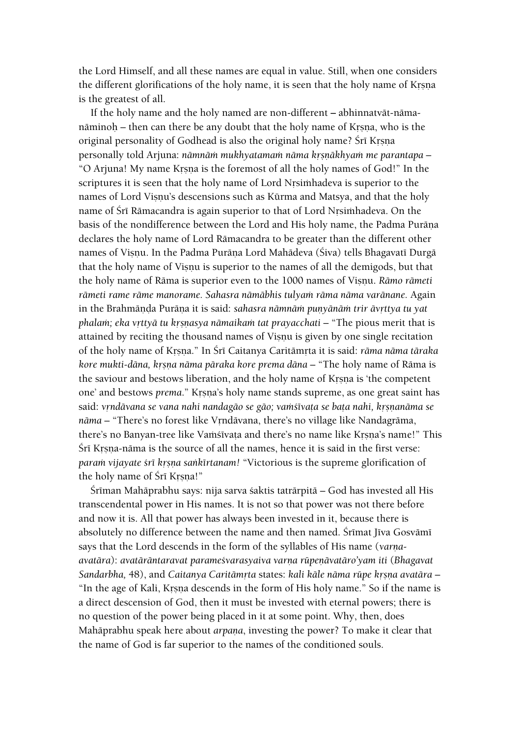the Lord Himself, and all these names are equal in value. Still, when one considers the different glorifications of the holy name, it is seen that the holy name of Krsna is the greatest of all.

If the holy name and the holy named are non-different **–** abhinnatvät-nämanāminoḥ – then can there be any doubt that the holy name of Kṛṣṇa, who is the original personality of Godhead is also the original holy name? Śrī Krsna personally told Arjuna: *nāmnām mukhyatamam nāma krsnākhyam me parantapa* – "O Arjuna! My name Krsna is the foremost of all the holy names of God!" In the scriptures it is seen that the holy name of Lord Nrsimhadeva is superior to the names of Lord Visnu's descensions such as Kūrma and Matsya, and that the holy name of Śrī Rāmacandra is again superior to that of Lord Nrsimhadeva. On the basis of the nondifference between the Lord and His holy name, the Padma Purāna declares the holy name of Lord Rämacandra to be greater than the different other names of Visnu. In the Padma Purāņa Lord Mahādeva (Śiva) tells Bhagavatī Durgā that the holy name of Visnu is superior to the names of all the demigods, but that the holy name of Rāma is superior even to the 1000 names of Visnu. *Rāmo rāmeti* rāmeti rame rāme manorame. Sahasra nāmābhis tulyam rāma nāma varānane. Again in the Brahmända Puräna it is said: *sahasra nämnäm punyänäm trir ävrttya tu yat phalam; eka vrttyā tu krsnasya nāmaikam tat prayacchati –* "The pious merit that is attained by reciting the thousand names of Visnu is given by one single recitation of the holy name of Krsna." In Śrī Caitanya Caritāmrta it is said: *rāma nāma tāraka kore mukti-dāna, krsna nāma pāraka kore prema dāna –* "The holy name of Rāma is the saviour and bestows liberation, and the holy name of Krsna is 'the competent one' and bestows *prema*." Krsna's holy name stands supreme, as one great saint has said: *vrndāvana se vana nahi nandagāo se gāo*; vamšīvata se bata nahi, krsnanāma se nāma – "There's no forest like Vrndāvana, there's no village like Nandagrāma, there's no Banyan-tree like Vamstvata and there's no name like Krsna's name!" This Śrī Krsna-nāma is the source of all the names, hence it is said in the first verse: param vijayate *śrī krsņa sankīrtanam!* "Victorious is the supreme glorification of the holy name of Śrī Krsna!"

Śrīman Mahāprabhu says: nija sarva śaktis tatrārpitā – God has invested all His transcendental power in His names. It is not so that power was not there before and now it is. All that power has always been invested in it, because there is absolutely no difference between the name and then named. Śrīmat Jīva Gosvāmī says that the Lord descends in the form of the syllables of His name (*varnaavatāra*): *avatārāntaravat parameśvarasyaiva varna rūpenāvatāro'yam iti (Bhagavat Sandarbha, 48), and Caitanya Caritāmṛta states: kali kāle nāma rūpe kṛṣṇa avatāra –* "In the age of Kali, Krsna descends in the form of His holy name." So if the name is a direct descension of God, then it must be invested with eternal powers; there is no question of the power being placed in it at some point. Why, then, does Mahāprabhu speak here about *arpana*, investing the power? To make it clear that the name of God is far superior to the names of the conditioned souls.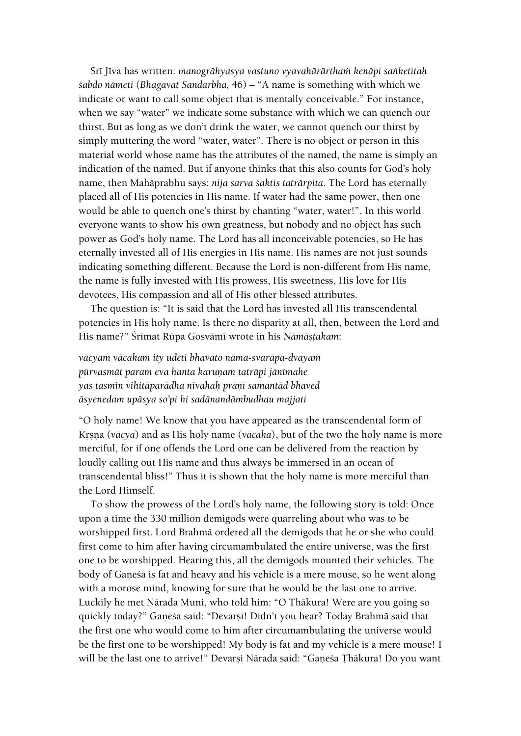Śrī Jīva has written: *manogrāhyasya vastuno vyavahārārtham kenāpi sanketitah çabdo nämeti* (*Bhagavat Sandarbha,* 46) – "A name is something with which we indicate or want to call some object that is mentally conceivable." For instance, when we say "water" we indicate some substance with which we can quench our thirst. But as long as we don't drink the water, we cannot quench our thirst by simply muttering the word "water, water". There is no object or person in this material world whose name has the attributes of the named, the name is simply an indication of the named. But if anyone thinks that this also counts for God's holy name, then Mahäprabhu says: *nija sarva çaktis taträrpita*. The Lord has eternally placed all of His potencies in His name. If water had the same power, then one would be able to quench one's thirst by chanting "water, water!". In this world everyone wants to show his own greatness, but nobody and no object has such power as God's holy name. The Lord has all inconceivable potencies, so He has eternally invested all of His energies in His name. His names are not just sounds indicating something different. Because the Lord is non-different from His name, the name is fully invested with His prowess, His sweetness, His love for His devotees, His compassion and all of His other blessed attributes.

The question is: "It is said that the Lord has invested all His transcendental potencies in His holy name. Is there no disparity at all, then, between the Lord and His name?" Śrīmat Rūpa Gosvāmī wrote in his *Nāmāṣṭakam*:

*väcyaà väcakam ity udeti bhavato näma-svaräpa-dvayaà pürvasmät param eva hanta karuëaà taträpi jänémahe yas tasmin vihitäparädha nivahaù präëé samantäd bhaved äsyenedam upäsya so'pi hi sadänandämbudhau majjati* 

"O holy name! We know that you have appeared as the transcendental form of Krsna (*vācya*) and as His holy name (*vācaka*), but of the two the holy name is more merciful, for if one offends the Lord one can be delivered from the reaction by loudly calling out His name and thus always be immersed in an ocean of transcendental bliss!" Thus it is shown that the holy name is more merciful than the Lord Himself.

To show the prowess of the Lord's holy name, the following story is told: Once upon a time the 330 million demigods were quarreling about who was to be worshipped first. Lord Brahmä ordered all the demigods that he or she who could first come to him after having circumambulated the entire universe, was the first one to be worshipped. Hearing this, all the demigods mounted their vehicles. The body of Ganesa is fat and heavy and his vehicle is a mere mouse, so he went along with a morose mind, knowing for sure that he would be the last one to arrive. Luckily he met Nārada Muni, who told him: "O Thākura! Were are you going so quickly today?" Ganeśa said: "Devarsi! Didn't you hear? Today Brahmā said that the first one who would come to him after circumambulating the universe would be the first one to be worshipped! My body is fat and my vehicle is a mere mouse! I will be the last one to arrive!" Devarși Nārada said: "Gaņeśa Țhākura! Do you want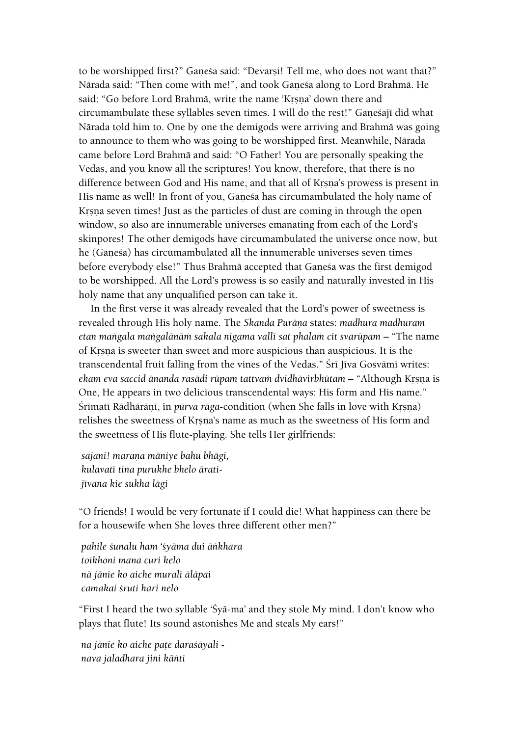to be worshipped first?" Ganesa said: "Devarsi! Tell me, who does not want that?" Nārada said: "Then come with me!", and took Ganeśa along to Lord Brahmā. He said: "Go before Lord Brahmā, write the name 'Krsna' down there and circumambulate these syllables seven times. I will do the rest!" Ganesajī did what Närada told him to. One by one the demigods were arriving and Brahmä was going to announce to them who was going to be worshipped first. Meanwhile, Närada came before Lord Brahmä and said: "O Father! You are personally speaking the Vedas, and you know all the scriptures! You know, therefore, that there is no difference between God and His name, and that all of Krsna's prowess is present in His name as well! In front of you, Ganesa has circumambulated the holy name of Krsna seven times! Just as the particles of dust are coming in through the open window, so also are innumerable universes emanating from each of the Lord's skinpores! The other demigods have circumambulated the universe once now, but he (Ganesa) has circumambulated all the innumerable universes seven times before everybody else!" Thus Brahmā accepted that Ganeśa was the first demigod to be worshipped. All the Lord's prowess is so easily and naturally invested in His holy name that any unqualified person can take it.

In the first verse it was already revealed that the Lord's power of sweetness is revealed through His holy name. The *Skanda Puräëa* states: *madhura madhuram etan mangala mangalānām sakala nigama vallī sat phalam cit svarūpam* – "The name of Krsna is sweeter than sweet and more auspicious than auspicious. It is the transcendental fruit falling from the vines of the Vedas." Śrī Jīva Gosvāmī writes: *ekam eva saccid änanda rasādi rūpam tattvam dvidhāvirbhūtam* – "Although Krsna is One, He appears in two delicious transcendental ways: His form and His name." Śrīmatī Rādhārānī, in *pūrva rāga-condition* (when She falls in love with Krsna) relishes the sweetness of Krsna's name as much as the sweetness of His form and the sweetness of His flute-playing. She tells Her girlfriends:

*sajani! maraëa mäniye bahu bhägi, kulavaté tina purukhe bhelo äratijévana kie sukha lägi*

"O friends! I would be very fortunate if I could die! What happiness can there be for a housewife when She loves three different other men?"

*pahile çunalu ham 'çyäma dui äìkhara toikhoni mana curi kelo nä jänie ko aiche muralé äläpai camakai çruti hari nelo*

"First I heard the two syllable 'Çyä-ma' and they stole My mind. I don't know who plays that flute! Its sound astonishes Me and steals My ears!"

*na jänie ko aiche paöe daraçäyali nava jaladhara jini käìti*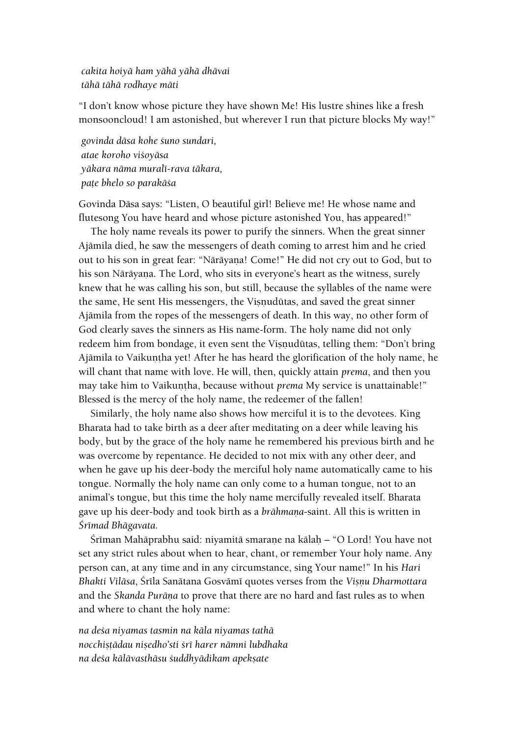*cakita hoiyä ham yähä yähä dhävai tähä tähä rodhaye mäti*

"I don't know whose picture they have shown Me! His lustre shines like a fresh monsooncloud! I am astonished, but wherever I run that picture blocks My way!"

*govinda däsa kohe çuno sundari, atae koroho viçoyäsa yäkara näma muralé-rava täkara, paöe bhelo so parakäça*

Govinda Däsa says: "Listen, O beautiful girl! Believe me! He whose name and flutesong You have heard and whose picture astonished You, has appeared!"

The holy name reveals its power to purify the sinners. When the great sinner Ajämila died, he saw the messengers of death coming to arrest him and he cried out to his son in great fear: "Nārāyaṇa! Come!" He did not cry out to God, but to his son Nārāyana. The Lord, who sits in everyone's heart as the witness, surely knew that he was calling his son, but still, because the syllables of the name were the same, He sent His messengers, the Visnudūtas, and saved the great sinner Ajämila from the ropes of the messengers of death. In this way, no other form of God clearly saves the sinners as His name-form. The holy name did not only redeem him from bondage, it even sent the Visnudūtas, telling them: "Don't bring Ajāmila to Vaikuņtha yet! After he has heard the glorification of the holy name, he will chant that name with love. He will, then, quickly attain *prema*, and then you may take him to Vaikuntha, because without *prema* My service is unattainable!" Blessed is the mercy of the holy name, the redeemer of the fallen!

Similarly, the holy name also shows how merciful it is to the devotees. King Bharata had to take birth as a deer after meditating on a deer while leaving his body, but by the grace of the holy name he remembered his previous birth and he was overcome by repentance. He decided to not mix with any other deer, and when he gave up his deer-body the merciful holy name automatically came to his tongue. Normally the holy name can only come to a human tongue, not to an animal's tongue, but this time the holy name mercifully revealed itself. Bharata gave up his deer-body and took birth as a *brāhmana-saint*. All this is written in *Çrémad Bhägavata*.

Śrīman Mahāprabhu said: niyamitā smaraņe na kālaḥ – "O Lord! You have not set any strict rules about when to hear, chant, or remember Your holy name. Any person can, at any time and in any circumstance, sing Your name!" In his *Hari Bhakti Viläsa*, Çréla Sanätana Gosvämé quotes verses from the *Viñëu Dharmottara*  and the *Skanda Purāņa* to prove that there are no hard and fast rules as to when and where to chant the holy name:

*na deça niyamas tasmin na käla niyamas tathä nocchiñöädau niñedho'sti çré harer nämni lubdhaka na deça kälävasthäsu çuddhyädikam apekñate*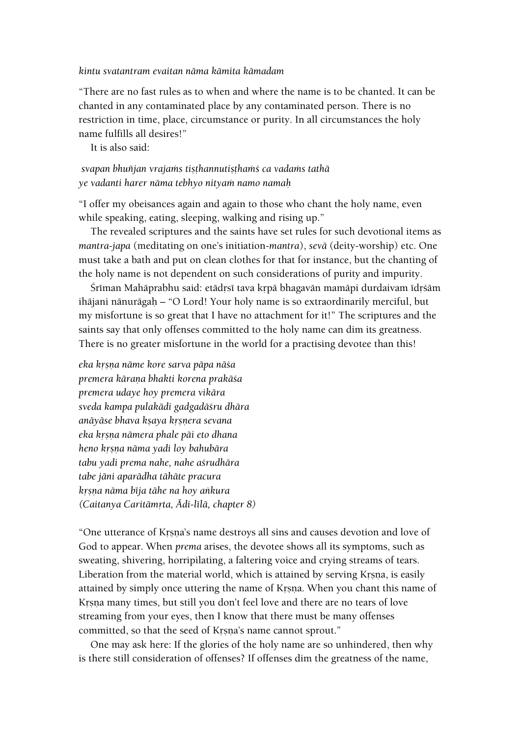#### *kintu svatantram evaitan näma kämita kämadam*

"There are no fast rules as to when and where the name is to be chanted. It can be chanted in any contaminated place by any contaminated person. There is no restriction in time, place, circumstance or purity. In all circumstances the holy name fulfills all desires!"

It is also said:

# svapan bhuñjan vrajams tiṣṭhannutiṣṭhamś ca vadams tathā *ye vadanti harer näma tebhyo nityaà namo namaù*

"I offer my obeisances again and again to those who chant the holy name, even while speaking, eating, sleeping, walking and rising up."

The revealed scriptures and the saints have set rules for such devotional items as *mantra-japa* (meditating on one's initiation-*mantra*), *sevä* (deity-worship) etc. One must take a bath and put on clean clothes for that for instance, but the chanting of the holy name is not dependent on such considerations of purity and impurity.

Śrīman Mahāprabhu said: etādrsī tava kṛpā bhagavān mamāpi durdaivam īdṛśām ihäjani nänurägaù – "O Lord! Your holy name is so extraordinarily merciful, but my misfortune is so great that I have no attachment for it!" The scriptures and the saints say that only offenses committed to the holy name can dim its greatness. There is no greater misfortune in the world for a practising devotee than this!

*eka kåñëa näme kore sarva päpa näça premera käraëa bhakti korena prakäça premera udaye hoy premera vikära sveda kampa pulakädi gadgadäçru dhära anäyäse bhava kñaya kåñëera sevana eka kåñëa nämera phale päi eto dhana heno kåñëa näma yadi loy bahubära tabu yadi prema nahe, nahe açrudhära tabe jäni aparädha tähäte pracura kåñëa näma béja tähe na hoy aìkura (Caitanya Caritämåta, Ädi-lélä, chapter 8)*

"One utterance of Krsna's name destroys all sins and causes devotion and love of God to appear. When *prema* arises, the devotee shows all its symptoms, such as sweating, shivering, horripilating, a faltering voice and crying streams of tears. Liberation from the material world, which is attained by serving Krsna, is easily attained by simply once uttering the name of Krsna. When you chant this name of Krsna many times, but still you don't feel love and there are no tears of love streaming from your eyes, then I know that there must be many offenses committed, so that the seed of Krsna's name cannot sprout."

One may ask here: If the glories of the holy name are so unhindered, then why is there still consideration of offenses? If offenses dim the greatness of the name,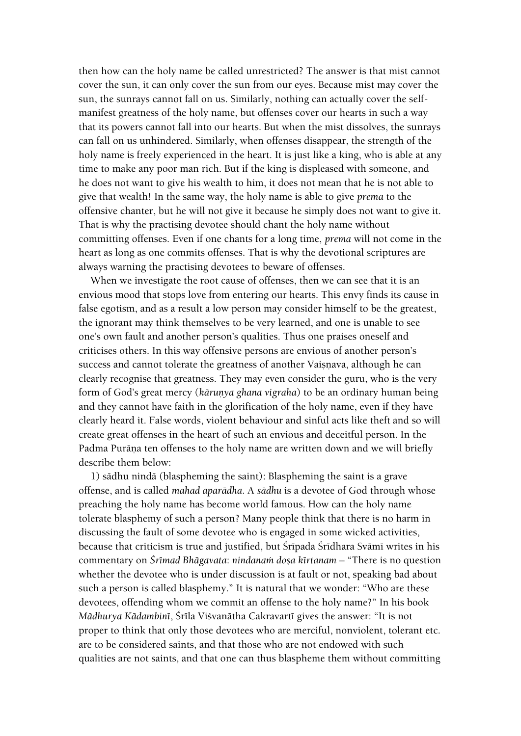then how can the holy name be called unrestricted? The answer is that mist cannot cover the sun, it can only cover the sun from our eyes. Because mist may cover the sun, the sunrays cannot fall on us. Similarly, nothing can actually cover the selfmanifest greatness of the holy name, but offenses cover our hearts in such a way that its powers cannot fall into our hearts. But when the mist dissolves, the sunrays can fall on us unhindered. Similarly, when offenses disappear, the strength of the holy name is freely experienced in the heart. It is just like a king, who is able at any time to make any poor man rich. But if the king is displeased with someone, and he does not want to give his wealth to him, it does not mean that he is not able to give that wealth! In the same way, the holy name is able to give *prema* to the offensive chanter, but he will not give it because he simply does not want to give it. That is why the practising devotee should chant the holy name without committing offenses. Even if one chants for a long time, *prema* will not come in the heart as long as one commits offenses. That is why the devotional scriptures are always warning the practising devotees to beware of offenses.

When we investigate the root cause of offenses, then we can see that it is an envious mood that stops love from entering our hearts. This envy finds its cause in false egotism, and as a result a low person may consider himself to be the greatest, the ignorant may think themselves to be very learned, and one is unable to see one's own fault and another person's qualities. Thus one praises oneself and criticises others. In this way offensive persons are envious of another person's success and cannot tolerate the greatness of another Vaisnava, although he can clearly recognise that greatness. They may even consider the guru, who is the very form of God's great mercy (*kārunya ghana vigraha*) to be an ordinary human being and they cannot have faith in the glorification of the holy name, even if they have clearly heard it. False words, violent behaviour and sinful acts like theft and so will create great offenses in the heart of such an envious and deceitful person. In the Padma Purāna ten offenses to the holy name are written down and we will briefly describe them below:

1) sädhu nindä (blaspheming the saint): Blaspheming the saint is a grave offense, and is called *mahad aparädha*. A *sädhu* is a devotee of God through whose preaching the holy name has become world famous. How can the holy name tolerate blasphemy of such a person? Many people think that there is no harm in discussing the fault of some devotee who is engaged in some wicked activities, because that criticism is true and justified, but Śrīpada Śrīdhara Svāmī writes in his commentary on *Śrīmad Bhāgavata*: *nindanam dosa kīrtanam* – "There is no question whether the devotee who is under discussion is at fault or not, speaking bad about such a person is called blasphemy." It is natural that we wonder: "Who are these devotees, offending whom we commit an offense to the holy name?" In his book *Mādhurya Kādambinī*, Šrīla Višvanātha Cakravartī gives the answer: "It is not proper to think that only those devotees who are merciful, nonviolent, tolerant etc. are to be considered saints, and that those who are not endowed with such qualities are not saints, and that one can thus blaspheme them without committing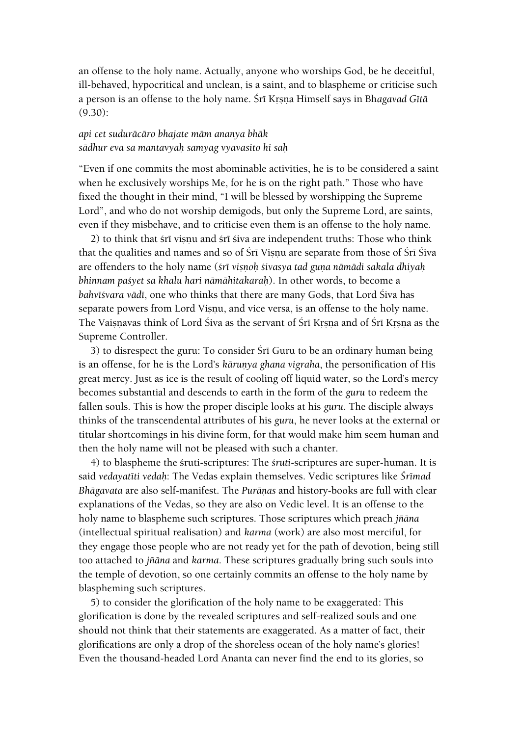an offense to the holy name. Actually, anyone who worships God, be he deceitful, ill-behaved, hypocritical and unclean, is a saint, and to blaspheme or criticise such a person is an offense to the holy name. Śrī Krsna Himself says in Bhagavad Gītā (9.30):

#### *api cet suduräcäro bhajate mäm ananya bhäk sädhur eva sa mantavyaù samyag vyavasito hi saù*

"Even if one commits the most abominable activities, he is to be considered a saint when he exclusively worships Me, for he is on the right path." Those who have fixed the thought in their mind, "I will be blessed by worshipping the Supreme Lord", and who do not worship demigods, but only the Supreme Lord, are saints, even if they misbehave, and to criticise even them is an offense to the holy name.

2) to think that śrī visnu and śrī śiva are independent truths: Those who think that the qualities and names and so of Sri Visnu are separate from those of Sri Siva are offenders to the holy name (*śrī viṣṇoh śivasya tad guṇa nāmādi sakala dhiyaḥ bhinnam paçyet sa khalu hari nämähitakaraù*). In other words, to become a bahvī*śvara vādī*, one who thinks that there are many Gods, that Lord Śiva has separate powers from Lord Visnu, and vice versa, is an offense to the holy name. The Vaisnavas think of Lord Śiva as the servant of Śrī Krsna and of Śrī Krsna as the Supreme Controller.

3) to disrespect the guru: To consider Śrī Guru to be an ordinary human being is an offense, for he is the Lord's *kārunya ghana vigraha*, the personification of His great mercy. Just as ice is the result of cooling off liquid water, so the Lord's mercy becomes substantial and descends to earth in the form of the *guru* to redeem the fallen souls. This is how the proper disciple looks at his *guru*. The disciple always thinks of the transcendental attributes of his *guru*, he never looks at the external or titular shortcomings in his divine form, for that would make him seem human and then the holy name will not be pleased with such a chanter.

4) to blaspheme the çruti-scriptures: The *çruti*-scriptures are super-human. It is said *vedayatéti vedaù*: The Vedas explain themselves. Vedic scriptures like *Çrémad Bhägavata* are also self-manifest. The *Puräëas* and history-books are full with clear explanations of the Vedas, so they are also on Vedic level. It is an offense to the holy name to blaspheme such scriptures. Those scriptures which preach *jïäna*  (intellectual spiritual realisation) and *karma* (work) are also most merciful, for they engage those people who are not ready yet for the path of devotion, being still too attached to *jïäna* and *karma*. These scriptures gradually bring such souls into the temple of devotion, so one certainly commits an offense to the holy name by blaspheming such scriptures.

5) to consider the glorification of the holy name to be exaggerated: This glorification is done by the revealed scriptures and self-realized souls and one should not think that their statements are exaggerated. As a matter of fact, their glorifications are only a drop of the shoreless ocean of the holy name's glories! Even the thousand-headed Lord Ananta can never find the end to its glories, so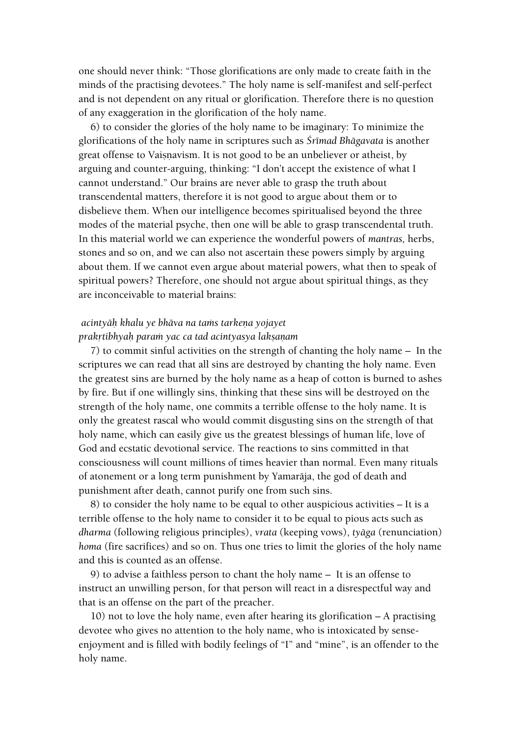one should never think: "Those glorifications are only made to create faith in the minds of the practising devotees." The holy name is self-manifest and self-perfect and is not dependent on any ritual or glorification. Therefore there is no question of any exaggeration in the glorification of the holy name.

6) to consider the glories of the holy name to be imaginary: To minimize the glorifications of the holy name in scriptures such as *Çrémad Bhägavata* is another great offense to Vaisnavism. It is not good to be an unbeliever or atheist, by arguing and counter-arguing, thinking: "I don't accept the existence of what I cannot understand." Our brains are never able to grasp the truth about transcendental matters, therefore it is not good to argue about them or to disbelieve them. When our intelligence becomes spiritualised beyond the three modes of the material psyche, then one will be able to grasp transcendental truth. In this material world we can experience the wonderful powers of *mantras,* herbs, stones and so on, and we can also not ascertain these powers simply by arguing about them. If we cannot even argue about material powers, what then to speak of spiritual powers? Therefore, one should not argue about spiritual things, as they are inconceivable to material brains:

# *acintyāh khalu ye bhāva na tams tarkena yojayet prakåtibhyaù paraà yac ca tad acintyasya lakñaëam*

7) to commit sinful activities on the strength of chanting the holy name – In the scriptures we can read that all sins are destroyed by chanting the holy name. Even the greatest sins are burned by the holy name as a heap of cotton is burned to ashes by fire. But if one willingly sins, thinking that these sins will be destroyed on the strength of the holy name, one commits a terrible offense to the holy name. It is only the greatest rascal who would commit disgusting sins on the strength of that holy name, which can easily give us the greatest blessings of human life, love of God and ecstatic devotional service. The reactions to sins committed in that consciousness will count millions of times heavier than normal. Even many rituals of atonement or a long term punishment by Yamaräja, the god of death and punishment after death, cannot purify one from such sins.

8) to consider the holy name to be equal to other auspicious activities – It is a terrible offense to the holy name to consider it to be equal to pious acts such as *dharma* (following religious principles), *vrata* (keeping vows), *tyäga* (renunciation) *homa* (fire sacrifices) and so on. Thus one tries to limit the glories of the holy name and this is counted as an offense.

9) to advise a faithless person to chant the holy name – It is an offense to instruct an unwilling person, for that person will react in a disrespectful way and that is an offense on the part of the preacher.

10) not to love the holy name, even after hearing its glorification – A practising devotee who gives no attention to the holy name, who is intoxicated by senseenjoyment and is filled with bodily feelings of "I" and "mine", is an offender to the holy name.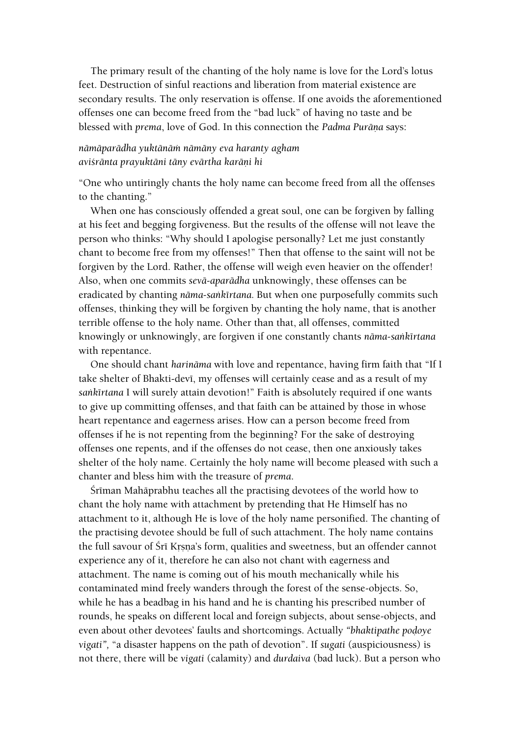The primary result of the chanting of the holy name is love for the Lord's lotus feet. Destruction of sinful reactions and liberation from material existence are secondary results. The only reservation is offense. If one avoids the aforementioned offenses one can become freed from the "bad luck" of having no taste and be blessed with *prema*, love of God. In this connection the *Padma Purāna* says:

# *nämäparädha yuktänäà nämäny eva haranty agham aviçränta prayuktäni täny evärtha karäëi hi*

"One who untiringly chants the holy name can become freed from all the offenses to the chanting."

When one has consciously offended a great soul, one can be forgiven by falling at his feet and begging forgiveness. But the results of the offense will not leave the person who thinks: "Why should I apologise personally? Let me just constantly chant to become free from my offenses!" Then that offense to the saint will not be forgiven by the Lord. Rather, the offense will weigh even heavier on the offender! Also, when one commits *sevä-aparädha* unknowingly, these offenses can be eradicated by chanting *näma-saìkértana.* But when one purposefully commits such offenses, thinking they will be forgiven by chanting the holy name, that is another terrible offense to the holy name. Other than that, all offenses, committed knowingly or unknowingly, are forgiven if one constantly chants *näma-saìkértana*  with repentance.

One should chant *harinäma* with love and repentance, having firm faith that "If I take shelter of Bhakti-devī, my offenses will certainly cease and as a result of my sankīrtana I will surely attain devotion!" Faith is absolutely required if one wants to give up committing offenses, and that faith can be attained by those in whose heart repentance and eagerness arises. How can a person become freed from offenses if he is not repenting from the beginning? For the sake of destroying offenses one repents, and if the offenses do not cease, then one anxiously takes shelter of the holy name. Certainly the holy name will become pleased with such a chanter and bless him with the treasure of *prema*.

Śrīman Mahāprabhu teaches all the practising devotees of the world how to chant the holy name with attachment by pretending that He Himself has no attachment to it, although He is love of the holy name personified. The chanting of the practising devotee should be full of such attachment. The holy name contains the full savour of Śrī Krsņa's form, qualities and sweetness, but an offender cannot experience any of it, therefore he can also not chant with eagerness and attachment. The name is coming out of his mouth mechanically while his contaminated mind freely wanders through the forest of the sense-objects. So, while he has a beadbag in his hand and he is chanting his prescribed number of rounds, he speaks on different local and foreign subjects, about sense-objects, and even about other devotees' faults and shortcomings. Actually "bhaktipathe podoye *vigati",* "a disaster happens on the path of devotion". If *sugati* (auspiciousness) is not there, there will be *vigati* (calamity) and *durdaiva* (bad luck). But a person who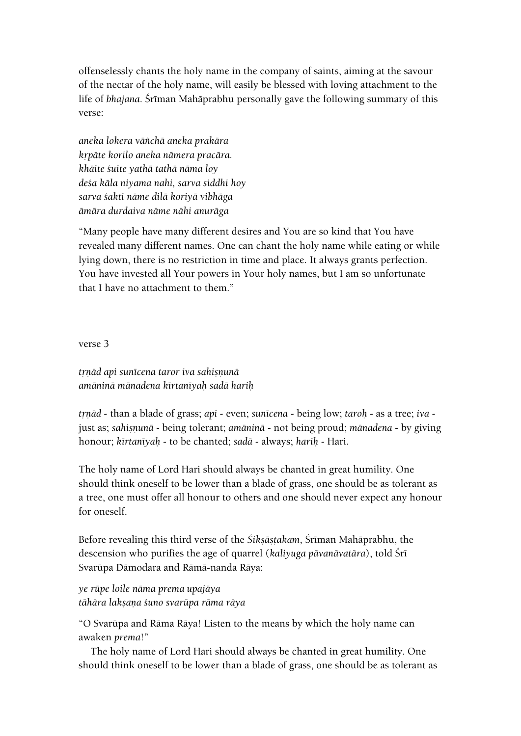offenselessly chants the holy name in the company of saints, aiming at the savour of the nectar of the holy name, will easily be blessed with loving attachment to the life of *bhajana*. Śrīman Mahāprabhu personally gave the following summary of this verse:

*aneka lokera väïchä aneka prakära kåpäte korilo aneka nämera pracära. khäite çuite yathä tathä näma loy deça käla niyama nahi, sarva siddhi hoy sarva çakti näme dilä koriyä vibhäga ämära durdaiva näme nähi anuräga*

"Many people have many different desires and You are so kind that You have revealed many different names. One can chant the holy name while eating or while lying down, there is no restriction in time and place. It always grants perfection. You have invested all Your powers in Your holy names, but I am so unfortunate that I have no attachment to them."

verse 3

*trnād api sunīcena taror iva sahisnunā amäninä mänadena kértanéyaù sadä hariù*

*tåëäd* - than a blade of grass; *api* - even; *sunécena* - being low; *taroù* - as a tree; *iva* just as; *sahisnunā* - being tolerant; *amāninā* - not being proud; *mānadena* - by giving honour; *kértanéyaù* - to be chanted; *sadä* - always; *hariù* - Hari.

The holy name of Lord Hari should always be chanted in great humility. One should think oneself to be lower than a blade of grass, one should be as tolerant as a tree, one must offer all honour to others and one should never expect any honour for oneself.

Before revealing this third verse of the *Śikṣāṣṭakam*, Śrīman Mahāprabhu, the descension who purifies the age of quarrel (*kaliyuga pāvanāvatāra*), told Śrī Svarüpa Dämodara and Rämä-nanda Räya:

*ye rüpe loile näma prema upajäya tähära lakñaëa çuno svarüpa räma räya*

"O Svarüpa and Räma Räya! Listen to the means by which the holy name can awaken *prema*!"

The holy name of Lord Hari should always be chanted in great humility. One should think oneself to be lower than a blade of grass, one should be as tolerant as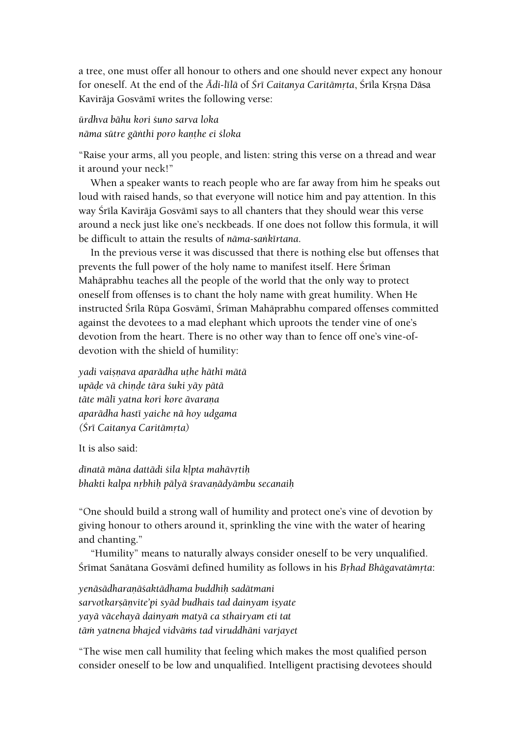a tree, one must offer all honour to others and one should never expect any honour for oneself. At the end of the *Ādi-līlā* of *Śrī Caitanya Caritāmrta*, Śrīla Krsna Dāsa Kavirāja Gosvāmī writes the following verse:

# *ürdhva bähu kori çuno sarva loka nāma sūtre gānthi poro kanthe ei śloka*

"Raise your arms, all you people, and listen: string this verse on a thread and wear it around your neck!"

When a speaker wants to reach people who are far away from him he speaks out loud with raised hands, so that everyone will notice him and pay attention. In this way Śrīla Kavirāja Gosvāmī says to all chanters that they should wear this verse around a neck just like one's neckbeads. If one does not follow this formula, it will be difficult to attain the results of *näma-saìkértana*.

In the previous verse it was discussed that there is nothing else but offenses that prevents the full power of the holy name to manifest itself. Here Sriman Mahäprabhu teaches all the people of the world that the only way to protect oneself from offenses is to chant the holy name with great humility. When He instructed Śrīla Rūpa Gosvāmī, Śrīman Mahāprabhu compared offenses committed against the devotees to a mad elephant which uproots the tender vine of one's devotion from the heart. There is no other way than to fence off one's vine-ofdevotion with the shield of humility:

*yadi vaiñëava aparädha uöhe häthé mätä upäòe vä chiëòe tära çuki yäy pätä täte mälé yatna kori kore ävaraëa aparädha hasté yaiche nä hoy udgama (Çré Caitanya Caritämåta)*

It is also said:

*d*īnatā māna dattādi *sila kļpta mahāvrti*ņ **bhakti kalpa nrbhih pālyā śravaņādyāmbu secanaih** 

"One should build a strong wall of humility and protect one's vine of devotion by giving honour to others around it, sprinkling the vine with the water of hearing and chanting."

"Humility" means to naturally always consider oneself to be very unqualified. Śrīmat Sanātana Gosvāmī defined humility as follows in his Brhad Bhāgavatāmrta:

*yenäsädharaëäçaktädhama buddhiù sadätmani* sarvotkarṣāṇvite'pi syād budhais tad dainyam iṣyate *yayä väcehayä dainyaà matyä ca sthairyam eti tat täà yatnena bhajed vidväàs tad viruddhäni varjayet*

"The wise men call humility that feeling which makes the most qualified person consider oneself to be low and unqualified. Intelligent practising devotees should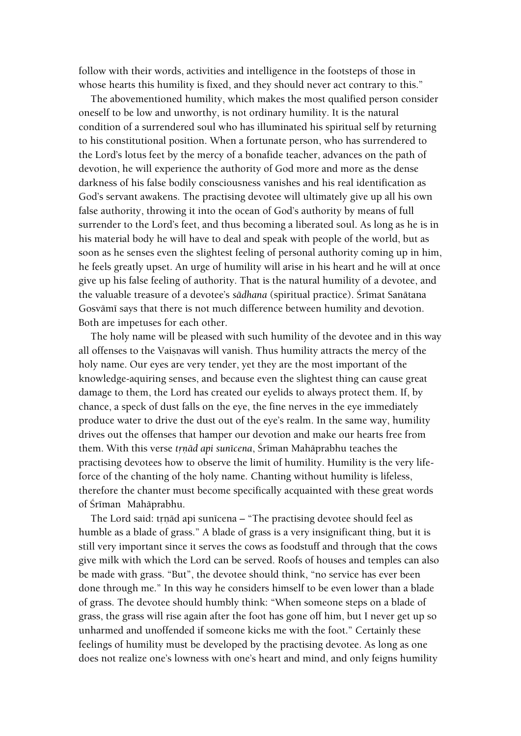follow with their words, activities and intelligence in the footsteps of those in whose hearts this humility is fixed, and they should never act contrary to this."

The abovementioned humility, which makes the most qualified person consider oneself to be low and unworthy, is not ordinary humility. It is the natural condition of a surrendered soul who has illuminated his spiritual self by returning to his constitutional position. When a fortunate person, who has surrendered to the Lord's lotus feet by the mercy of a bonafide teacher, advances on the path of devotion, he will experience the authority of God more and more as the dense darkness of his false bodily consciousness vanishes and his real identification as God's servant awakens. The practising devotee will ultimately give up all his own false authority, throwing it into the ocean of God's authority by means of full surrender to the Lord's feet, and thus becoming a liberated soul. As long as he is in his material body he will have to deal and speak with people of the world, but as soon as he senses even the slightest feeling of personal authority coming up in him, he feels greatly upset. An urge of humility will arise in his heart and he will at once give up his false feeling of authority. That is the natural humility of a devotee, and the valuable treasure of a devotee's sādhana (spiritual practice). Śrīmat Sanātana Gosvāmī says that there is not much difference between humility and devotion. Both are impetuses for each other.

The holy name will be pleased with such humility of the devotee and in this way all offenses to the Vaisnavas will vanish. Thus humility attracts the mercy of the holy name. Our eyes are very tender, yet they are the most important of the knowledge-aquiring senses, and because even the slightest thing can cause great damage to them, the Lord has created our eyelids to always protect them. If, by chance, a speck of dust falls on the eye, the fine nerves in the eye immediately produce water to drive the dust out of the eye's realm. In the same way, humility drives out the offenses that hamper our devotion and make our hearts free from them. With this verse *trnād api sunīcena*, Śrīman Mahāprabhu teaches the practising devotees how to observe the limit of humility. Humility is the very lifeforce of the chanting of the holy name. Chanting without humility is lifeless, therefore the chanter must become specifically acquainted with these great words of Śrīman Mahāprabhu.

The Lord said: trnād api sunīcena – "The practising devotee should feel as humble as a blade of grass." A blade of grass is a very insignificant thing, but it is still very important since it serves the cows as foodstuff and through that the cows give milk with which the Lord can be served. Roofs of houses and temples can also be made with grass. "But", the devotee should think, "no service has ever been done through me." In this way he considers himself to be even lower than a blade of grass. The devotee should humbly think: "When someone steps on a blade of grass, the grass will rise again after the foot has gone off him, but I never get up so unharmed and unoffended if someone kicks me with the foot." Certainly these feelings of humility must be developed by the practising devotee. As long as one does not realize one's lowness with one's heart and mind, and only feigns humility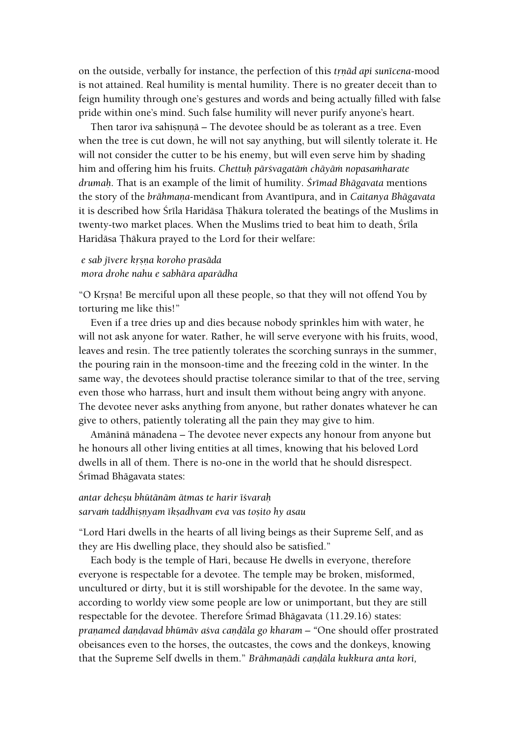on the outside, verbally for instance, the perfection of this *trnad api sunicena-mood* is not attained. Real humility is mental humility. There is no greater deceit than to feign humility through one's gestures and words and being actually filled with false pride within one's mind. Such false humility will never purify anyone's heart.

Then taror iva sahisnuna – The devotee should be as tolerant as a tree. Even when the tree is cut down, he will not say anything, but will silently tolerate it. He will not consider the cutter to be his enemy, but will even serve him by shading him and offering him his fruits. *Chettuù pärçvagatäà chäyäà nopasaàharate drumaù*. That is an example of the limit of humility. *Çrémad Bhägavata* mentions the story of the *brāhmana-mendicant from Avantīpura*, and in *Caitanya Bhāgavata* it is described how Śrīla Haridāsa Thākura tolerated the beatings of the Muslims in twenty-two market places. When the Muslims tried to beat him to death, Śrīla Haridāsa Thākura prayed to the Lord for their welfare:

# *e sab jévere kåñëa koroho prasäda mora drohe nahu e sabhära aparädha*

"O Krsna! Be merciful upon all these people, so that they will not offend You by torturing me like this!"

Even if a tree dries up and dies because nobody sprinkles him with water, he will not ask anyone for water. Rather, he will serve everyone with his fruits, wood, leaves and resin. The tree patiently tolerates the scorching sunrays in the summer, the pouring rain in the monsoon-time and the freezing cold in the winter. In the same way, the devotees should practise tolerance similar to that of the tree, serving even those who harrass, hurt and insult them without being angry with anyone. The devotee never asks anything from anyone, but rather donates whatever he can give to others, patiently tolerating all the pain they may give to him.

Amäninä mänadena – The devotee never expects any honour from anyone but he honours all other living entities at all times, knowing that his beloved Lord dwells in all of them. There is no-one in the world that he should disrespect. Śrīmad Bhāgavata states:

#### *antar deheñu bhütänäm ätmas te harir éçvaraù sarvaà taddhiñëyam ékñadhvam eva vas toñito hy asau*

"Lord Hari dwells in the hearts of all living beings as their Supreme Self, and as they are His dwelling place, they should also be satisfied."

Each body is the temple of Hari, because He dwells in everyone, therefore everyone is respectable for a devotee. The temple may be broken, misformed, uncultured or dirty, but it is still worshipable for the devotee. In the same way, according to worldy view some people are low or unimportant, but they are still respectable for the devotee. Therefore Śrīmad Bhāgavata (11.29.16) states: *pranamed dandavad bhūmāv asva candāla go kharam – "One should offer prostrated* obeisances even to the horses, the outcastes, the cows and the donkeys, knowing that the Supreme Self dwells in them." *Brāhmanādi candāla kukkura anta kori*,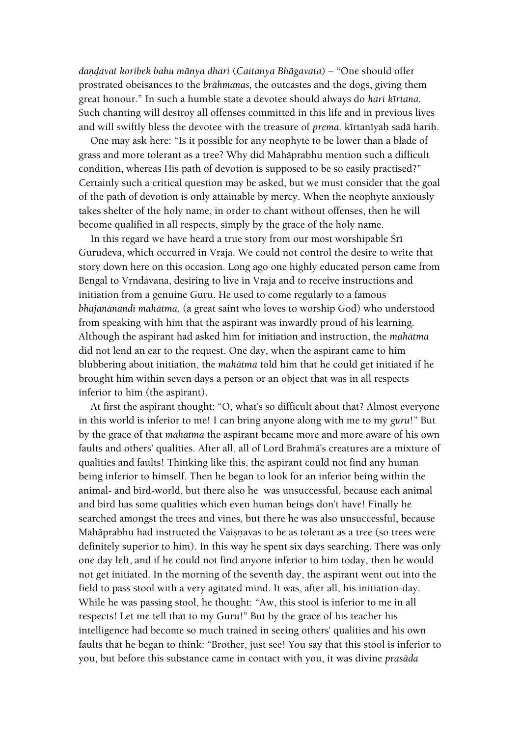*daëòavat koribek bahu mänya dhari* (*Caitanya Bhägavata*) – "One should offer prostrated obeisances to the *brāhmanas*, the outcastes and the dogs, giving them great honour." In such a humble state a devotee should always do *hari kértana.* Such chanting will destroy all offenses committed in this life and in previous lives and will swiftly bless the devotee with the treasure of *prema*. kīrtanīyaḥ sadā hariḥ.

One may ask here: "Is it possible for any neophyte to be lower than a blade of grass and more tolerant as a tree? Why did Mahäprabhu mention such a difficult condition, whereas His path of devotion is supposed to be so easily practised?" Certainly such a critical question may be asked, but we must consider that the goal of the path of devotion is only attainable by mercy. When the neophyte anxiously takes shelter of the holy name, in order to chant without offenses, then he will become qualified in all respects, simply by the grace of the holy name.

In this regard we have heard a true story from our most worshipable Śrī Gurudeva, which occurred in Vraja. We could not control the desire to write that story down here on this occasion. Long ago one highly educated person came from Bengal to Vrndāvana, desiring to live in Vraja and to receive instructions and initiation from a genuine Guru. He used to come regularly to a famous *bhajanänandé mahätma*, (a great saint who loves to worship God) who understood from speaking with him that the aspirant was inwardly proud of his learning. Although the aspirant had asked him for initiation and instruction, the *mahätma* did not lend an ear to the request. One day, when the aspirant came to him blubbering about initiation, the *mahätma* told him that he could get initiated if he brought him within seven days a person or an object that was in all respects inferior to him (the aspirant).

At first the aspirant thought: "O, what's so difficult about that? Almost everyone in this world is inferior to me! I can bring anyone along with me to my *guru*!" But by the grace of that *mahätma* the aspirant became more and more aware of his own faults and others' qualities. After all, all of Lord Brahmä's creatures are a mixture of qualities and faults! Thinking like this, the aspirant could not find any human being inferior to himself. Then he began to look for an inferior being within the animal- and bird-world, but there also he was unsuccessful, because each animal and bird has some qualities which even human beings don't have! Finally he searched amongst the trees and vines, but there he was also unsuccessful, because Mahāprabhu had instructed the Vaisnavas to be as tolerant as a tree (so trees were definitely superior to him). In this way he spent six days searching. There was only one day left, and if he could not find anyone inferior to him today, then he would not get initiated. In the morning of the seventh day, the aspirant went out into the field to pass stool with a very agitated mind. It was, after all, his initiation-day. While he was passing stool, he thought: "Aw, this stool is inferior to me in all respects! Let me tell that to my Guru!" But by the grace of his teacher his intelligence had become so much trained in seeing others' qualities and his own faults that he began to think: "Brother, just see! You say that this stool is inferior to you, but before this substance came in contact with you, it was divine *prasäda*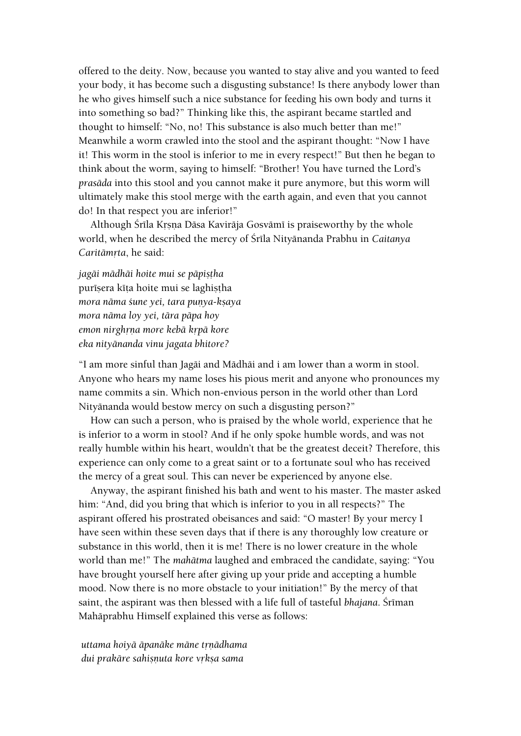offered to the deity. Now, because you wanted to stay alive and you wanted to feed your body, it has become such a disgusting substance! Is there anybody lower than he who gives himself such a nice substance for feeding his own body and turns it into something so bad?" Thinking like this, the aspirant became startled and thought to himself: "No, no! This substance is also much better than me!" Meanwhile a worm crawled into the stool and the aspirant thought: "Now I have it! This worm in the stool is inferior to me in every respect!" But then he began to think about the worm, saying to himself: "Brother! You have turned the Lord's *prasäda* into this stool and you cannot make it pure anymore, but this worm will ultimately make this stool merge with the earth again, and even that you cannot do! In that respect you are inferior!"

Although Śrīla Krsna Dāsa Kavirāja Gosvāmī is praiseworthy by the whole world, when he described the mercy of Çréla Nityänanda Prabhu in *Caitanya Caritāmrta*, he said:

*jagäi mädhäi hoite mui se päpiñöha* purīsera kīta hoite mui se laghistha *mora nāma śune yei, tara punya-ksaya mora näma loy yei, tära päpa hoy emon nirghåëa more kebä kåpä kore eka nityänanda vinu jagata bhitore?*

"I am more sinful than Jagäi and Mädhäi and i am lower than a worm in stool. Anyone who hears my name loses his pious merit and anyone who pronounces my name commits a sin. Which non-envious person in the world other than Lord Nityänanda would bestow mercy on such a disgusting person?"

How can such a person, who is praised by the whole world, experience that he is inferior to a worm in stool? And if he only spoke humble words, and was not really humble within his heart, wouldn't that be the greatest deceit? Therefore, this experience can only come to a great saint or to a fortunate soul who has received the mercy of a great soul. This can never be experienced by anyone else.

Anyway, the aspirant finished his bath and went to his master. The master asked him: "And, did you bring that which is inferior to you in all respects?" The aspirant offered his prostrated obeisances and said: "O master! By your mercy I have seen within these seven days that if there is any thoroughly low creature or substance in this world, then it is me! There is no lower creature in the whole world than me!" The *mahätma* laughed and embraced the candidate, saying: "You have brought yourself here after giving up your pride and accepting a humble mood. Now there is no more obstacle to your initiation!" By the mercy of that saint, the aspirant was then blessed with a life full of tasteful *bhajana*. Śrīman Mahäprabhu Himself explained this verse as follows:

*uttama hoiyä äpanäke mäne tåëädhama dui prakāre sahisnuta kore vrksa sama*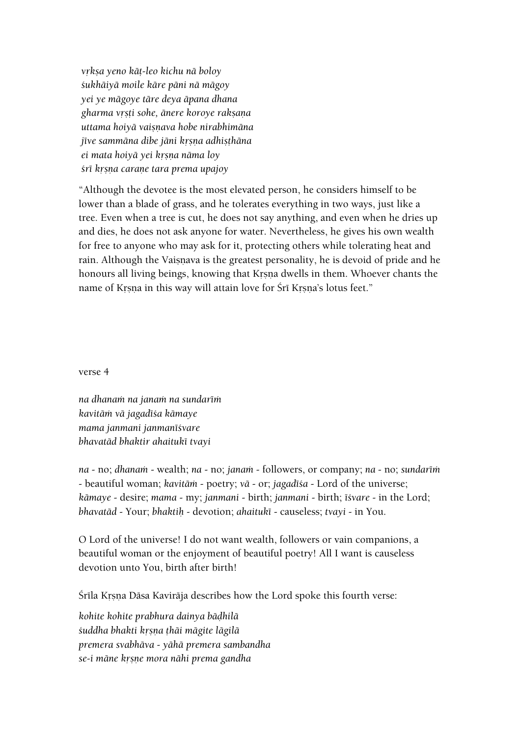*våkña yeno käö-leo kichu nä boloy çukhäiyä moile käre päni nä mägoy yei ye mägoye täre deya äpana dhana gharma våñöi sohe, änere koroye rakñaëa uttama hoiyä vaiñëava hobe nirabhimäna jīve sammāna dibe jāni krsņa adhisthāna ei mata hoiyä yei kåñëa näma loy çré kåñëa caraëe tara prema upajoy*

"Although the devotee is the most elevated person, he considers himself to be lower than a blade of grass, and he tolerates everything in two ways, just like a tree. Even when a tree is cut, he does not say anything, and even when he dries up and dies, he does not ask anyone for water. Nevertheless, he gives his own wealth for free to anyone who may ask for it, protecting others while tolerating heat and rain. Although the Vaiṣṇava is the greatest personality, he is devoid of pride and he honours all living beings, knowing that Krsna dwells in them. Whoever chants the name of Krsna in this way will attain love for Śrī Krsna's lotus feet."

verse 4

*na dhanaà na janaà na sundaréà kavitäà vä jagadéça kämaye mama janmani janmanéçvare bhavatäd bhaktir ahaituké tvayi*

*na* - no; *dhanam* - wealth; *na* - no; *janam* - followers, or company; *na* - no; *sundarim* - beautiful woman; *kavitäà* - poetry; *vä* - or; *jagadéça* - Lord of the universe; *kämaye* - desire; *mama* - my; *janmani* - birth; *janmani* - birth; *éçvare* - in the Lord; *bhavatäd* - Your; *bhaktiù -* devotion; *ahaituké* - causeless; *tvayi* - in You.

O Lord of the universe! I do not want wealth, followers or vain companions, a beautiful woman or the enjoyment of beautiful poetry! All I want is causeless devotion unto You, birth after birth!

Śrīla Krsna Dāsa Kavirāja describes how the Lord spoke this fourth verse:

*kohite kohite prabhura dainya bäòhilä çuddha bhakti kåñëa öhäi mägite lägilä premera svabhäva - yähä premera sambandha se-i mäne kåñëe mora nähi prema gandha*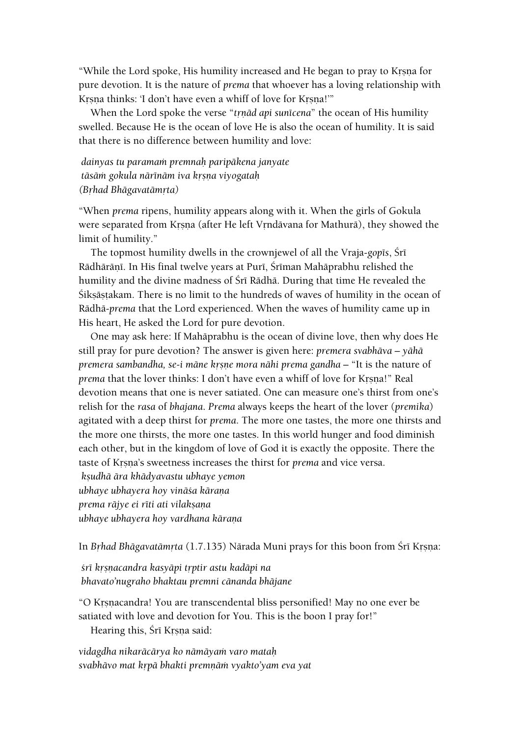"While the Lord spoke, His humility increased and He began to pray to Krsna for pure devotion. It is the nature of *prema* that whoever has a loving relationship with Krsna thinks: 'I don't have even a whiff of love for Krsna!'"

When the Lord spoke the verse "*trnād api sunīcena*" the ocean of His humility swelled. Because He is the ocean of love He is also the ocean of humility. It is said that there is no difference between humility and love:

# *dainyas tu paramaà premnaù paripäkena janyate täsäà gokula närénäm iva kåñëa viyogataù (Båhad Bhägavatämåta)*

"When *prema* ripens, humility appears along with it. When the girls of Gokula were separated from Krsna (after He left Vrndävana for Mathurä), they showed the limit of humility."

The topmost humility dwells in the crownjewel of all the Vraja-*gop* is, Sri Rādhārānī. In His final twelve years at Purī, Šrīman Mahāprabhu relished the humility and the divine madness of Śrī Rādhā. During that time He revealed the Sikṣāṣṭakam. There is no limit to the hundreds of waves of humility in the ocean of Rädhä-*prema* that the Lord experienced. When the waves of humility came up in His heart, He asked the Lord for pure devotion.

One may ask here: If Mahäprabhu is the ocean of divine love, then why does He still pray for pure devotion? The answer is given here: *premera svabhäva – yähä premera sambandha, se-i māne krsne mora nāhi prema gandha* – "It is the nature of *prema* that the lover thinks: I don't have even a whiff of love for Krsna!" Real devotion means that one is never satiated. One can measure one's thirst from one's relish for the *rasa* of *bhajana*. *Prema* always keeps the heart of the lover (*premika*) agitated with a deep thirst for *prema*. The more one tastes, the more one thirsts and the more one thirsts, the more one tastes. In this world hunger and food diminish each other, but in the kingdom of love of God it is exactly the opposite. There the taste of Krsna's sweetness increases the thirst for *prema* and vice versa. *kñudhä ära khädyavastu ubhaye yemon*

*ubhaye ubhayera hoy vinäça käraëa prema rājye ei rīti ati vilakṣaṇa ubhaye ubhayera hoy vardhana kāraņa* 

In Brhad Bhāgavatāmrta (1.7.135) Nārada Muni prays for this boon from Srī Krsna:

*çré kåñëacandra kasyäpi tåptir astu kadäpi na bhavato'nugraho bhaktau premni cänanda bhäjane*

"O Krsnacandra! You are transcendental bliss personified! May no one ever be satiated with love and devotion for You. This is the boon I pray for!"

Hearing this, Sri Krsna said:

*vidagdha nikaräcärya ko nämäyaà varo mataù svabhävo mat kåpä bhakti premëäà vyakto'yam eva yat*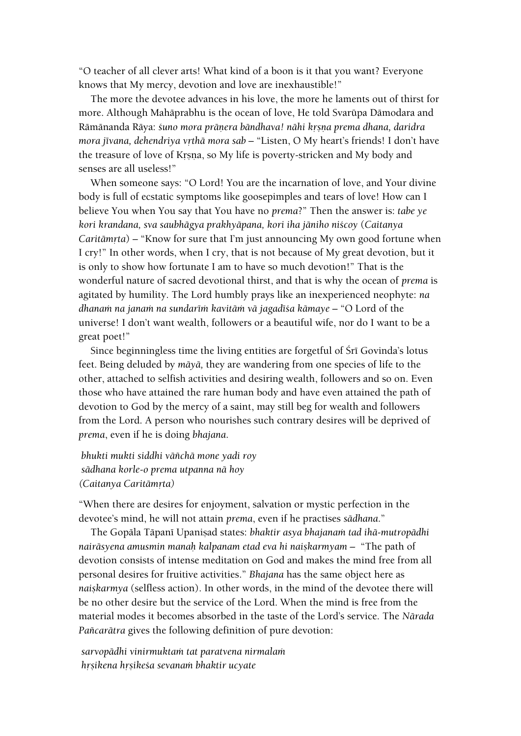"O teacher of all clever arts! What kind of a boon is it that you want? Everyone knows that My mercy, devotion and love are inexhaustible!"

The more the devotee advances in his love, the more he laments out of thirst for more. Although Mahäprabhu is the ocean of love, He told Svarüpa Dämodara and Rāmānanda Rāya: *śuno mora prāņera bāndhava! nāhi krsņa prema dhana, daridra mora jīvana, dehendriya vrthā mora sab* – "Listen, O My heart's friends! I don't have the treasure of love of Krsna, so My life is poverty-stricken and My body and senses are all useless!"

When someone says: "O Lord! You are the incarnation of love, and Your divine body is full of ecstatic symptoms like goosepimples and tears of love! How can I believe You when You say that You have no *prema*?" Then the answer is: *tabe ye kori krandana, sva saubhägya prakhyäpana, kori iha jäniho niçcoy* (*Caitanya Caritāmrta*) – "Know for sure that I'm just announcing My own good fortune when I cry!" In other words, when I cry, that is not because of My great devotion, but it is only to show how fortunate I am to have so much devotion!" That is the wonderful nature of sacred devotional thirst, and that is why the ocean of *prema* is agitated by humility. The Lord humbly prays like an inexperienced neophyte: *na*  dhanam na janam na sundarīm kavitām vā jagadī*ša kāmaye* – "O Lord of the universe! I don't want wealth, followers or a beautiful wife, nor do I want to be a great poet!"

Since beginningless time the living entities are forgetful of Sri Govinda's lotus feet. Being deluded by *mäyä,* they are wandering from one species of life to the other, attached to selfish activities and desiring wealth, followers and so on. Even those who have attained the rare human body and have even attained the path of devotion to God by the mercy of a saint, may still beg for wealth and followers from the Lord. A person who nourishes such contrary desires will be deprived of *prema*, even if he is doing *bhajana*.

*bhukti mukti siddhi väïchä mone yadi roy sädhana korle-o prema utpanna nä hoy (Caitanya Caritämåta)*

"When there are desires for enjoyment, salvation or mystic perfection in the devotee's mind, he will not attain *prema*, even if he practises *sädhana*."

The Gopāla Tāpanī Upanisad states: *bhaktir asya bhajanam tad ihā-mutropādhi nairäsyena amusmin manaù kalpanam etad eva hi naiñkarmyam –* "The path of devotion consists of intense meditation on God and makes the mind free from all personal desires for fruitive activities." *Bhajana* has the same object here as *naiskarmya* (selfless action). In other words, in the mind of the devotee there will be no other desire but the service of the Lord. When the mind is free from the material modes it becomes absorbed in the taste of the Lord's service. The *Närada Païcarätra* gives the following definition of pure devotion:

*sarvopädhi vinirmuktaà tat paratvena nirmalaà håñikena håñikeça sevanaà bhaktir ucyate*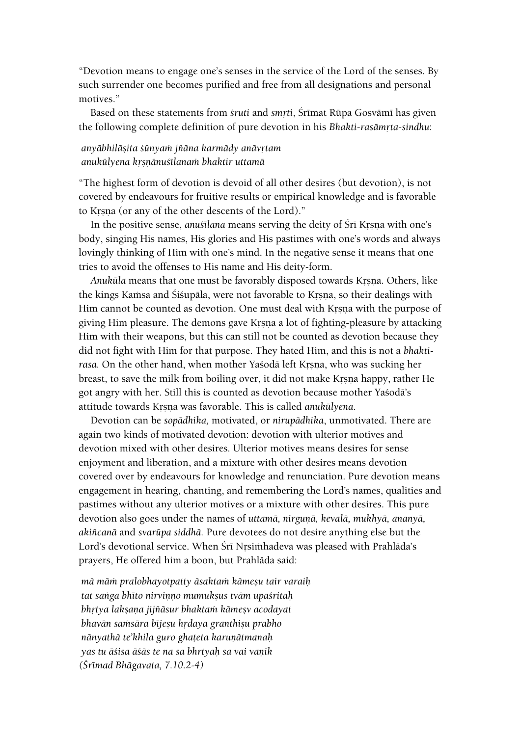"Devotion means to engage one's senses in the service of the Lord of the senses. By such surrender one becomes purified and free from all designations and personal motives."

Based on these statements from *sruti* and *smrti*, Śrīmat Rūpa Gosvāmī has given the following complete definition of pure devotion in his *Bhakti-rasāmrta-sindhu*:

### *anyābhilāṣita śūnyam jñāna karmādy anāvṛtam anukülyena kåñëänuçélanaà bhaktir uttamä*

"The highest form of devotion is devoid of all other desires (but devotion), is not covered by endeavours for fruitive results or empirical knowledge and is favorable to Krsna (or any of the other descents of the Lord)."

In the positive sense, *anustilana* means serving the deity of Sri Krsna with one's body, singing His names, His glories and His pastimes with one's words and always lovingly thinking of Him with one's mind. In the negative sense it means that one tries to avoid the offenses to His name and His deity-form.

Anukūla means that one must be favorably disposed towards Krsna. Others, like the kings Kamsa and Śiśupāla, were not favorable to Krsna, so their dealings with Him cannot be counted as devotion. One must deal with Krsna with the purpose of giving Him pleasure. The demons gave Krsna a lot of fighting-pleasure by attacking Him with their weapons, but this can still not be counted as devotion because they did not fight with Him for that purpose. They hated Him, and this is not a *bhakti*rasa. On the other hand, when mother Yasoda left Krsna, who was sucking her breast, to save the milk from boiling over, it did not make Krsna happy, rather He got angry with her. Still this is counted as devotion because mother Yaçodä's attitude towards Krsna was favorable. This is called *anukūlyena*.

Devotion can be *sopädhika,* motivated, or *nirupädhika*, unmotivated. There are again two kinds of motivated devotion: devotion with ulterior motives and devotion mixed with other desires. Ulterior motives means desires for sense enjoyment and liberation, and a mixture with other desires means devotion covered over by endeavours for knowledge and renunciation. Pure devotion means engagement in hearing, chanting, and remembering the Lord's names, qualities and pastimes without any ulterior motives or a mixture with other desires. This pure devotion also goes under the names of *uttamā*, nirgunā, kevalā, mukhyā, ananyā, *akiïcanä* and *svarüpa siddhä.* Pure devotees do not desire anything else but the Lord's devotional service. When Śrī Nrsimhadeva was pleased with Prahlāda's prayers, He offered him a boon, but Prahläda said:

*mä mäà pralobhayotpatty äsaktaà kämeñu tair varaiù tat saìga bhéto nirviëëo mumukñus tväm upaçritaù bhrtya lakṣaṇa jijñāsur bhaktaṁ kāmeṣv acodayat bhavān samsāra bījesu hrdaya granthisu prabho nānyathā te'khila guro ghateta karunātmanaḥ yas tu äçisa äçäs te na sa bhrtyaù sa vai vaëik (Çrémad Bhägavata, 7.10.2-4)*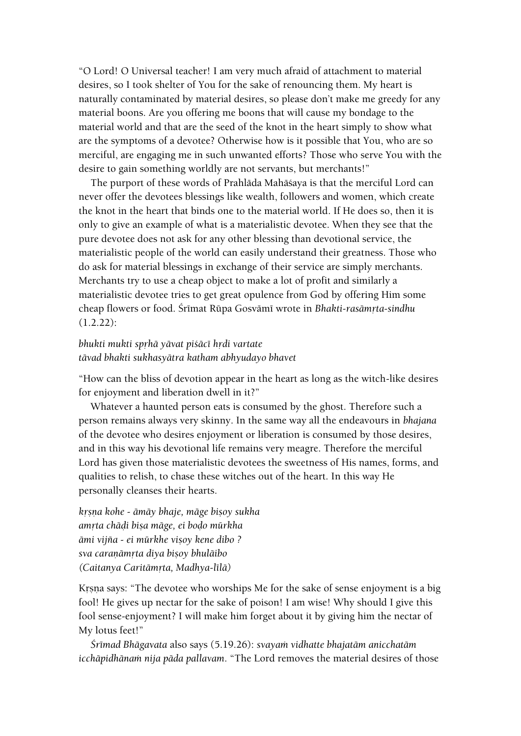"O Lord! O Universal teacher! I am very much afraid of attachment to material desires, so I took shelter of You for the sake of renouncing them. My heart is naturally contaminated by material desires, so please don't make me greedy for any material boons. Are you offering me boons that will cause my bondage to the material world and that are the seed of the knot in the heart simply to show what are the symptoms of a devotee? Otherwise how is it possible that You, who are so merciful, are engaging me in such unwanted efforts? Those who serve You with the desire to gain something worldly are not servants, but merchants!"

The purport of these words of Prahläda Mahäçaya is that the merciful Lord can never offer the devotees blessings like wealth, followers and women, which create the knot in the heart that binds one to the material world. If He does so, then it is only to give an example of what is a materialistic devotee. When they see that the pure devotee does not ask for any other blessing than devotional service, the materialistic people of the world can easily understand their greatness. Those who do ask for material blessings in exchange of their service are simply merchants. Merchants try to use a cheap object to make a lot of profit and similarly a materialistic devotee tries to get great opulence from God by offering Him some cheap flowers or food. Śrīmat Rūpa Gosvāmī wrote in *Bhakti-rasāmṛta-sindhu* (1.2.22):

# *bhukti mukti sprhā yāvat piśācī hṛdi vartate tävad bhakti sukhasyätra katham abhyudayo bhavet*

"How can the bliss of devotion appear in the heart as long as the witch-like desires for enjoyment and liberation dwell in it?"

Whatever a haunted person eats is consumed by the ghost. Therefore such a person remains always very skinny. In the same way all the endeavours in *bhajana* of the devotee who desires enjoyment or liberation is consumed by those desires, and in this way his devotional life remains very meagre. Therefore the merciful Lord has given those materialistic devotees the sweetness of His names, forms, and qualities to relish, to chase these witches out of the heart. In this way He personally cleanses their hearts.

*krsna kohe - āmāy bhaje, māge bisoy sukha amåta chäòi biña mäge, ei boòo mürkha ämi vijïa - ei mürkhe viñoy kene dibo ? sva caraëämåta diya biñoy bhuläibo (Caitanya Caritämåta, Madhya-lélä)*

Krsna says: "The devotee who worships Me for the sake of sense enjoyment is a big fool! He gives up nectar for the sake of poison! I am wise! Why should I give this fool sense-enjoyment? I will make him forget about it by giving him the nectar of My lotus feet!"

*Çrémad Bhägavata* also says (5.19.26): *svayaà vidhatte bhajatäm anicchatäm icchāpidhānam nija pāda pallavam*. "The Lord removes the material desires of those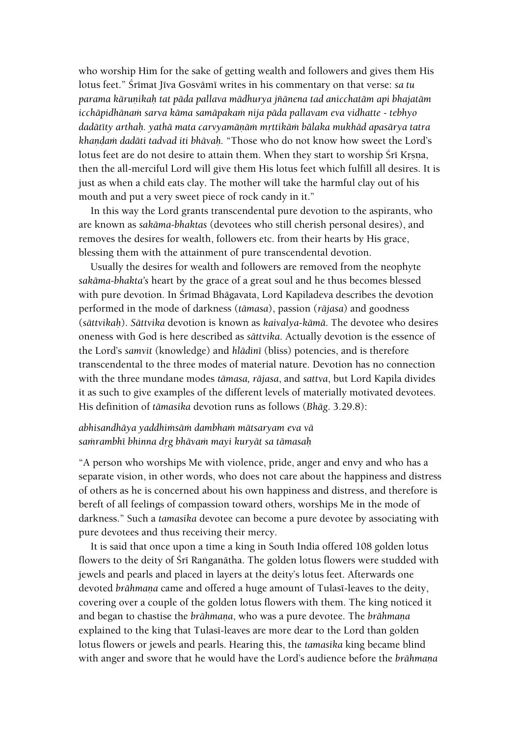who worship Him for the sake of getting wealth and followers and gives them His lotus feet." Śrīmat Jīva Gosvāmī writes in his commentary on that verse: *sa tu parama käruëikaù tat päda pallava mädhurya jïänena tad anicchatäm api bhajatäm icchäpidhänaà sarva käma samäpakaà nija päda pallavam eva vidhatte - tebhyo dadätéty arthaù. yathä mata carvyamäëäà måttikäà bälaka mukhäd apasärya tatra khandam dadāti tadvad iti bhāvah.* "Those who do not know how sweet the Lord's lotus feet are do not desire to attain them. When they start to worship Srī Krsna, then the all-merciful Lord will give them His lotus feet which fulfill all desires. It is just as when a child eats clay. The mother will take the harmful clay out of his mouth and put a very sweet piece of rock candy in it."

In this way the Lord grants transcendental pure devotion to the aspirants, who are known as *sakäma-bhaktas* (devotees who still cherish personal desires), and removes the desires for wealth, followers etc. from their hearts by His grace, blessing them with the attainment of pure transcendental devotion.

Usually the desires for wealth and followers are removed from the neophyte *sakäma-bhakta's* heart by the grace of a great soul and he thus becomes blessed with pure devotion. In Śrīmad Bhāgavata, Lord Kapiladeva describes the devotion performed in the mode of darkness (*tämasa*), passion (*räjasa*) and goodness (*sättvikaù*). *Sättvika* devotion is known as *kaivalya-kämä*. The devotee who desires oneness with God is here described as *sättvika*. Actually devotion is the essence of the Lord's *samvit* (knowledge) and *hlädiné* (bliss) potencies, and is therefore transcendental to the three modes of material nature. Devotion has no connection with the three mundane modes *tämasa, räjasa*, and *sattva*, but Lord Kapila divides it as such to give examples of the different levels of materially motivated devotees. His definition of *tämasika* devotion runs as follows (*Bhäg*. 3.29.8):

# *abhisandhäya yaddhiàsäà dambhaà mätsaryam eva vä saàrambhé bhinna dåg bhävaà mayi kuryät sa tämasaù*

"A person who worships Me with violence, pride, anger and envy and who has a separate vision, in other words, who does not care about the happiness and distress of others as he is concerned about his own happiness and distress, and therefore is bereft of all feelings of compassion toward others, worships Me in the mode of darkness." Such a *tamasika* devotee can become a pure devotee by associating with pure devotees and thus receiving their mercy.

It is said that once upon a time a king in South India offered 108 golden lotus flowers to the deity of Sri Ranganātha. The golden lotus flowers were studded with jewels and pearls and placed in layers at the deity's lotus feet. Afterwards one devoted *brāhmana* came and offered a huge amount of Tulasi-leaves to the deity, covering over a couple of the golden lotus flowers with them. The king noticed it and began to chastise the *brāhmana*, who was a pure devotee. The *brāhmana* explained to the king that Tulasi-leaves are more dear to the Lord than golden lotus flowers or jewels and pearls. Hearing this, the *tamasika* king became blind with anger and swore that he would have the Lord's audience before the *brāhmana*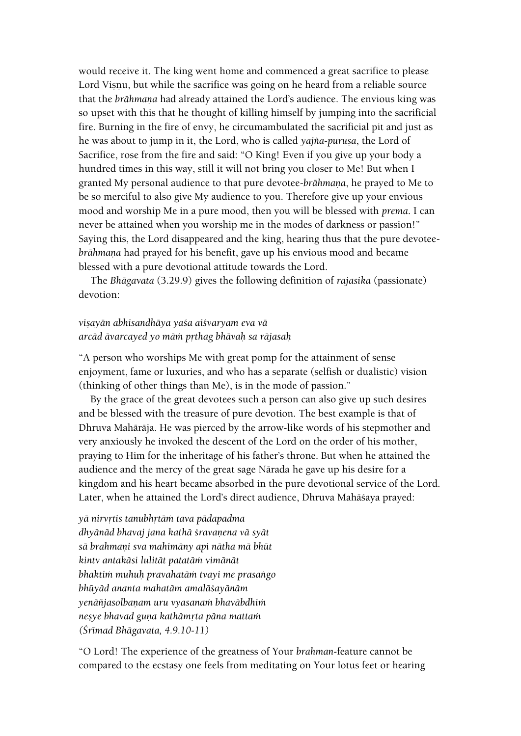would receive it. The king went home and commenced a great sacrifice to please Lord Visnu, but while the sacrifice was going on he heard from a reliable source that the *brāhmana* had already attained the Lord's audience. The envious king was so upset with this that he thought of killing himself by jumping into the sacrificial fire. Burning in the fire of envy, he circumambulated the sacrificial pit and just as he was about to jump in it, the Lord, who is called *yajña-purusa*, the Lord of Sacrifice, rose from the fire and said: "O King! Even if you give up your body a hundred times in this way, still it will not bring you closer to Me! But when I granted My personal audience to that pure devotee-brāhmana, he prayed to Me to be so merciful to also give My audience to you. Therefore give up your envious mood and worship Me in a pure mood, then you will be blessed with *prema*. I can never be attained when you worship me in the modes of darkness or passion!" Saying this, the Lord disappeared and the king, hearing thus that the pure devotee*brāhmaņa* had prayed for his benefit, gave up his envious mood and became blessed with a pure devotional attitude towards the Lord.

The *Bhägavata* (3.29.9) gives the following definition of *rajasika* (passionate) devotion:

# *viñayän abhisandhäya yaça aiçvaryam eva vä arcäd ävarcayed yo mäà påthag bhävaù sa räjasaù*

"A person who worships Me with great pomp for the attainment of sense enjoyment, fame or luxuries, and who has a separate (selfish or dualistic) vision (thinking of other things than Me), is in the mode of passion."

By the grace of the great devotees such a person can also give up such desires and be blessed with the treasure of pure devotion. The best example is that of Dhruva Mahäräja. He was pierced by the arrow-like words of his stepmother and very anxiously he invoked the descent of the Lord on the order of his mother, praying to Him for the inheritage of his father's throne. But when he attained the audience and the mercy of the great sage Närada he gave up his desire for a kingdom and his heart became absorbed in the pure devotional service of the Lord. Later, when he attained the Lord's direct audience, Dhruva Mahäçaya prayed:

*yä nirvåtis tanubhåtäà tava pädapadma dhyänäd bhavaj jana kathä çravaëena vä syät sä brahmaëi sva mahimäny api nätha mä bhüt kintv antakäsi lulität patatäà vimänät bhaktià muhuù pravahatäà tvayi me prasaìgo bhüyäd ananta mahatäm amaläçayänäm yenäïjasolbaëam uru vyasanaà bhaväbdhià neñye bhavad guëa kathämåta päna mattaà (Çrémad Bhägavata, 4.9.10-11)*

"O Lord! The experience of the greatness of Your *brahman*-feature cannot be compared to the ecstasy one feels from meditating on Your lotus feet or hearing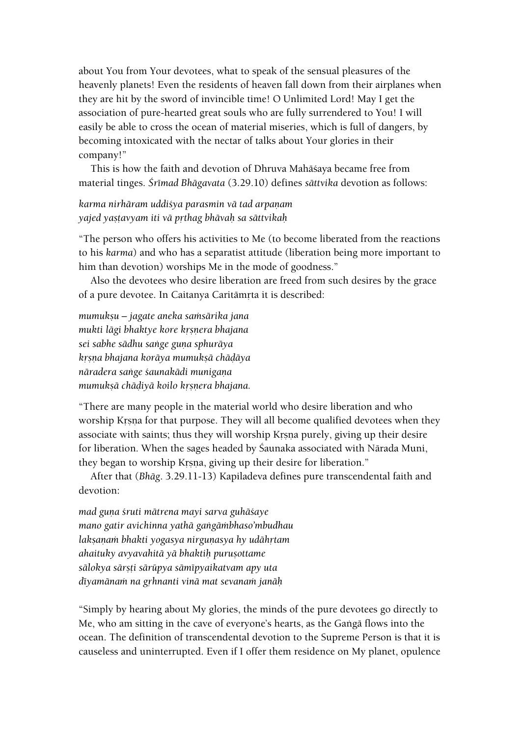about You from Your devotees, what to speak of the sensual pleasures of the heavenly planets! Even the residents of heaven fall down from their airplanes when they are hit by the sword of invincible time! O Unlimited Lord! May I get the association of pure-hearted great souls who are fully surrendered to You! I will easily be able to cross the ocean of material miseries, which is full of dangers, by becoming intoxicated with the nectar of talks about Your glories in their company!"

This is how the faith and devotion of Dhruva Mahäçaya became free from material tinges. *Çrémad Bhägavata* (3.29.10) defines *sättvika* devotion as follows:

*karma nirhāram uddišya parasmin vā tad arpaņam yajed yañöavyam iti vä påthag bhävaù sa sättvikaù*

"The person who offers his activities to Me (to become liberated from the reactions to his *karma*) and who has a separatist attitude (liberation being more important to him than devotion) worships Me in the mode of goodness."

Also the devotees who desire liberation are freed from such desires by the grace of a pure devotee. In Caitanya Caritāmrta it is described:

*mumukñu – jagate aneka saàsärika jana mukti lāgi bhaktye kore krsnera bhajana sei sabhe sädhu saìge guëa sphuräya kåñëa bhajana koräya mumukñä chäòäya näradera saìge çaunakädi munigaëa mumukṣā chāḍiyā koilo kṛṣṇera bhajana.* 

"There are many people in the material world who desire liberation and who worship Krsna for that purpose. They will all become qualified devotees when they associate with saints; thus they will worship Krsna purely, giving up their desire for liberation. When the sages headed by Çaunaka associated with Närada Muni, they began to worship Krsna, giving up their desire for liberation."

After that (*Bhäg*. 3.29.11-13) Kapiladeva defines pure transcendental faith and devotion:

*mad guna śruti mātrena mayi sarva guhāśaye mano gatir avichinna yathä gaìgäàbhaso'mbudhau lakñaëaà bhakti yogasya nirguëasya hy udähåtam ahaituky avyavahitä yä bhaktiù puruñottame sälokya särñöi särüpya sämépyaikatvam apy uta déyamänaà na gåhnanti vinä mat sevanaà janäù*

"Simply by hearing about My glories, the minds of the pure devotees go directly to Me, who am sitting in the cave of everyone's hearts, as the Ganga flows into the ocean. The definition of transcendental devotion to the Supreme Person is that it is causeless and uninterrupted. Even if I offer them residence on My planet, opulence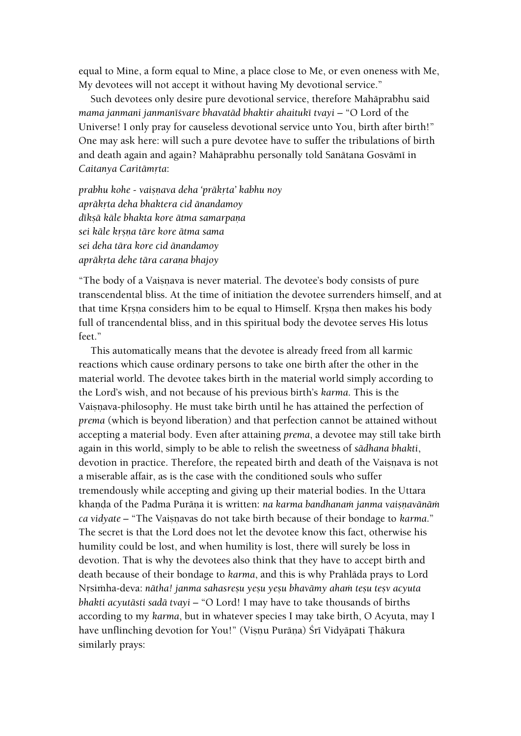equal to Mine, a form equal to Mine, a place close to Me, or even oneness with Me, My devotees will not accept it without having My devotional service."

Such devotees only desire pure devotional service, therefore Mahäprabhu said *mama janmani janmanéçvare bhavatäd bhaktir ahaituké tvayi* – "O Lord of the Universe! I only pray for causeless devotional service unto You, birth after birth!" One may ask here: will such a pure devotee have to suffer the tribulations of birth and death again and again? Mahāprabhu personally told Sanātana Gosvāmī in **Caitanya Caritāmrta:** 

*prabhu kohe - vaiñëava deha 'präkåta' kabhu noy apräkåta deha bhaktera cid änandamoy dīksā kāle bhakta kore ātma samarpana sei käle kåñëa täre kore ätma sama sei deha tära kore cid änandamoy apräkåta dehe tära caraëa bhajoy*

"The body of a Vaisnava is never material. The devotee's body consists of pure transcendental bliss. At the time of initiation the devotee surrenders himself, and at that time Krsna considers him to be equal to Himself. Krsna then makes his body full of trancendental bliss, and in this spiritual body the devotee serves His lotus feet."

This automatically means that the devotee is already freed from all karmic reactions which cause ordinary persons to take one birth after the other in the material world. The devotee takes birth in the material world simply according to the Lord's wish, and not because of his previous birth's *karma*. This is the Vaisnava-philosophy. He must take birth until he has attained the perfection of *prema* (which is beyond liberation) and that perfection cannot be attained without accepting a material body. Even after attaining *prema*, a devotee may still take birth again in this world, simply to be able to relish the sweetness of *sädhana bhakti*, devotion in practice. Therefore, the repeated birth and death of the Vaisnava is not a miserable affair, as is the case with the conditioned souls who suffer tremendously while accepting and giving up their material bodies. In the Uttara khanda of the Padma Purāna it is written: *na karma bandhanam janma vaisnavānām ca vidyate* – "The Vaisnavas do not take birth because of their bondage to *karma*." The secret is that the Lord does not let the devotee know this fact, otherwise his humility could be lost, and when humility is lost, there will surely be loss in devotion. That is why the devotees also think that they have to accept birth and death because of their bondage to *karma*, and this is why Prahläda prays to Lord Nåsiàha-deva: *nätha! janma sahasreñu yeñu yeñu bhavämy ahaà teñu teñv acyuta bhakti acyutästi sadä tvayi* – "O Lord! I may have to take thousands of births according to my *karma*, but in whatever species I may take birth, O Acyuta, may I have unflinching devotion for You!" (Visnu Purāna) Śrī Vidyāpati Thākura similarly prays: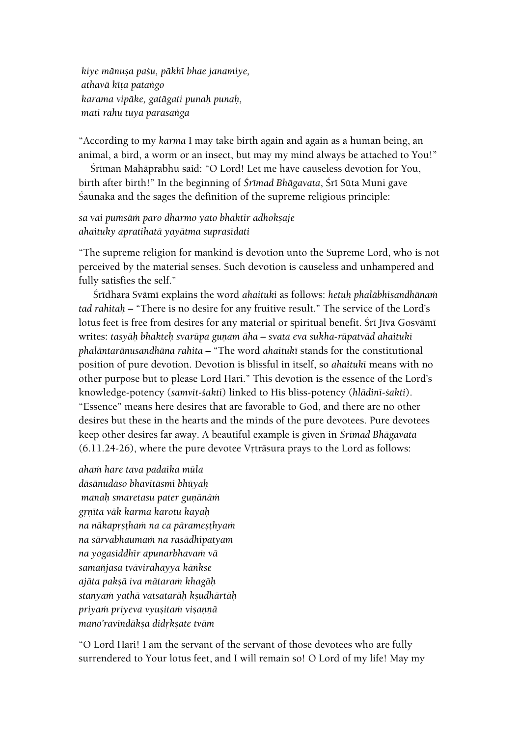*kiye mänuña paçu, päkhé bhae janamiye, athavä kéöa pataìgo karama vipäke, gatägati punaù punaù, mati rahu tuya parasaìga*

"According to my *karma* I may take birth again and again as a human being, an animal, a bird, a worm or an insect, but may my mind always be attached to You!"

Śrīman Mahāprabhu said: "O Lord! Let me have causeless devotion for You, birth after birth!" In the beginning of *Śrīmad Bhāgavata*, Śrī Sūta Muni gave Saunaka and the sages the definition of the supreme religious principle:

*sa vai puàsäà paro dharmo yato bhaktir adhokñaje ahaituky apratihatä yayätma suprasédati*

"The supreme religion for mankind is devotion unto the Supreme Lord, who is not perceived by the material senses. Such devotion is causeless and unhampered and fully satisfies the self."

Śrīdhara Svāmī explains the word *ahaituki* as follows: *hetuḥ phalābhisandhānam tad rahitaù* – "There is no desire for any fruitive result." The service of the Lord's lotus feet is free from desires for any material or spiritual benefit. Śrī Jīva Gosvāmī writes: tasyāh bhakteh svarūpa guņam āha - svata eva sukha-rūpatvād ahaitukī *phaläntaränusandhäna rahita –* "The word *ahaituké* stands for the constitutional position of pure devotion. Devotion is blissful in itself, so *ahaituké* means with no other purpose but to please Lord Hari." This devotion is the essence of the Lord's knowledge-potency (*samvit-çakti*) linked to His bliss-potency (*hlädiné-çakti*). "Essence" means here desires that are favorable to God, and there are no other desires but these in the hearts and the minds of the pure devotees. Pure devotees keep other desires far away. A beautiful example is given in *Çrémad Bhägavata*   $(6.11.24-26)$ , where the pure devotee Vrträsura prays to the Lord as follows:

*ahaà hare tava padaika müla däsänudäso bhavitäsmi bhüyaù manah smaretasu pater gunānām gåëéta väk karma karotu kayaù na nākaprstham na ca pāramesthyam na särvabhaumaà na rasädhipatyam na yogasiddhér apunarbhavaà vä samaïjasa tvävirahayya käìkse ajäta pakñä iva mätaraà khagäù stanyaà yathä vatsataräù kñudhärtäù priyaà priyeva vyuñitaà viñaëëä mano'ravindäkña didåkñate tväm*

"O Lord Hari! I am the servant of the servant of those devotees who are fully surrendered to Your lotus feet, and I will remain so! O Lord of my life! May my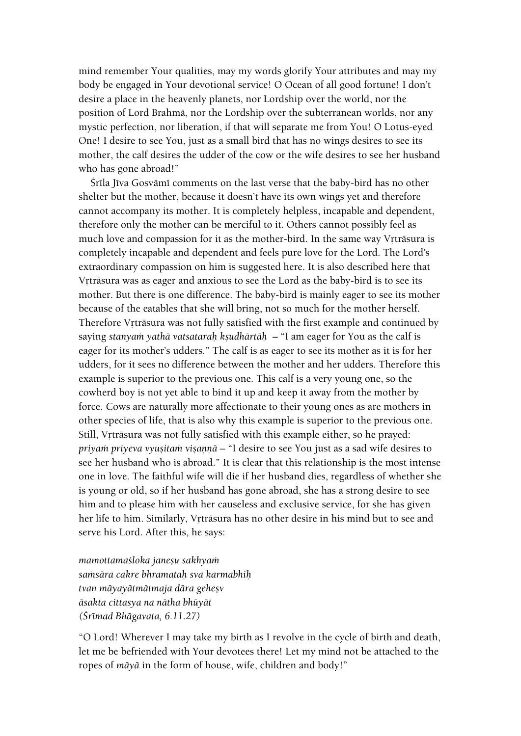mind remember Your qualities, may my words glorify Your attributes and may my body be engaged in Your devotional service! O Ocean of all good fortune! I don't desire a place in the heavenly planets, nor Lordship over the world, nor the position of Lord Brahmä, nor the Lordship over the subterranean worlds, nor any mystic perfection, nor liberation, if that will separate me from You! O Lotus-eyed One! I desire to see You, just as a small bird that has no wings desires to see its mother, the calf desires the udder of the cow or the wife desires to see her husband who has gone abroad!"

Śrīla Jīva Gosvāmī comments on the last verse that the baby-bird has no other shelter but the mother, because it doesn't have its own wings yet and therefore cannot accompany its mother. It is completely helpless, incapable and dependent, therefore only the mother can be merciful to it. Others cannot possibly feel as much love and compassion for it as the mother-bird. In the same way Vrträsura is completely incapable and dependent and feels pure love for the Lord. The Lord's extraordinary compassion on him is suggested here. It is also described here that Vrtrāsura was as eager and anxious to see the Lord as the baby-bird is to see its mother. But there is one difference. The baby-bird is mainly eager to see its mother because of the eatables that she will bring, not so much for the mother herself. Therefore Vrträsura was not fully satisfied with the first example and continued by saying *stanyam yathā vatsatarah kṣudhārtāḥ* – "I am eager for You as the calf is eager for its mother's udders." The calf is as eager to see its mother as it is for her udders, for it sees no difference between the mother and her udders. Therefore this example is superior to the previous one. This calf is a very young one, so the cowherd boy is not yet able to bind it up and keep it away from the mother by force. Cows are naturally more affectionate to their young ones as are mothers in other species of life, that is also why this example is superior to the previous one. Still, Vrträsura was not fully satisfied with this example either, so he prayed: *priyam priyeva vyusitam visannā* – "I desire to see You just as a sad wife desires to see her husband who is abroad." It is clear that this relationship is the most intense one in love. The faithful wife will die if her husband dies, regardless of whether she is young or old, so if her husband has gone abroad, she has a strong desire to see him and to please him with her causeless and exclusive service, for she has given her life to him. Similarly, Vrträsura has no other desire in his mind but to see and serve his Lord. After this, he says:

*mamottamaçloka janeñu sakhyaà saàsära cakre bhramataù sva karmabhiù tvan mäyayätmätmaja dära geheñv äsakta cittasya na nätha bhüyät (Çrémad Bhägavata, 6.11.27)*

"O Lord! Wherever I may take my birth as I revolve in the cycle of birth and death, let me be befriended with Your devotees there! Let my mind not be attached to the ropes of *mäyä* in the form of house, wife, children and body!"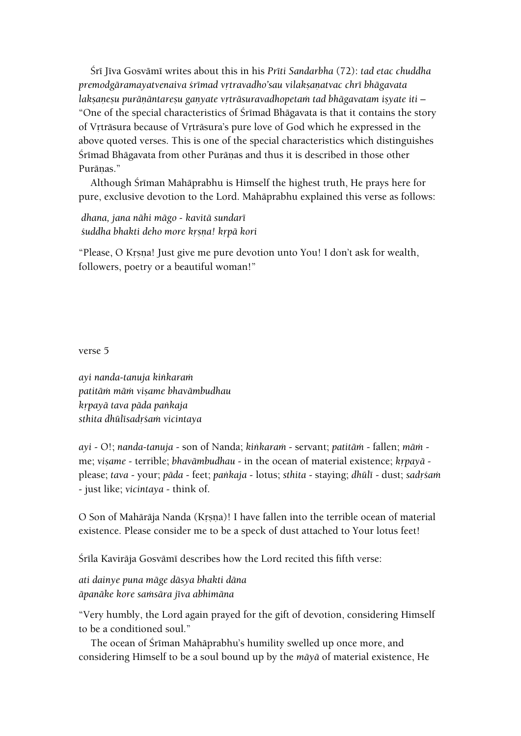Çré Jéva Gosvämé writes about this in his *Préti Sandarbha* (72): *tad etac chuddha premodgäramayatvenaiva çrémad våtravadho'sau vilakñaëatvac chré bhägavata laksanesu purānāntaresu ganyate vrtrāsuravadhopetam tad bhāgavatam isyate iti –* "One of the special characteristics of Śrīmad Bhāgavata is that it contains the story of Vrträsura because of Vrträsura's pure love of God which he expressed in the above quoted verses. This is one of the special characteristics which distinguishes Srimad Bhāgavata from other Purāņas and thus it is described in those other Purānas."

Although Śrīman Mahāprabhu is Himself the highest truth, He prays here for pure, exclusive devotion to the Lord. Mahäprabhu explained this verse as follows:

*dhana, jana nähi mägo - kavitä sundaré çuddha bhakti deho more kåñëa! kåpä kori*

"Please, O Krsna! Just give me pure devotion unto You! I don't ask for wealth, followers, poetry or a beautiful woman!"

verse 5

*ayi nanda-tanuja kiìkaraà patitäà mäà viñame bhavämbudhau kåpayä tava päda paìkaja sthita dhülésadåçaà vicintaya*

*ayi* - O!; *nanda-tanuja* - son of Nanda; *kiìkaraà* - servant; *patitäà* - fallen; *mäà* me; *visame* - terrible; *bhavāmbudhau* - in the ocean of material existence; *krpayā* please; *tava* - your; *pāda* - feet; *pankaja* - lotus; *sthita* - staying; *dhūlī* - dust; *sadrśam* - just like; *vicintaya* - think of.

O Son of Mahārāja Nanda (Krsna)! I have fallen into the terrible ocean of material existence. Please consider me to be a speck of dust attached to Your lotus feet!

Śrīla Kavirāja Gosvāmī describes how the Lord recited this fifth verse:

*ati dainye puna mäge däsya bhakti däna äpanäke kore saàsära jéva abhimäna*

"Very humbly, the Lord again prayed for the gift of devotion, considering Himself to be a conditioned soul."

The ocean of Sriman Mahāprabhu's humility swelled up once more, and considering Himself to be a soul bound up by the *mäyä* of material existence, He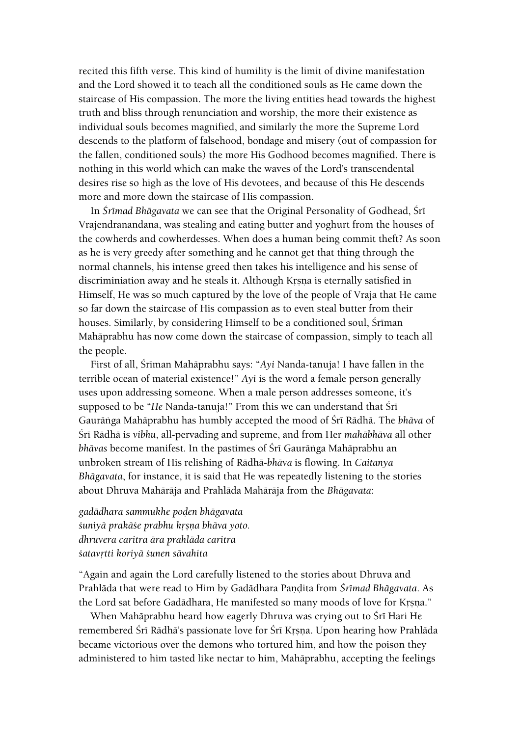recited this fifth verse. This kind of humility is the limit of divine manifestation and the Lord showed it to teach all the conditioned souls as He came down the staircase of His compassion. The more the living entities head towards the highest truth and bliss through renunciation and worship, the more their existence as individual souls becomes magnified, and similarly the more the Supreme Lord descends to the platform of falsehood, bondage and misery (out of compassion for the fallen, conditioned souls) the more His Godhood becomes magnified. There is nothing in this world which can make the waves of the Lord's transcendental desires rise so high as the love of His devotees, and because of this He descends more and more down the staircase of His compassion.

In *Śrīmad Bhāgavata* we can see that the Original Personality of Godhead, Śrī Vrajendranandana, was stealing and eating butter and yoghurt from the houses of the cowherds and cowherdesses. When does a human being commit theft? As soon as he is very greedy after something and he cannot get that thing through the normal channels, his intense greed then takes his intelligence and his sense of discriminiation away and he steals it. Although Krsna is eternally satisfied in Himself, He was so much captured by the love of the people of Vraja that He came so far down the staircase of His compassion as to even steal butter from their houses. Similarly, by considering Himself to be a conditioned soul, Śrīman Mahäprabhu has now come down the staircase of compassion, simply to teach all the people.

First of all, Śrīman Mahāprabhu says: "Ayi Nanda-tanuja! I have fallen in the terrible ocean of material existence!" *Ayi* is the word a female person generally uses upon addressing someone. When a male person addresses someone, it's supposed to be "*He* Nanda-tanuja!" From this we can understand that Śrī Gaurānga Mahāprabhu has humbly accepted the mood of Śrī Rādhā. The *bhāva* of Çré Rädhä is *vibhu*, all-pervading and supreme, and from Her *mahäbhäva* all other *bhāvas become manifest. In the pastimes of Śrī Gaurānga Mahāprabhu an* unbroken stream of His relishing of Rädhä-*bhäva* is flowing. In *Caitanya Bhägavata*, for instance, it is said that He was repeatedly listening to the stories about Dhruva Mahäräja and Prahläda Mahäräja from the *Bhägavata*:

*gadädhara sammukhe poòen bhägavata çuniyä prakäçe prabhu kåñëa bhäva yoto. dhruvera caritra ära prahläda caritra çatavåtti koriyä çunen sävahita*

"Again and again the Lord carefully listened to the stories about Dhruva and Prahlāda that were read to Him by Gadādhara Pandita from Śrīmad Bhāgavata. As the Lord sat before Gadādhara, He manifested so many moods of love for Krsna."

When Mahāprabhu heard how eagerly Dhruva was crying out to Śrī Hari He remembered Śrī Rādhā's passionate love for Śrī Krsna. Upon hearing how Prahlāda became victorious over the demons who tortured him, and how the poison they administered to him tasted like nectar to him, Mahäprabhu, accepting the feelings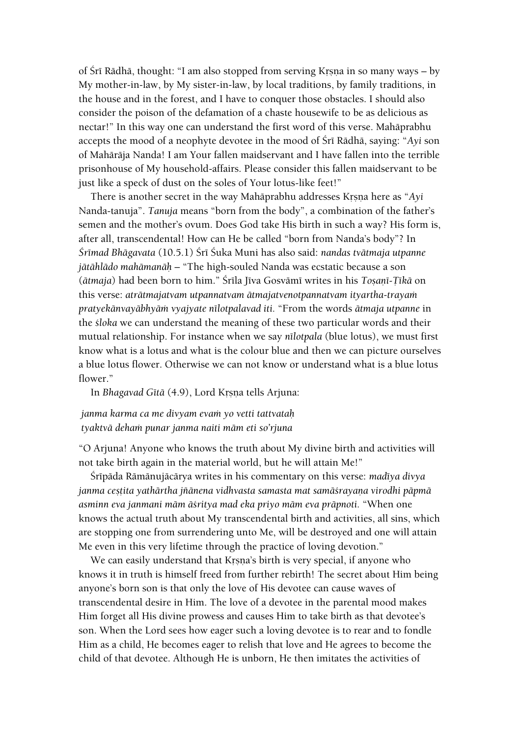of Śrī Rādhā, thought: "I am also stopped from serving Krsna in so many ways – by My mother-in-law, by My sister-in-law, by local traditions, by family traditions, in the house and in the forest, and I have to conquer those obstacles. I should also consider the poison of the defamation of a chaste housewife to be as delicious as nectar!" In this way one can understand the first word of this verse. Mahäprabhu accepts the mood of a neophyte devotee in the mood of Śrī Rādhā, saying: "*Ayi* son of Mahäräja Nanda! I am Your fallen maidservant and I have fallen into the terrible prisonhouse of My household-affairs. Please consider this fallen maidservant to be just like a speck of dust on the soles of Your lotus-like feet!"

There is another secret in the way Mahāprabhu addresses Krsna here as "Ayi Nanda-tanuja". *Tanuja* means "born from the body", a combination of the father's semen and the mother's ovum. Does God take His birth in such a way? His form is, after all, transcendental! How can He be called "born from Nanda's body"? In *Çrémad Bhägavata* (10.5.1) Çré Çuka Muni has also said: *nandas tvätmaja utpanne jätählädo mahämanäù* – "The high-souled Nanda was ecstatic because a son (*ātmaja*) had been born to him." Śrīla Jīva Gosvāmī writes in his *Tosanī-Ţīkā* on this verse: atrātmajatvam utpannatvam ātmajatvenotpannatvam ityartha-trayam *pratyekänvayäbhyäà vyajyate nélotpalavad iti.* "From the words *ätmaja utpanne* in the *çloka* we can understand the meaning of these two particular words and their mutual relationship. For instance when we say *nélotpala* (blue lotus), we must first know what is a lotus and what is the colour blue and then we can picture ourselves a blue lotus flower. Otherwise we can not know or understand what is a blue lotus flower."

In *Bhagavad Gītā* (4.9), Lord Krsna tells Arjuna:

#### *janma karma ca me divyam evaà yo vetti tattvataù tyaktvä dehaà punar janma naiti mäm eti so'rjuna*

"O Arjuna! Anyone who knows the truth about My divine birth and activities will not take birth again in the material world, but he will attain Me!"

Śrīpāda Rāmānujācārya writes in his commentary on this verse: *madīya divya* janma ceștita yathārtha jñānena vidhvasta samasta mat samā*šrayana virodhi pāpmā asminn eva janmani mäm äçritya mad eka priyo mäm eva präpnoti.* "When one knows the actual truth about My transcendental birth and activities, all sins, which are stopping one from surrendering unto Me, will be destroyed and one will attain Me even in this very lifetime through the practice of loving devotion."

We can easily understand that Krsna's birth is very special, if anyone who knows it in truth is himself freed from further rebirth! The secret about Him being anyone's born son is that only the love of His devotee can cause waves of transcendental desire in Him. The love of a devotee in the parental mood makes Him forget all His divine prowess and causes Him to take birth as that devotee's son. When the Lord sees how eager such a loving devotee is to rear and to fondle Him as a child, He becomes eager to relish that love and He agrees to become the child of that devotee. Although He is unborn, He then imitates the activities of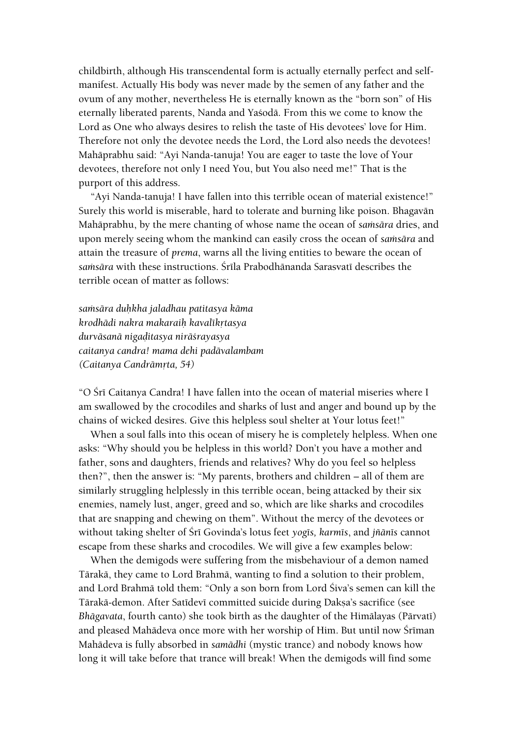childbirth, although His transcendental form is actually eternally perfect and selfmanifest. Actually His body was never made by the semen of any father and the ovum of any mother, nevertheless He is eternally known as the "born son" of His eternally liberated parents, Nanda and Yaçodä. From this we come to know the Lord as One who always desires to relish the taste of His devotees' love for Him. Therefore not only the devotee needs the Lord, the Lord also needs the devotees! Mahäprabhu said: "Ayi Nanda-tanuja! You are eager to taste the love of Your devotees, therefore not only I need You, but You also need me!" That is the purport of this address.

"Ayi Nanda-tanuja! I have fallen into this terrible ocean of material existence!" Surely this world is miserable, hard to tolerate and burning like poison. Bhagavän Mahāprabhu, by the mere chanting of whose name the ocean of *samsāra* dries, and upon merely seeing whom the mankind can easily cross the ocean of *samsāra* and attain the treasure of *prema*, warns all the living entities to beware the ocean of samsāra with these instructions. Śrīla Prabodhānanda Sarasvatī describes the terrible ocean of matter as follows:

*saàsära duùkha jaladhau patitasya käma krodhädi nakra makaraiù kavalékåtasya durväsanä nigaòitasya niräçrayasya caitanya candra! mama dehi padävalambam (Caitanya Candrāmrta, 54)* 

"O Śrī Caitanya Candra! I have fallen into the ocean of material miseries where I am swallowed by the crocodiles and sharks of lust and anger and bound up by the chains of wicked desires. Give this helpless soul shelter at Your lotus feet!"

When a soul falls into this ocean of misery he is completely helpless. When one asks: "Why should you be helpless in this world? Don't you have a mother and father, sons and daughters, friends and relatives? Why do you feel so helpless then?", then the answer is: "My parents, brothers and children – all of them are similarly struggling helplessly in this terrible ocean, being attacked by their six enemies, namely lust, anger, greed and so, which are like sharks and crocodiles that are snapping and chewing on them". Without the mercy of the devotees or without taking shelter of Śrī Govinda's lotus feet *yog*īs, karmīs, and *jñānīs* cannot escape from these sharks and crocodiles. We will give a few examples below:

When the demigods were suffering from the misbehaviour of a demon named Tärakä, they came to Lord Brahmä, wanting to find a solution to their problem, and Lord Brahmā told them: "Only a son born from Lord Śiva's semen can kill the Tārakā-demon. After Satīdevī committed suicide during Daksa's sacrifice (see *Bhāgavata*, fourth canto) she took birth as the daughter of the Himālayas (Pārvatī) and pleased Mahādeva once more with her worship of Him. But until now Śrīman Mahädeva is fully absorbed in *samädhi* (mystic trance) and nobody knows how long it will take before that trance will break! When the demigods will find some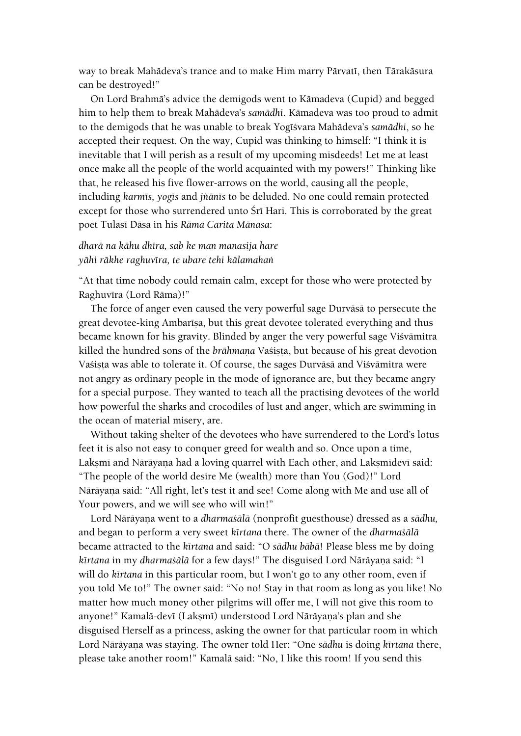way to break Mahādeva's trance and to make Him marry Pārvatī, then Tārakāsura can be destroyed!"

On Lord Brahmä's advice the demigods went to Kämadeva (Cupid) and begged him to help them to break Mahädeva's *samädhi*. Kämadeva was too proud to admit to the demigods that he was unable to break Yogīśvara Mahādeva's samādhi, so he accepted their request. On the way, Cupid was thinking to himself: "I think it is inevitable that I will perish as a result of my upcoming misdeeds! Let me at least once make all the people of the world acquainted with my powers!" Thinking like that, he released his five flower-arrows on the world, causing all the people, including *karmés, yogés* and *jïänés* to be deluded. No one could remain protected except for those who surrendered unto Sri Hari. This is corroborated by the great poet Tulasé Däsa in his *Räma Carita Mänasa*:

# *dharä na kähu dhéra, sab ke man manasija hare yähi räkhe raghuvéra, te ubare tehi kälamahaì*

"At that time nobody could remain calm, except for those who were protected by Raghuvīra (Lord Rāma)!"

The force of anger even caused the very powerful sage Durväsä to persecute the great devotee-king Ambarisa, but this great devotee tolerated everything and thus became known for his gravity. Blinded by anger the very powerful sage Viçvämitra killed the hundred sons of the *brāhmana* Vasista, but because of his great devotion Vasista was able to tolerate it. Of course, the sages Durvāsā and Visvāmitra were not angry as ordinary people in the mode of ignorance are, but they became angry for a special purpose. They wanted to teach all the practising devotees of the world how powerful the sharks and crocodiles of lust and anger, which are swimming in the ocean of material misery, are.

Without taking shelter of the devotees who have surrendered to the Lord's lotus feet it is also not easy to conquer greed for wealth and so. Once upon a time, Lakṣmī and Nārāyaṇa had a loving quarrel with Each other, and Lakṣmīdevī said: "The people of the world desire Me (wealth) more than You (God)!" Lord Nārāyaṇa said: "All right, let's test it and see! Come along with Me and use all of Your powers, and we will see who will win!"

Lord Nārāyaņa went to a *dharmaśālā* (nonprofit guesthouse) dressed as a sādhu, and began to perform a very sweet *kértana* there. The owner of the *dharmaçälä* became attracted to the *kértana* and said: "O *sädhu bäbä*! Please bless me by doing *kīrtana* in my *dharmaśālā* for a few days!" The disguised Lord Nārāyana said: "I will do *kīrtana* in this particular room, but I won't go to any other room, even if you told Me to!" The owner said: "No no! Stay in that room as long as you like! No matter how much money other pilgrims will offer me, I will not give this room to anyone!" Kamalā-devī (Lakṣmī) understood Lord Nārāyaṇa's plan and she disguised Herself as a princess, asking the owner for that particular room in which Lord Nārāyaṇa was staying. The owner told Her: "One sādhu is doing kīrtana there, please take another room!" Kamalä said: "No, I like this room! If you send this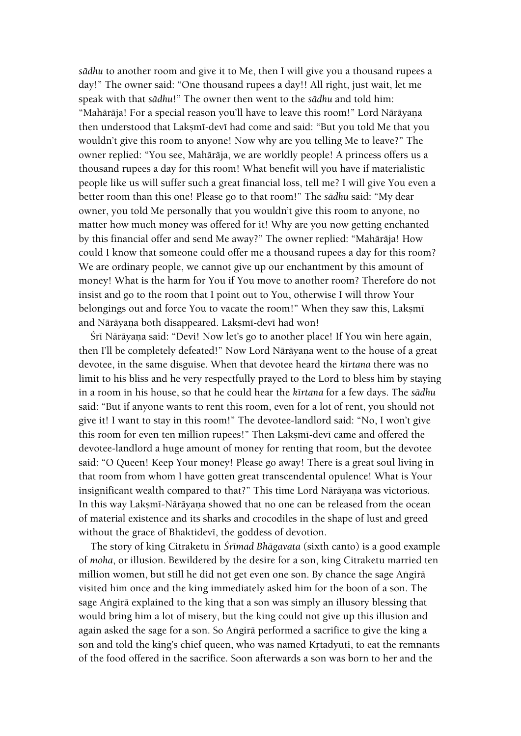*sädhu* to another room and give it to Me, then I will give you a thousand rupees a day!" The owner said: "One thousand rupees a day!! All right, just wait, let me speak with that *sädhu*!" The owner then went to the *sädhu* and told him: "Mahārāja! For a special reason you'll have to leave this room!" Lord Nārāyaṇa then understood that Laksmī-devī had come and said: "But you told Me that you wouldn't give this room to anyone! Now why are you telling Me to leave?" The owner replied: "You see, Mahäräja, we are worldly people! A princess offers us a thousand rupees a day for this room! What benefit will you have if materialistic people like us will suffer such a great financial loss, tell me? I will give You even a better room than this one! Please go to that room!" The *sädhu* said: "My dear owner, you told Me personally that you wouldn't give this room to anyone, no matter how much money was offered for it! Why are you now getting enchanted by this financial offer and send Me away?" The owner replied: "Mahäräja! How could I know that someone could offer me a thousand rupees a day for this room? We are ordinary people, we cannot give up our enchantment by this amount of money! What is the harm for You if You move to another room? Therefore do not insist and go to the room that I point out to You, otherwise I will throw Your belongings out and force You to vacate the room!" When they saw this, Lakṣmī and Nārāyana both disappeared. Laksmī-devī had won!

Śrī Nārāyaṇa said: "Devi! Now let's go to another place! If You win here again, then I'll be completely defeated!" Now Lord Nārāyaṇa went to the house of a great devotee, in the same disguise. When that devotee heard the *kértana* there was no limit to his bliss and he very respectfully prayed to the Lord to bless him by staying in a room in his house, so that he could hear the *kértana* for a few days. The *sädhu* said: "But if anyone wants to rent this room, even for a lot of rent, you should not give it! I want to stay in this room!" The devotee-landlord said: "No, I won't give this room for even ten million rupees!" Then Laksmi-devi came and offered the devotee-landlord a huge amount of money for renting that room, but the devotee said: "O Queen! Keep Your money! Please go away! There is a great soul living in that room from whom I have gotten great transcendental opulence! What is Your insignificant wealth compared to that?" This time Lord Nārāyaṇa was victorious. In this way Lakṣmī-Nārāyaṇa showed that no one can be released from the ocean of material existence and its sharks and crocodiles in the shape of lust and greed without the grace of Bhaktidevi, the goddess of devotion.

The story of king Citraketu in *Çrémad Bhägavata* (sixth canto) is a good example of *moha*, or illusion. Bewildered by the desire for a son, king Citraketu married ten million women, but still he did not get even one son. By chance the sage Angira visited him once and the king immediately asked him for the boon of a son. The sage Angirā explained to the king that a son was simply an illusory blessing that would bring him a lot of misery, but the king could not give up this illusion and again asked the sage for a son. So Angirā performed a sacrifice to give the king a son and told the king's chief queen, who was named Krtadyuti, to eat the remnants of the food offered in the sacrifice. Soon afterwards a son was born to her and the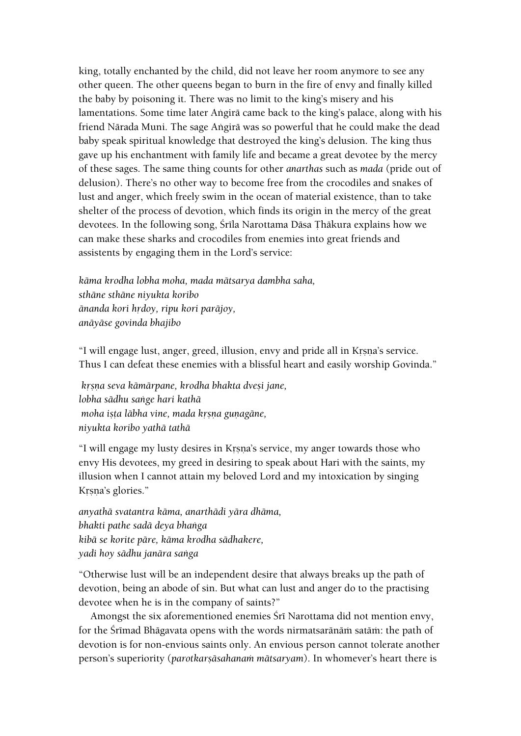king, totally enchanted by the child, did not leave her room anymore to see any other queen. The other queens began to burn in the fire of envy and finally killed the baby by poisoning it. There was no limit to the king's misery and his lamentations. Some time later Angirā came back to the king's palace, along with his friend Nārada Muni. The sage Angirā was so powerful that he could make the dead baby speak spiritual knowledge that destroyed the king's delusion. The king thus gave up his enchantment with family life and became a great devotee by the mercy of these sages. The same thing counts for other *anarthas* such as *mada* (pride out of delusion). There's no other way to become free from the crocodiles and snakes of lust and anger, which freely swim in the ocean of material existence, than to take shelter of the process of devotion, which finds its origin in the mercy of the great devotees. In the following song, Śrīla Narottama Dāsa Thākura explains how we can make these sharks and crocodiles from enemies into great friends and assistents by engaging them in the Lord's service:

*käma krodha lobha moha, mada mätsarya dambha saha, sthäne sthäne niyukta koribo*  $\bar{a}$ nanda kori hrdoy, ripu kori parājoy, *anäyäse govinda bhajibo*

"I will engage lust, anger, greed, illusion, envy and pride all in Krsna's service. Thus I can defeat these enemies with a blissful heart and easily worship Govinda."

*kåñëa seva kämärpane, krodha bhakta dveñi jane, lobha sädhu saìge hari kathä moha ista lābha vine, mada krsna gunagāne, niyukta koribo yathä tathä*

"I will engage my lusty desires in Krsna's service, my anger towards those who envy His devotees, my greed in desiring to speak about Hari with the saints, my illusion when I cannot attain my beloved Lord and my intoxication by singing Krsna's glories."

*anyathä svatantra käma, anarthädi yära dhäma, bhakti pathe sadä deya bhaìga kibä se korite päre, käma krodha sädhakere, yadi hoy sädhu janära saìga*

"Otherwise lust will be an independent desire that always breaks up the path of devotion, being an abode of sin. But what can lust and anger do to the practising devotee when he is in the company of saints?"

Amongst the six aforementioned enemies Śrī Narottama did not mention envy, for the Śrīmad Bhāgavata opens with the words nirmatsarānām satām: the path of devotion is for non-envious saints only. An envious person cannot tolerate another person's superiority (*parotkarṣāsahanam mātsaryam*). In whomever's heart there is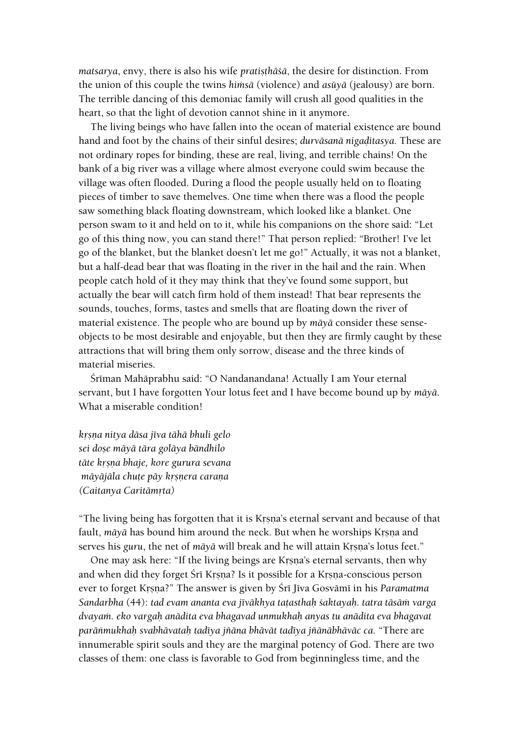*matsarya*, envy, there is also his wife *pratisthāśā*, the desire for distinction. From the union of this couple the twins *himsā* (violence) and *asūyā* (jealousy) are born. The terrible dancing of this demoniac family will crush all good qualities in the heart, so that the light of devotion cannot shine in it anymore.

The living beings who have fallen into the ocean of material existence are bound hand and foot by the chains of their sinful desires; *durvāsanā nigaditasya*. These are not ordinary ropes for binding, these are real, living, and terrible chains! On the bank of a big river was a village where almost everyone could swim because the village was often flooded. During a flood the people usually held on to floating pieces of timber to save themelves. One time when there was a flood the people saw something black floating downstream, which looked like a blanket. One person swam to it and held on to it, while his companions on the shore said: "Let go of this thing now, you can stand there!" That person replied: "Brother! I've let go of the blanket, but the blanket doesn't let me go!" Actually, it was not a blanket, but a half-dead bear that was floating in the river in the hail and the rain. When people catch hold of it they may think that they've found some support, but actually the bear will catch firm hold of them instead! That bear represents the sounds, touches, forms, tastes and smells that are floating down the river of material existence. The people who are bound up by *mäyä* consider these senseobjects to be most desirable and enjoyable, but then they are firmly caught by these attractions that will bring them only sorrow, disease and the three kinds of material miseries.

Śrīman Mahāprabhu said: "O Nandanandana! Actually I am Your eternal servant, but I have forgotten Your lotus feet and I have become bound up by *mäyä*. What a miserable condition!

*kåñëa nitya däsa jéva tähä bhuli gelo sei doñe mäyä tära goläya bändhilo täte kåñëa bhaje, kore gurura sevana māyājāla chute pāy krsnera carana (Caitanya Caritämåta)*

"The living being has forgotten that it is Krsna's eternal servant and because of that fault, *māyā* has bound him around the neck. But when he worships Krsna and serves his *guru*, the net of *māyā* will break and he will attain Krsna's lotus feet."

One may ask here: "If the living beings are Krsna's eternal servants, then why and when did they forget Śrī Krsna? Is it possible for a Krsna-conscious person ever to forget Krsna?" The answer is given by Śrī Jīva Gosvāmī in his *Paramatma Sandarbha* (44): *tad evam ananta eva jīvākhya tatasthah śaktayah. tatra tāsām varga dvayaà. eko vargaù anädita eva bhagavad unmukhaù anyas tu anädita eva bhagavat paräìmukhaù svabhävataù tadéya jïäna bhävät tadéya jïänäbhäväc ca.* "There are innumerable spirit souls and they are the marginal potency of God. There are two classes of them: one class is favorable to God from beginningless time, and the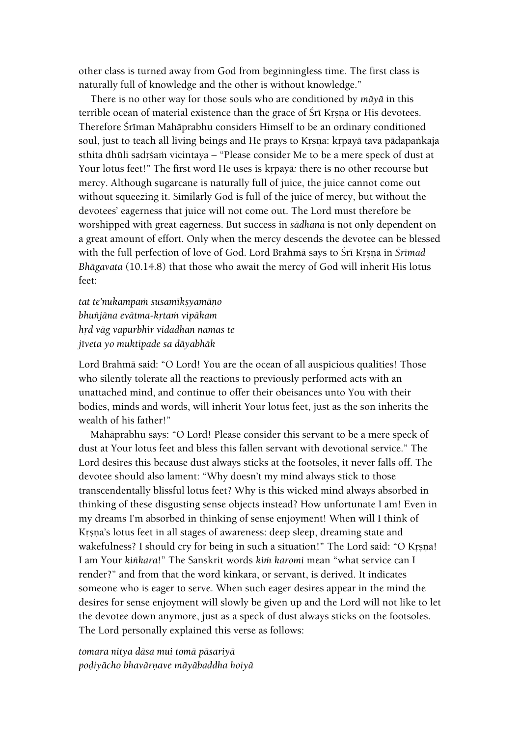other class is turned away from God from beginningless time. The first class is naturally full of knowledge and the other is without knowledge."

There is no other way for those souls who are conditioned by *mäyä* in this terrible ocean of material existence than the grace of Śrī Krsna or His devotees. Therefore Śrīman Mahāprabhu considers Himself to be an ordinary conditioned soul, just to teach all living beings and He prays to Krsna: krpayā tava pādapaṅkaja sthita dhūli sadrśam vicintaya – "Please consider Me to be a mere speck of dust at Your lotus feet!" The first word He uses is krpaya: there is no other recourse but mercy. Although sugarcane is naturally full of juice, the juice cannot come out without squeezing it. Similarly God is full of the juice of mercy, but without the devotees' eagerness that juice will not come out. The Lord must therefore be worshipped with great eagerness. But success in *sädhana* is not only dependent on a great amount of effort. Only when the mercy descends the devotee can be blessed with the full perfection of love of God. Lord Brahma says to Śrī Krsņa in *Śrīmad Bhägavata* (10.14.8) that those who await the mercy of God will inherit His lotus feet:

*tat te'nukampam susamīksyamāno bhuïjäna evätma-kåtaà vipäkam håd väg vapurbhir vidadhan namas te jéveta yo muktipade sa däyabhäk*

Lord Brahmä said: "O Lord! You are the ocean of all auspicious qualities! Those who silently tolerate all the reactions to previously performed acts with an unattached mind, and continue to offer their obeisances unto You with their bodies, minds and words, will inherit Your lotus feet, just as the son inherits the wealth of his father!"

Mahäprabhu says: "O Lord! Please consider this servant to be a mere speck of dust at Your lotus feet and bless this fallen servant with devotional service." The Lord desires this because dust always sticks at the footsoles, it never falls off. The devotee should also lament: "Why doesn't my mind always stick to those transcendentally blissful lotus feet? Why is this wicked mind always absorbed in thinking of these disgusting sense objects instead? How unfortunate I am! Even in my dreams I'm absorbed in thinking of sense enjoyment! When will I think of Krsna's lotus feet in all stages of awareness: deep sleep, dreaming state and wakefulness? I should cry for being in such a situation!" The Lord said: "O Krsna! I am Your *kiìkara*!" The Sanskrit words *kià karomi* mean "what service can I render?" and from that the word kiìkara, or servant, is derived. It indicates someone who is eager to serve. When such eager desires appear in the mind the desires for sense enjoyment will slowly be given up and the Lord will not like to let the devotee down anymore, just as a speck of dust always sticks on the footsoles. The Lord personally explained this verse as follows:

*tomara nitya däsa mui tomä päsariyä podiyācho bhavārnave māyābaddha hoiyā*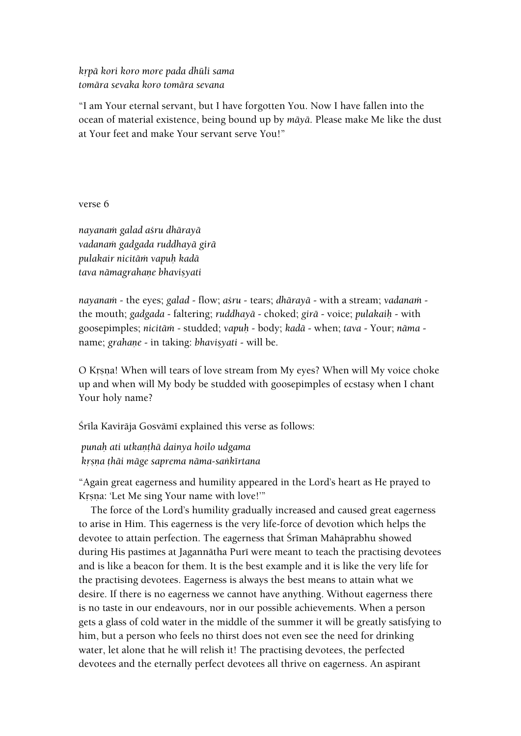# *kåpä kori koro more pada dhüli sama tomära sevaka koro tomära sevana*

"I am Your eternal servant, but I have forgotten You. Now I have fallen into the ocean of material existence, being bound up by *mäyä*. Please make Me like the dust at Your feet and make Your servant serve You!"

verse 6

*nayanaà galad açru dhärayä vadanaà gadgada ruddhayä girä pulakair nicitäà vapuù kadä tava nāmagrahane bhavisyati* 

*nayanam* - the eyes; *galad* - flow; *asru* - tears; *dhārayā* - with a stream; *vadanam* the mouth; *gadgada* - faltering; *ruddhayä* - choked; *girä* - voice; *pulakaiù* - with goosepimples; *nicitäà* - studded; *vapuù* - body; *kadä* - when; *tava* - Your; *näma* name; *grahane* - in taking: *bhavisyati* - will be.

O Krsna! When will tears of love stream from My eyes? When will My voice choke up and when will My body be studded with goosepimples of ecstasy when I chant Your holy name?

Śrīla Kavirāja Gosvāmī explained this verse as follows:

*punaù ati utkaëöhä dainya hoilo udgama kåñëa öhäi mäge saprema näma-saìkértana*

"Again great eagerness and humility appeared in the Lord's heart as He prayed to Krsna: 'Let Me sing Your name with love!'"

The force of the Lord's humility gradually increased and caused great eagerness to arise in Him. This eagerness is the very life-force of devotion which helps the devotee to attain perfection. The eagerness that Śrīman Mahāprabhu showed during His pastimes at Jagannātha Purī were meant to teach the practising devotees and is like a beacon for them. It is the best example and it is like the very life for the practising devotees. Eagerness is always the best means to attain what we desire. If there is no eagerness we cannot have anything. Without eagerness there is no taste in our endeavours, nor in our possible achievements. When a person gets a glass of cold water in the middle of the summer it will be greatly satisfying to him, but a person who feels no thirst does not even see the need for drinking water, let alone that he will relish it! The practising devotees, the perfected devotees and the eternally perfect devotees all thrive on eagerness. An aspirant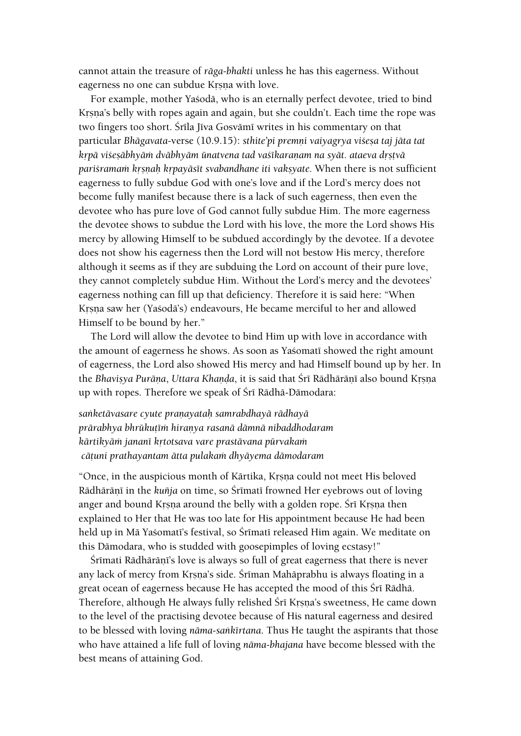cannot attain the treasure of *räga-bhakti* unless he has this eagerness. Without eagerness no one can subdue Krsna with love.

For example, mother Yaçodä, who is an eternally perfect devotee, tried to bind Krsna's belly with ropes again and again, but she couldn't. Each time the rope was two fingers too short. Śrīla Jīva Gosvāmī writes in his commentary on that particular *Bhāgavata-verse* (10.9.15): *sthite'pi premni vaiyagrya višesa taj jāta tat k*rpā viśeṣābhyām dvābhyām ūnatvena tad vaśīkaraṇam na syāt. ataeva dṛṣṭvā pari*sramam krsnah krpayāsīt svabandhane iti vaksyate*. When there is not sufficient eagerness to fully subdue God with one's love and if the Lord's mercy does not become fully manifest because there is a lack of such eagerness, then even the devotee who has pure love of God cannot fully subdue Him. The more eagerness the devotee shows to subdue the Lord with his love, the more the Lord shows His mercy by allowing Himself to be subdued accordingly by the devotee. If a devotee does not show his eagerness then the Lord will not bestow His mercy, therefore although it seems as if they are subduing the Lord on account of their pure love, they cannot completely subdue Him. Without the Lord's mercy and the devotees' eagerness nothing can fill up that deficiency. Therefore it is said here: "When Krsna saw her (Yaśodā's) endeavours, He became merciful to her and allowed Himself to be bound by her."

The Lord will allow the devotee to bind Him up with love in accordance with the amount of eagerness he shows. As soon as Yasomati showed the right amount of eagerness, the Lord also showed His mercy and had Himself bound up by her. In the *Bhavisya Purāna, Uttara Khanda, it is said that Śrī Rādhārānī also bound Krsna* up with ropes. Therefore we speak of Śrī Rādhā-Dāmodara:

*saìketävasare cyute praëayataù samrabdhayä rädhayä prärabhya bhrükuöéà hiraëya rasanä dämnä nibaddhodaram kärtikyäà janané kåtotsava vare prastävana pürvakaà cäöuni prathayantam ätta pulakaà dhyäyema dämodaram*

"Once, in the auspicious month of Kārtika, Krsna could not meet His beloved Rādhārāņī in the *kuñja* on time, so Śrīmatī frowned Her eyebrows out of loving anger and bound Krsna around the belly with a golden rope. Śrī Krsna then explained to Her that He was too late for His appointment because He had been held up in Mā Yaśomatī's festival, so Śrīmatī released Him again. We meditate on this Dämodara, who is studded with goosepimples of loving ecstasy!"

Śrīmati Rādhārānī's love is always so full of great eagerness that there is never any lack of mercy from Krsna's side. Śrīman Mahāprabhu is always floating in a great ocean of eagerness because He has accepted the mood of this Śrī Rādhā. Therefore, although He always fully relished Śrī Krsna's sweetness, He came down to the level of the practising devotee because of His natural eagerness and desired to be blessed with loving *näma-saìkértana*. Thus He taught the aspirants that those who have attained a life full of loving *näma-bhajana* have become blessed with the best means of attaining God.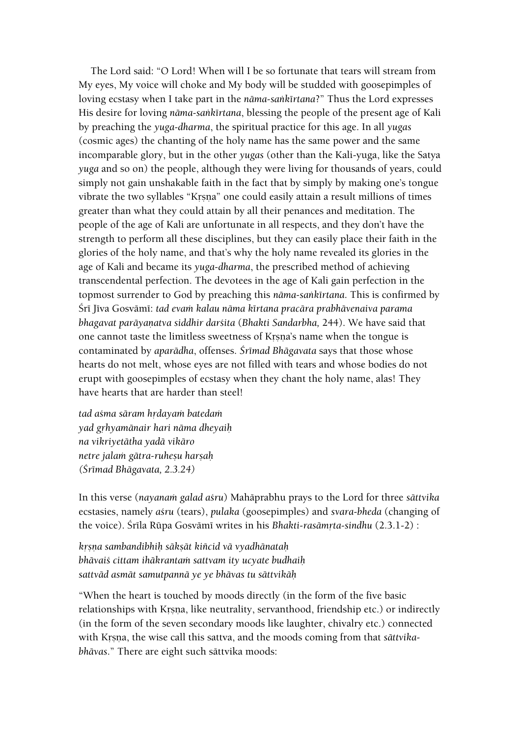The Lord said: "O Lord! When will I be so fortunate that tears will stream from My eyes, My voice will choke and My body will be studded with goosepimples of loving ecstasy when I take part in the *nāma-sankīrtana*?" Thus the Lord expresses His desire for loving *näma-saìkértana*, blessing the people of the present age of Kali by preaching the *yuga-dharma*, the spiritual practice for this age. In all *yugas* (cosmic ages) the chanting of the holy name has the same power and the same incomparable glory, but in the other *yugas* (other than the Kali-yuga, like the Satya *yuga* and so on) the people, although they were living for thousands of years, could simply not gain unshakable faith in the fact that by simply by making one's tongue vibrate the two syllables "Krsna" one could easily attain a result millions of times greater than what they could attain by all their penances and meditation. The people of the age of Kali are unfortunate in all respects, and they don't have the strength to perform all these disciplines, but they can easily place their faith in the glories of the holy name, and that's why the holy name revealed its glories in the age of Kali and became its *yuga-dharma*, the prescribed method of achieving transcendental perfection. The devotees in the age of Kali gain perfection in the topmost surrender to God by preaching this *näma-saìkértana*. This is confirmed by Śrī Jīva Gosvāmī: *tad evam kalau nāma kīrtana pracāra prabhāvenaiva parama bhagavat parāyanatva siddhir darśita* (*Bhakti Sandarbha, 244*). We have said that one cannot taste the limitless sweetness of Krsna's name when the tongue is contaminated by *aparädha*, offenses. *Çrémad Bhägavata* says that those whose hearts do not melt, whose eyes are not filled with tears and whose bodies do not erupt with goosepimples of ecstasy when they chant the holy name, alas! They have hearts that are harder than steel!

*tad asma sāram hrdayam batedam yad gåhyamänair hari näma dheyaiù na vikriyetätha yadä vikäro netre jalaà gätra-ruheñu harñaù (Çrémad Bhägavata, 2.3.24)*

In this verse (*nayanaà galad açru*) Mahäprabhu prays to the Lord for three *sättvika* ecstasies, namely *açru* (tears), *pulaka* (goosepimples) and *svara-bheda* (changing of the voice). Śrīla Rūpa Gosvāmī writes in his *Bhakti-rasāmrta-sindhu* (2.3.1-2) :

*kåñëa sambandibhiù säkñät kiïcid vä vyadhänataù bhävaiç cittam ihäkrantaà sattvam ity ucyate budhaiù sattväd asmät samutpannä ye ye bhävas tu sättvikäù*

"When the heart is touched by moods directly (in the form of the five basic relationships with Krsna, like neutrality, servanthood, friendship etc.) or indirectly (in the form of the seven secondary moods like laughter, chivalry etc.) connected with Krsna, the wise call this sattva, and the moods coming from that *sättvikabhävas*." There are eight such sättvika moods: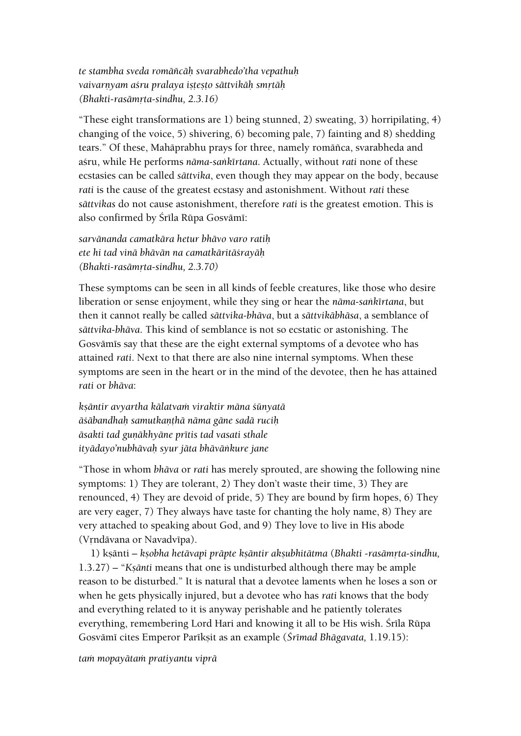*te stambha sveda romäïcäù svarabhedo'tha vepathuù*  vaivarnyam aśru pralaya istesto sāttvikāh smrtāh *(Bhakti-rasāmrta-sindhu, 2.3.16)* 

"These eight transformations are 1) being stunned, 2) sweating, 3) horripilating, 4) changing of the voice, 5) shivering, 6) becoming pale, 7) fainting and 8) shedding tears." Of these, Mahäprabhu prays for three, namely romäïca, svarabheda and açru, while He performs *näma-saìkértana*. Actually, without *rati* none of these ecstasies can be called *sättvika*, even though they may appear on the body, because *rati* is the cause of the greatest ecstasy and astonishment. Without *rati* these *sättvikas* do not cause astonishment, therefore *rati* is the greatest emotion. This is also confirmed by Śrīla Rūpa Gosvāmī:

*sarvänanda camatkära hetur bhävo varo ratiù ete hi tad vinä bhävän na camatkäritäçrayäù (Bhakti-rasämåta-sindhu, 2.3.70)*

These symptoms can be seen in all kinds of feeble creatures, like those who desire liberation or sense enjoyment, while they sing or hear the *nāma-sankīrtana*, but then it cannot really be called *sättvika-bhäva*, but a *sättvikäbhäsa*, a semblance of *sättvika-bhäva*. This kind of semblance is not so ecstatic or astonishing. The Gosvāmīs say that these are the eight external symptoms of a devotee who has attained *rati*. Next to that there are also nine internal symptoms. When these symptoms are seen in the heart or in the mind of the devotee, then he has attained *rati* or *bhäva*:

*kñäntir avyartha kälatvaà viraktir mäna çünyatä äçäbandhaù samutkaëöhä näma gäne sadä ruciù*  $\bar{a}$ sakti tad gunākhyāne prītis tad vasati sthale *ityädayo'nubhävaù syur jäta bhäväìkure jane*

"Those in whom *bhäva* or *rati* has merely sprouted, are showing the following nine symptoms: 1) They are tolerant, 2) They don't waste their time, 3) They are renounced, 4) They are devoid of pride, 5) They are bound by firm hopes, 6) They are very eager, 7) They always have taste for chanting the holy name, 8) They are very attached to speaking about God, and 9) They love to live in His abode (Vrndāvana or Navadvīpa).

1) ksānti – *ksobha hetāvapi prāpte ksāntir aksubhitātma* (*Bhakti -rasāmrta-sindhu,* 1.3.27) – "*Kṣānti* means that one is undisturbed although there may be ample reason to be disturbed." It is natural that a devotee laments when he loses a son or when he gets physically injured, but a devotee who has *rati* knows that the body and everything related to it is anyway perishable and he patiently tolerates everything, remembering Lord Hari and knowing it all to be His wish. Srila Rūpa Gosvāmī cites Emperor Parīkṣit as an example (*Śrīmad Bhāgavata*, 1.19.15):

*taà mopayätaà pratiyantu viprä*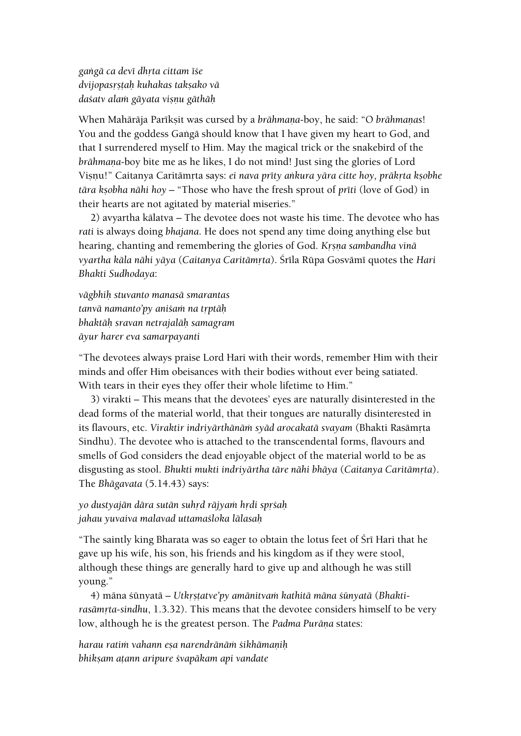*gaìgä ca devé dhåta cittam éçe dvijopasåñöaù kuhakas takñako vä daçatv alaà gäyata viñëu gäthäù*

When Mahārāja Parīksit was cursed by a *brāhmana*-boy, he said: "O *brāhmanas*! You and the goddess Gangā should know that I have given my heart to God, and that I surrendered myself to Him. May the magical trick or the snakebird of the *brāhmaņa-boy bite me as he likes, I do not mind! Just sing the glories of Lord* Vișņu!" Caitanya Caritāmŗta says: *ei nava prīty ankura yāra citte hoy, prākŗta kṣobhe tāra kṣobha nāhi hoy* – "Those who have the fresh sprout of *prīti* (love of God) in their hearts are not agitated by material miseries."

2) avyartha kälatva – The devotee does not waste his time. The devotee who has *rati* is always doing *bhajana*. He does not spend any time doing anything else but hearing, chanting and remembering the glories of God. *Krsna sambandha vinā vyartha käla nähi yäya* (*Caitanya Caritämåta*). Çréla Rüpa Gosvämé quotes the *Hari Bhakti Sudhodaya*:

*vägbhiù stuvanto manasä smarantas tanvā namanto'py anišam na trptāh bhaktäù sravan netrajaläù samagram äyur harer eva samarpayanti*

"The devotees always praise Lord Hari with their words, remember Him with their minds and offer Him obeisances with their bodies without ever being satiated. With tears in their eyes they offer their whole lifetime to Him."

3) virakti – This means that the devotees' eyes are naturally disinterested in the dead forms of the material world, that their tongues are naturally disinterested in its flavours, etc. *Viraktir indriyārthānām syād arocakatā svayam* (Bhakti Rasāmrta Sindhu). The devotee who is attached to the transcendental forms, flavours and smells of God considers the dead enjoyable object of the material world to be as disgusting as stool. *Bhukti mukti indriyārtha tāre nāhi bhāya* (Caitanya Caritāmrta). The *Bhägavata* (5.14.43) says:

*yo dustyajän dära sutän suhåd räjyaà hådi spåçaù jahau yuvaiva malavad uttamaçloka lälasaù*

"The saintly king Bharata was so eager to obtain the lotus feet of Śrī Hari that he gave up his wife, his son, his friends and his kingdom as if they were stool, although these things are generally hard to give up and although he was still young."

4) māna śūnyatā – Utkrstatve'py amānitvam kathitā māna śūnyatā (Bhaktirasāmrta-sindhu, 1.3.32). This means that the devotee considers himself to be very low, although he is the greatest person. The *Padma Purāņa* states:

*harau ratià vahann eña narendränäà çikhämaëiù bhikñam aöann aripure çvapäkam api vandate*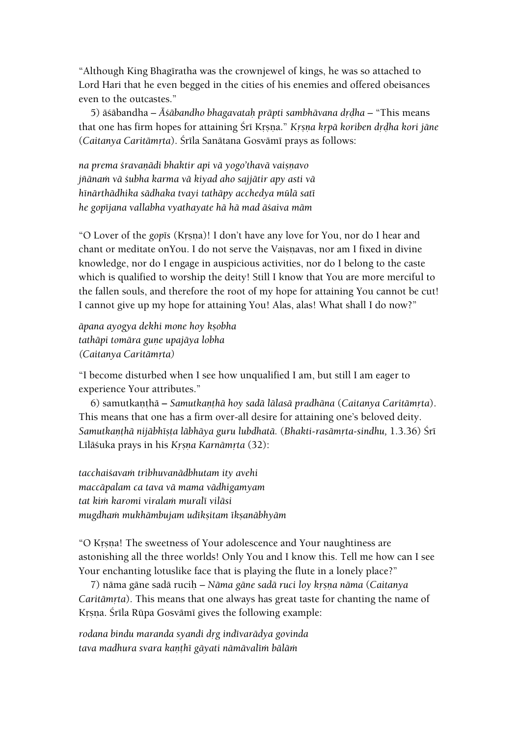"Although King Bhagiratha was the crownjewel of kings, he was so attached to Lord Hari that he even begged in the cities of his enemies and offered obeisances even to the outcastes."

5) äsäbandha – *Āsābandho bhagavatah prāpti sambhāvana drdha* – "This means that one has firm hopes for attaining Śrī Krsna." *Krsna krpā koriben drdha kori jāne* (*Caitanya Caritāmrta*). Śrīla Sanātana Gosvāmī prays as follows:

*na prema çravaëädi bhaktir api vä yogo'thavä vaiñëavo jïänaà vä çubha karma vä kiyad aho sajjätir apy asti vä hénärthädhika sädhaka tvayi tathäpy acchedya mülä saté he gopéjana vallabha vyathayate hä hä mad äçaiva mäm*

"O Lover of the *gop*is (Krsna)! I don't have any love for You, nor do I hear and chant or meditate onYou. I do not serve the Vaisnavas, nor am I fixed in divine knowledge, nor do I engage in auspicious activities, nor do I belong to the caste which is qualified to worship the deity! Still I know that You are more merciful to the fallen souls, and therefore the root of my hope for attaining You cannot be cut! I cannot give up my hope for attaining You! Alas, alas! What shall I do now?"

*äpana ayogya dekhi mone hoy kñobha tathāpi tomāra gune upajāya lobha (Caitanya Caritämåta)*

"I become disturbed when I see how unqualified I am, but still I am eager to experience Your attributes."

6) samutkanthā – Samutkanthā hoy sadā lālasā pradhāna (Caitanya Caritāmrta). This means that one has a firm over-all desire for attaining one's beloved deity. *Samutkanthā nijābhīsta lābhāya guru lubdhatā.* (*Bhakti-rasāmrta-sindhu, 1.3.36*) Śrī Līlāśuka prays in his *Krsna Karnāmrta* (32):

*tacchaiçavaà tribhuvanädbhutam ity avehi maccäpalam ca tava vä mama vädhigamyam tat kià karomi viralaà muralé viläsi mugdhaà mukhämbujam udékñitam ékñanäbhyäm*

"O Krsna! The sweetness of Your adolescence and Your naughtiness are astonishing all the three worlds! Only You and I know this. Tell me how can I see Your enchanting lotuslike face that is playing the flute in a lonely place?"

7) nāma gāne sadā rucih – *Nāma gāne sadā ruci loy krsņa nāma (Caitanya Caritāmrta*). This means that one always has great taste for chanting the name of Krsna. Śrīla Rūpa Gosvāmī gives the following example:

*rodana bindu maranda syandi dåg indévarädya govinda*  tava madhura svara kanthī gāyati nāmāvalīm bālām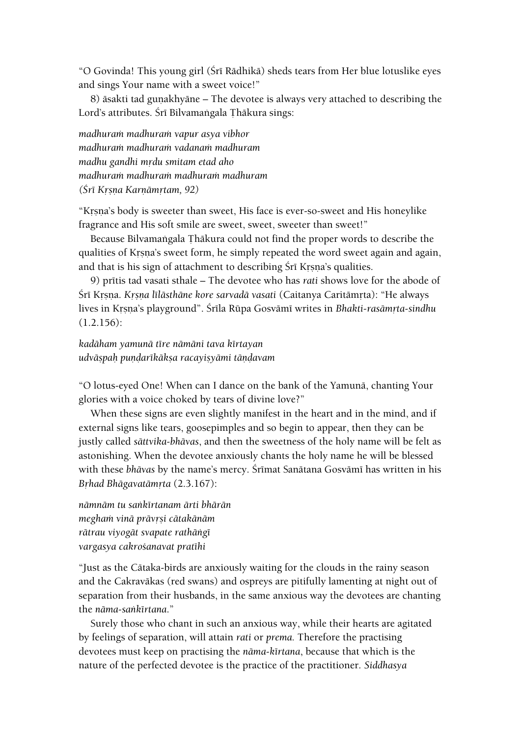"O Govinda! This young girl (Śrī Rādhikā) sheds tears from Her blue lotuslike eyes and sings Your name with a sweet voice!"

8) äsakti tad gunakhyäne – The devotee is always very attached to describing the Lord's attributes. Śrī Bilvamangala Thākura sings:

*madhuraà madhuraà vapur asya vibhor madhuraà madhuraà vadanaà madhuram madhu gandhi mådu smitam etad aho madhuraà madhuraà madhuraà madhuram (Çré Kåñëa Karëämåtam, 92)*

"Krsna's body is sweeter than sweet, His face is ever-so-sweet and His honeylike fragrance and His soft smile are sweet, sweet, sweeter than sweet!"

Because Bilvamangala Thākura could not find the proper words to describe the qualities of Krsna's sweet form, he simply repeated the word sweet again and again, and that is his sign of attachment to describing Śrī Krsna's qualities.

9) pritis tad vasati sthale – The devotee who has *rati* shows love for the abode of Śrī Krsņa. *Krsņa līlāsthāne kore sarvadā vasati* (Caitanya Caritāmrta): "He always lives in Krsna's playground". Śrīla Rūpa Gosvāmī writes in *Bhakti-rasāmrta-sindhu* (1.2.156):

*kadäham yamunä tére nämäni tava kértayan udväñpaù puëòarékäkña racayiñyämi täëòavam*

"O lotus-eyed One! When can I dance on the bank of the Yamunä, chanting Your glories with a voice choked by tears of divine love?"

When these signs are even slightly manifest in the heart and in the mind, and if external signs like tears, goosepimples and so begin to appear, then they can be justly called *sättvika-bhävas*, and then the sweetness of the holy name will be felt as astonishing. When the devotee anxiously chants the holy name he will be blessed with these *bhāvas* by the name's mercy. Śrīmat Sanātana Gosvāmī has written in his *Båhad Bhägavatämåta* (2.3.167):

*nämnäm tu saìkértanam ärti bhärän megham vinā prāvrsi cātakānām rätrau viyogät svapate rathäìgé vargasya cakroçanavat pratéhi*

"Just as the Cätaka-birds are anxiously waiting for the clouds in the rainy season and the Cakraväkas (red swans) and ospreys are pitifully lamenting at night out of separation from their husbands, in the same anxious way the devotees are chanting the *nāma-sankīrtana*."

Surely those who chant in such an anxious way, while their hearts are agitated by feelings of separation, will attain *rati* or *prema.* Therefore the practising devotees must keep on practising the *näma-kértana*, because that which is the nature of the perfected devotee is the practice of the practitioner. *Siddhasya*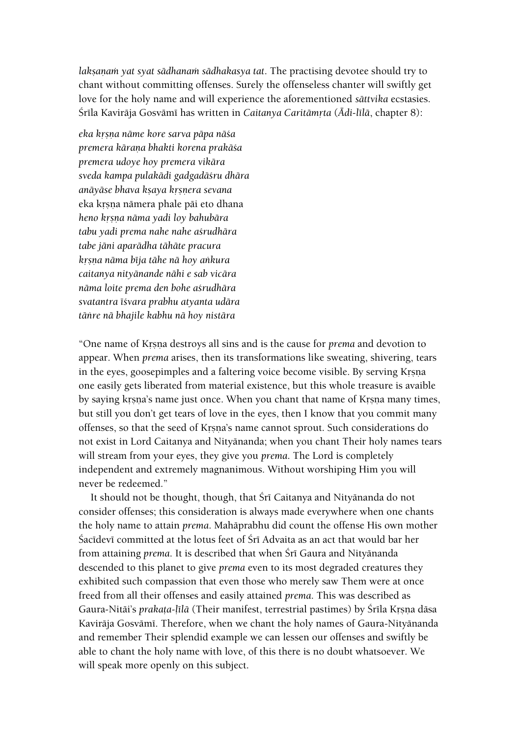*laksanam yat syat sädhanam sädhakasya tat*. The practising devotee should try to chant without committing offenses. Surely the offenseless chanter will swiftly get love for the holy name and will experience the aforementioned *sättvika* ecstasies. Śrīla Kavirāja Gosvāmī has written in *Caitanya Caritāmrta (Ādi-līlā*, chapter 8):

*eka kåñëa näme kore sarva päpa näça premera käraëa bhakti korena prakäça premera udoye hoy premera vikära sveda kampa pulakädi gadgadäçru dhära anäyäse bhava kñaya kåñëera sevana* eka krsņa nāmera phale pāi eto dhana *heno kåñëa näma yadi loy bahubära tabu yadi prema nahe nahe açrudhära tabe jäni aparädha tähäte pracura kåñëa näma béja tähe nä hoy aìkura caitanya nityänande nähi e sab vicära näma loite prema den bohe açrudhära svatantra éçvara prabhu atyanta udära täìre nä bhajile kabhu nä hoy nistära*

"One name of Kåñëa destroys all sins and is the cause for *prema* and devotion to appear. When *prema* arises, then its transformations like sweating, shivering, tears in the eyes, goosepimples and a faltering voice become visible. By serving Krsna one easily gets liberated from material existence, but this whole treasure is avaible by saying krsna's name just once. When you chant that name of Krsna many times, but still you don't get tears of love in the eyes, then I know that you commit many offenses, so that the seed of Krsna's name cannot sprout. Such considerations do not exist in Lord Caitanya and Nityänanda; when you chant Their holy names tears will stream from your eyes, they give you *prema*. The Lord is completely independent and extremely magnanimous. Without worshiping Him you will never be redeemed."

It should not be thought, though, that Śrī Caitanya and Nityānanda do not consider offenses; this consideration is always made everywhere when one chants the holy name to attain *prema*. Mahäprabhu did count the offense His own mother Sacīdevī committed at the lotus feet of Śrī Advaita as an act that would bar her from attaining *prema*. It is described that when Śrī Gaura and Nityānanda descended to this planet to give *prema* even to its most degraded creatures they exhibited such compassion that even those who merely saw Them were at once freed from all their offenses and easily attained *prema*. This was described as Gaura-Nitāi's *prakata-līlā* (Their manifest, terrestrial pastimes) by Śrīla Krsna dāsa Kavirāja Gosvāmī. Therefore, when we chant the holy names of Gaura-Nityānanda and remember Their splendid example we can lessen our offenses and swiftly be able to chant the holy name with love, of this there is no doubt whatsoever. We will speak more openly on this subject.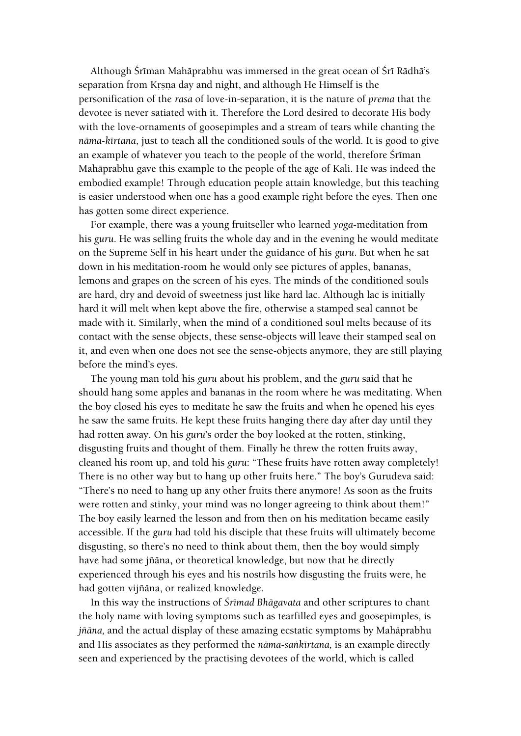Although Śrīman Mahāprabhu was immersed in the great ocean of Śrī Rādhā's separation from Krsna day and night, and although He Himself is the personification of the *rasa* of love-in-separation, it is the nature of *prema* that the devotee is never satiated with it. Therefore the Lord desired to decorate His body with the love-ornaments of goosepimples and a stream of tears while chanting the *näma-kértana*, just to teach all the conditioned souls of the world. It is good to give an example of whatever you teach to the people of the world, therefore Sriman Mahäprabhu gave this example to the people of the age of Kali. He was indeed the embodied example! Through education people attain knowledge, but this teaching is easier understood when one has a good example right before the eyes. Then one has gotten some direct experience.

For example, there was a young fruitseller who learned *yoga*-meditation from his *guru*. He was selling fruits the whole day and in the evening he would meditate on the Supreme Self in his heart under the guidance of his *guru*. But when he sat down in his meditation-room he would only see pictures of apples, bananas, lemons and grapes on the screen of his eyes. The minds of the conditioned souls are hard, dry and devoid of sweetness just like hard lac. Although lac is initially hard it will melt when kept above the fire, otherwise a stamped seal cannot be made with it. Similarly, when the mind of a conditioned soul melts because of its contact with the sense objects, these sense-objects will leave their stamped seal on it, and even when one does not see the sense-objects anymore, they are still playing before the mind's eyes.

The young man told his *guru* about his problem, and the *guru* said that he should hang some apples and bananas in the room where he was meditating. When the boy closed his eyes to meditate he saw the fruits and when he opened his eyes he saw the same fruits. He kept these fruits hanging there day after day until they had rotten away. On his *guru*'s order the boy looked at the rotten, stinking, disgusting fruits and thought of them. Finally he threw the rotten fruits away, cleaned his room up, and told his *guru*: "These fruits have rotten away completely! There is no other way but to hang up other fruits here." The boy's Gurudeva said: "There's no need to hang up any other fruits there anymore! As soon as the fruits were rotten and stinky, your mind was no longer agreeing to think about them!" The boy easily learned the lesson and from then on his meditation became easily accessible. If the *guru* had told his disciple that these fruits will ultimately become disgusting, so there's no need to think about them, then the boy would simply have had some jïäna**,** or theoretical knowledge, but now that he directly experienced through his eyes and his nostrils how disgusting the fruits were, he had gotten vijïäna, or realized knowledge.

In this way the instructions of *Çrémad Bhägavata* and other scriptures to chant the holy name with loving symptoms such as tearfilled eyes and goosepimples, is *jïäna,* and the actual display of these amazing ecstatic symptoms by Mahäprabhu and His associates as they performed the *näma-saìkértana,* is an example directly seen and experienced by the practising devotees of the world, which is called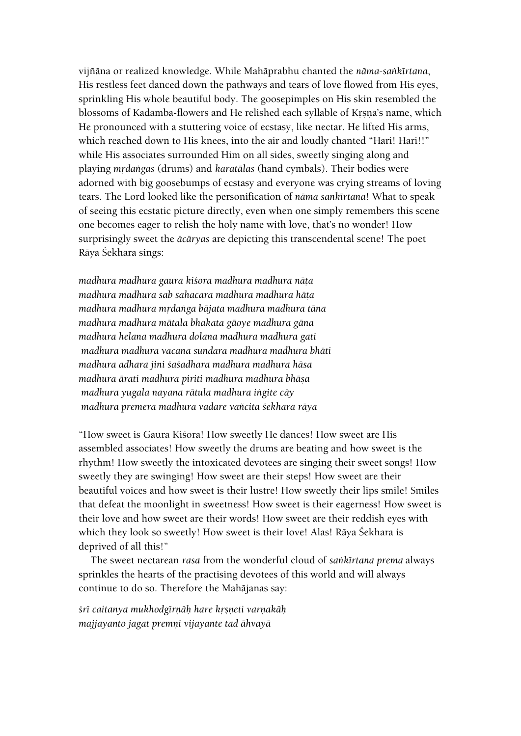vijïäna or realized knowledge. While Mahäprabhu chanted the *näma-saìkértana*, His restless feet danced down the pathways and tears of love flowed from His eyes, sprinkling His whole beautiful body. The goosepimples on His skin resembled the blossoms of Kadamba-flowers and He relished each syllable of Krsna's name, which He pronounced with a stuttering voice of ecstasy, like nectar. He lifted His arms, which reached down to His knees, into the air and loudly chanted "Hari! Hari!!" while His associates surrounded Him on all sides, sweetly singing along and playing *mådaìgas* (drums) and *karatälas* (hand cymbals). Their bodies were adorned with big goosebumps of ecstasy and everyone was crying streams of loving tears. The Lord looked like the personification of *näma sankértana*! What to speak of seeing this ecstatic picture directly, even when one simply remembers this scene one becomes eager to relish the holy name with love, that's no wonder! How surprisingly sweet the *äcäryas* are depicting this transcendental scene! The poet Rāya Śekhara sings:

*madhura madhura gaura kiçora madhura madhura näöa madhura madhura sab sahacara madhura madhura häöa madhura madhura mådaìga bäjata madhura madhura täna madhura madhura mätala bhakata gäoye madhura gäna madhura helana madhura dolana madhura madhura gati madhura madhura vacana sundara madhura madhura bhäti madhura adhara jini çaçadhara madhura madhura häsa madhura ärati madhura piriti madhura madhura bhäña madhura yugala nayana rätula madhura iìgite cäy madhura premera madhura vadare vaïcita çekhara räya*

"How sweet is Gaura Kiśora! How sweetly He dances! How sweet are His assembled associates! How sweetly the drums are beating and how sweet is the rhythm! How sweetly the intoxicated devotees are singing their sweet songs! How sweetly they are swinging! How sweet are their steps! How sweet are their beautiful voices and how sweet is their lustre! How sweetly their lips smile! Smiles that defeat the moonlight in sweetness! How sweet is their eagerness! How sweet is their love and how sweet are their words! How sweet are their reddish eyes with which they look so sweetly! How sweet is their love! Alas! Rāya Śekhara is deprived of all this!"

The sweet nectarean *rasa* from the wonderful cloud of *saìkértana prema* always sprinkles the hearts of the practising devotees of this world and will always continue to do so. Therefore the Mahäjanas say:

 $s$ rī caitanya mukhodgīrnāh hare krsneti varņakāh *majjayanto jagat premëi vijayante tad ähvayä*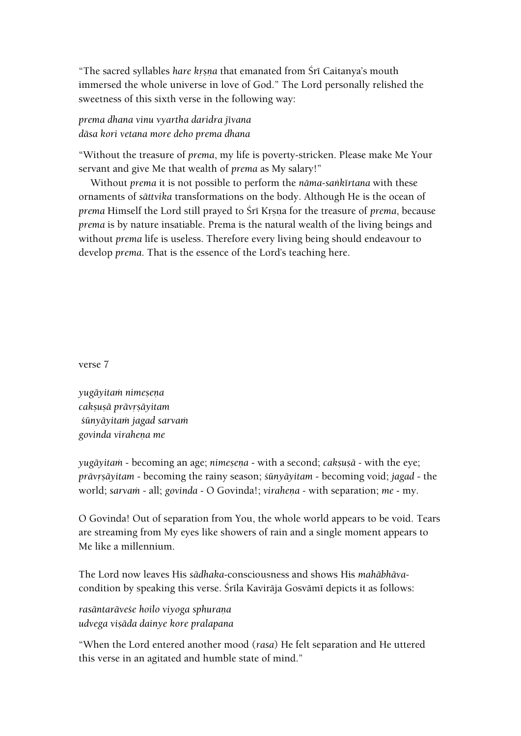"The sacred syllables *hare krsna* that emanated from Śrī Caitanya's mouth immersed the whole universe in love of God." The Lord personally relished the sweetness of this sixth verse in the following way:

*prema dhana vinu vyartha daridra jévana däsa kori vetana more deho prema dhana*

"Without the treasure of *prema*, my life is poverty-stricken. Please make Me Your servant and give Me that wealth of *prema* as My salary!"

Without *prema* it is not possible to perform the *näma-saìkértana* with these ornaments of *sättvika* transformations on the body. Although He is the ocean of *prema* Himself the Lord still prayed to Śrī Krsna for the treasure of *prema*, because *prema* is by nature insatiable. Prema is the natural wealth of the living beings and without *prema* life is useless. Therefore every living being should endeavour to develop *prema*. That is the essence of the Lord's teaching here.

verse 7

*yugäyitaà nimeñeëa cakñuñä prävåñäyitam çünyäyitaà jagad sarvaà govinda viraheëa me*

*yugāyitam* - becoming an age; *nimesena* - with a second; *cakṣuṣā* - with the eye; *prāvrsāyitam* - becoming the rainy season; *śūnyāyitam* - becoming void; *jagad* - the world; *sarvam* - all; *govinda* - O Govinda!; *virahena* - with separation; *me* - my.

O Govinda! Out of separation from You, the whole world appears to be void. Tears are streaming from My eyes like showers of rain and a single moment appears to Me like a millennium.

The Lord now leaves His *sädhaka*-consciousness and shows His *mahäbhäva*condition by speaking this verse. Śrīla Kavirāja Gosvāmī depicts it as follows:

*rasäntaräveçe hoilo viyoga sphuraëa udvega viñäda dainye kore pralapana*

"When the Lord entered another mood (*rasa*) He felt separation and He uttered this verse in an agitated and humble state of mind."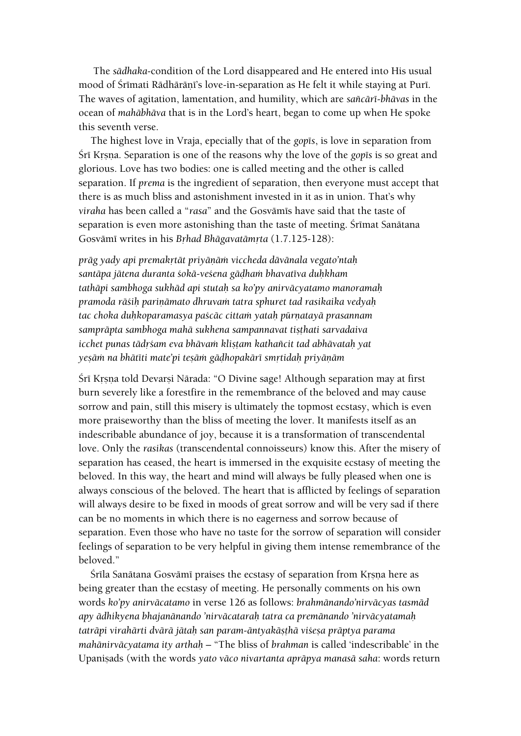The *sädhaka*-condition of the Lord disappeared and He entered into His usual mood of Śrīmati Rādhārānī's love-in-separation as He felt it while staying at Purī. The waves of agitation, lamentation, and humility, which are *saïcäré-bhävas* in the ocean of *mahäbhäva* that is in the Lord's heart, began to come up when He spoke this seventh verse.

The highest love in Vraja, epecially that of the *gopts*, is love in separation from Śrī Krsna. Separation is one of the reasons why the love of the *gop*īs is so great and glorious. Love has two bodies: one is called meeting and the other is called separation. If *prema* is the ingredient of separation, then everyone must accept that there is as much bliss and astonishment invested in it as in union. That's why *viraha* has been called a "*rasa*" and the Gosvämés have said that the taste of separation is even more astonishing than the taste of meeting. Śrīmat Sanātana Gosvāmī writes in his *Brhad Bhāgavatāmrta* (1.7.125-128):

*präg yady api premakåtät priyäëäà viccheda dävänala vegato'ntaù santäpa jätena duranta çokä-veçena gäòhaà bhavatéva duùkham tathäpi sambhoga sukhäd api stutaù sa ko'py anirväcyatamo manoramaù pramoda räçiù pariëämato dhruvaà tatra sphuret tad rasikaika vedyaù tac choka duùkoparamasya paçcäc cittaà yataù pürëatayä prasannam* samprāpta sambhoga mahā sukhena sampannavat tisthati sarvadaiva *icchet punas tādrśam eva bhāvam klistam kathañcit tad abhāvatah yat yeñäà na bhätéti mate'pi teñäà gäòhopakäré småtidaù priyäëäm*

Śrī Krsna told Devarsi Nārada: "O Divine sage! Although separation may at first burn severely like a forestfire in the remembrance of the beloved and may cause sorrow and pain, still this misery is ultimately the topmost ecstasy, which is even more praiseworthy than the bliss of meeting the lover. It manifests itself as an indescribable abundance of joy, because it is a transformation of transcendental love. Only the *rasikas* (transcendental connoisseurs) know this. After the misery of separation has ceased, the heart is immersed in the exquisite ecstasy of meeting the beloved. In this way, the heart and mind will always be fully pleased when one is always conscious of the beloved. The heart that is afflicted by feelings of separation will always desire to be fixed in moods of great sorrow and will be very sad if there can be no moments in which there is no eagerness and sorrow because of separation. Even those who have no taste for the sorrow of separation will consider feelings of separation to be very helpful in giving them intense remembrance of the beloved."

Śrīla Sanātana Gosvāmī praises the ecstasy of separation from Krsņa here as being greater than the ecstasy of meeting. He personally comments on his own words *ko'py anirväcatamo* in verse 126 as follows: *brahmänando'nirväcyas tasmäd apy ädhikyena bhajanänando 'nirväcataraù tatra ca premänando 'nirväcyatamaù taträpi virahärti dvärä jätaù san param-äntyakäñöhä viçeña präptya parama mahänirväcyatama ity arthaù* – "The bliss of *brahman* is called 'indescribable' in the Upanisads (with the words *yato vāco nivartanta aprāpya manasā saha*: words return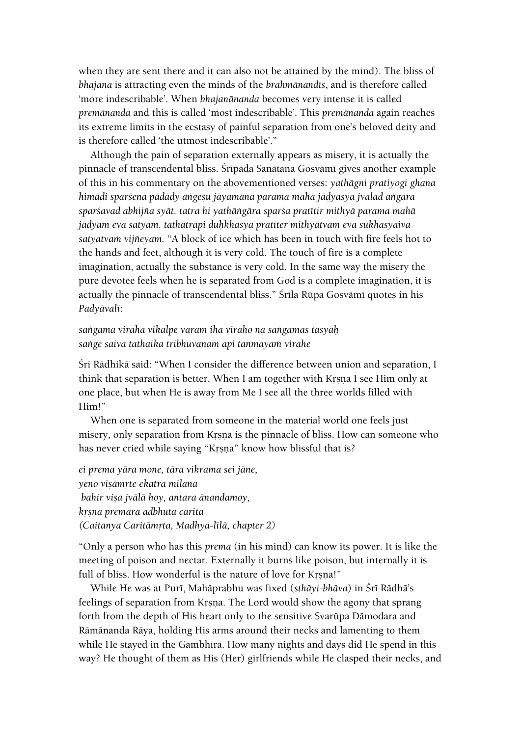when they are sent there and it can also not be attained by the mind). The bliss of *bhajana* is attracting even the minds of the *brahmänandés*, and is therefore called 'more indescribable'. When *bhajanänanda* becomes very intense it is called *premänanda* and this is called 'most indescribable'. This *premänanda* again reaches its extreme limits in the ecstasy of painful separation from one's beloved deity and is therefore called 'the utmost indescribable'."

Although the pain of separation externally appears as misery, it is actually the pinnacle of transcendental bliss. Śrīpāda Sanātana Gosvāmī gives another example of this in his commentary on the abovementioned verses: *yathägni pratiyogi ghana*  himādi spar*śena pādādy angesu jāyamāna parama mahā jādyasya jvalad angāra sparçavad abhijïa syät. tatra hi yathäìgära sparça pratétir mithyä parama mahä jäòyam eva satyam. tathäträpi duùkhasya pratéter mithyätvam eva sukhasyaiva*  satyatvam vijñeyam. "A block of ice which has been in touch with fire feels hot to the hands and feet, although it is very cold. The touch of fire is a complete imagination, actually the substance is very cold. In the same way the misery the pure devotee feels when he is separated from God is a complete imagination, it is actually the pinnacle of transcendental bliss." Śrīla Rūpa Gosvāmī quotes in his *Padyävalé*:

### *saìgama viraha vikalpe varam iha viraho na saìgamas tasyäù saìge saiva tathaika tribhuvanam api tanmayaà virahe*

Srī Rādhikā said: "When I consider the difference between union and separation, I think that separation is better. When I am together with Krsna I see Him only at one place, but when He is away from Me I see all the three worlds filled with Him!"

When one is separated from someone in the material world one feels just misery, only separation from Krsna is the pinnacle of bliss. How can someone who has never cried while saying "Krsna" know how blissful that is?

*ei prema yära mone, tära vikrama sei jäne, yeno viñämåte ekatra milana bahir visa jvālā hoy, antara ānandamoy, kåñëa premära adbhuta carita (Caitanya Caritämåta, Madhya-lélä, chapter 2)*

"Only a person who has this *prema* (in his mind) can know its power. It is like the meeting of poison and nectar. Externally it burns like poison, but internally it is full of bliss. How wonderful is the nature of love for Krsna!"

While He was at Purī, Mahāprabhu was fixed (*sthāyi-bhāva*) in Śrī Rādhā's feelings of separation from Krsna. The Lord would show the agony that sprang forth from the depth of His heart only to the sensitive Svarüpa Dämodara and Rämänanda Räya, holding His arms around their necks and lamenting to them while He stayed in the Gambhīrā. How many nights and days did He spend in this way? He thought of them as His (Her) girlfriends while He clasped their necks, and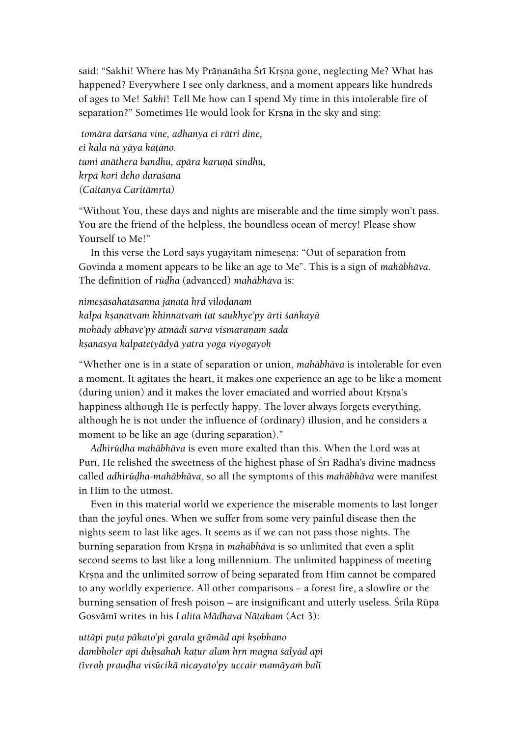said: "Sakhi! Where has My Prānanātha Šrī Krsna gone, neglecting Me? What has happened? Everywhere I see only darkness, and a moment appears like hundreds of ages to Me! *Sakhi*! Tell Me how can I spend My time in this intolerable fire of separation?" Sometimes He would look for Krsna in the sky and sing:

*tomära darçana vine, adhanya ei rätri dine, ei käla nä yäya käöäno. tumi anāthera bandhu, apāra karuņā sindhu, kåpä kori deho daraçana (Caitanya Caritämåta)*

"Without You, these days and nights are miserable and the time simply won't pass. You are the friend of the helpless, the boundless ocean of mercy! Please show Yourself to Me!"

In this verse the Lord says yugāyitam nimesena: "Out of separation from Govinda a moment appears to be like an age to Me". This is a sign of *mahäbhäva*. The definition of *rüòha* (advanced) *mahäbhäva* is:

*nimeñäsahatäsanna janatä håd viloòanam kalpa kñaëatvaà khinnatvaà tat saukhye'py ärti çaìkayä mohādy abhāve'py ātmādi sarva vismaranam sadā kñaëasya kalpatetyädyä yatra yoga viyogayoù*

"Whether one is in a state of separation or union, *mahäbhäva* is intolerable for even a moment. It agitates the heart, it makes one experience an age to be like a moment (during union) and it makes the lover emaciated and worried about Krsna's happiness although He is perfectly happy. The lover always forgets everything, although he is not under the influence of (ordinary) illusion, and he considers a moment to be like an age (during separation)."

*Adhirüòha mahäbhäva* is even more exalted than this. When the Lord was at Puri, He relished the sweetness of the highest phase of Śrī Rādhā's divine madness called *adhirüòha-mahäbhäva*, so all the symptoms of this *mahäbhäva* were manifest in Him to the utmost.

Even in this material world we experience the miserable moments to last longer than the joyful ones. When we suffer from some very painful disease then the nights seem to last like ages. It seems as if we can not pass those nights. The burning separation from Kåñëa in *mahäbhäva* is so unlimited that even a split second seems to last like a long millennium. The unlimited happiness of meeting Krsna and the unlimited sorrow of being separated from Him cannot be compared to any worldly experience. All other comparisons – a forest fire, a slowfire or the burning sensation of fresh poison - are insignificant and utterly useless. Śrīla Rūpa Gosvāmī writes in his *Lalita Mādhava Nāṭakam* (Act 3):

*uttāpi puta pākato'pi garala grāmād api kṣobhano* dambholer api duhsahah katur alam hrn magna *salyād api tévraù prauòha visücikä nicayato'py uccair mamäyaà balé*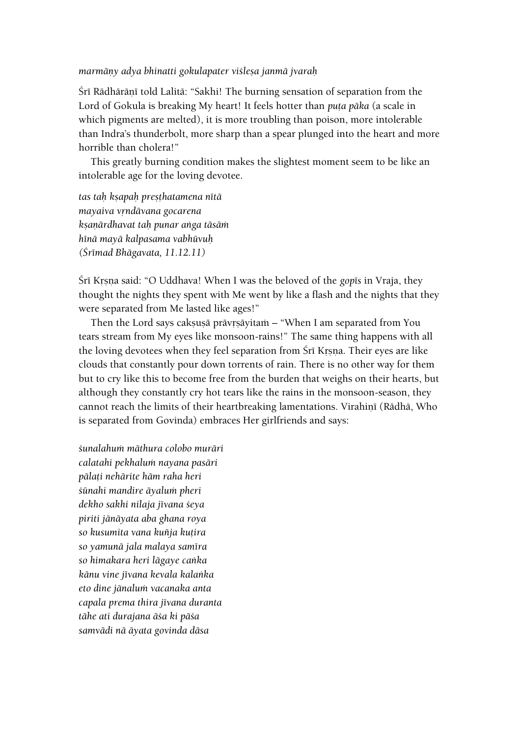#### *marmäëy adya bhinatti gokulapater viçleña janmä jvaraù*

Śrī Rādhārānī told Lalitā: "Sakhi! The burning sensation of separation from the Lord of Gokula is breaking My heart! It feels hotter than *puta pāka* (a scale in which pigments are melted), it is more troubling than poison, more intolerable than Indra's thunderbolt, more sharp than a spear plunged into the heart and more horrible than cholera!"

This greatly burning condition makes the slightest moment seem to be like an intolerable age for the loving devotee.

*tas taù kñapaù preñöhatamena nétä mayaiva våndävana gocarena kñaëärdhavat taù punar aìga täsäà hénä mayä kalpasama vabhüvuù (Çrémad Bhägavata, 11.12.11)*

Śrī Krsna said: "O Uddhava! When I was the beloved of the *gop*īs in Vraja, they thought the nights they spent with Me went by like a flash and the nights that they were separated from Me lasted like ages!"

Then the Lord says caksusā prāvrsāyitam – "When I am separated from You tears stream from My eyes like monsoon-rains!" The same thing happens with all the loving devotees when they feel separation from Srī Krsna. Their eyes are like clouds that constantly pour down torrents of rain. There is no other way for them but to cry like this to become free from the burden that weighs on their hearts, but although they constantly cry hot tears like the rains in the monsoon-season, they cannot reach the limits of their heartbreaking lamentations. Virahinī (Rādhā, Who is separated from Govinda) embraces Her girlfriends and says:

*çunalahuà mäthura colobo muräri calatahi pekhaluà nayana pasäri pälaöi nehärite häm raha heri çünahi mandire äyaluà pheri dekho sakhi nilaja jévana çeya piriti jänäyata aba ghana roya so kusumita vana kuïja kuöira so yamunä jala malaya saméra so himakara heri lägaye caìka känu vine jévana kevala kalaìka eto dine jänaluà vacanaka anta capala prema thira jévana duranta tähe ati durajana äça ki päça samvädi nä äyata govinda däsa*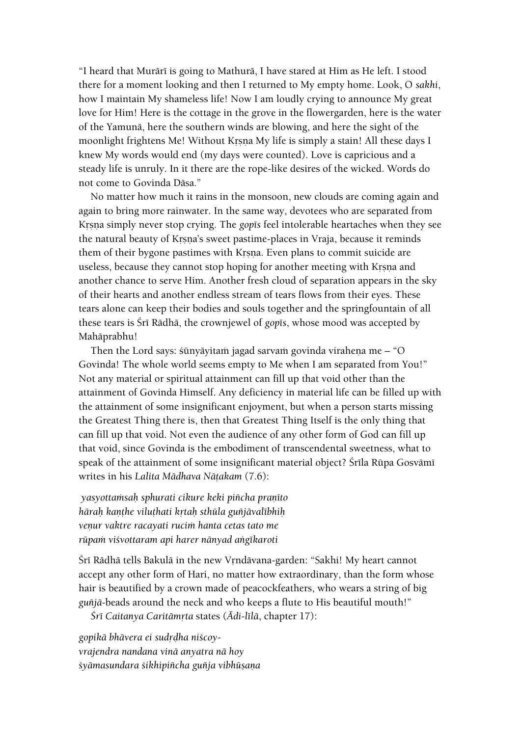"I heard that Murārī is going to Mathurā, I have stared at Him as He left. I stood there for a moment looking and then I returned to My empty home. Look, O *sakhi*, how I maintain My shameless life! Now I am loudly crying to announce My great love for Him! Here is the cottage in the grove in the flowergarden, here is the water of the Yamunä, here the southern winds are blowing, and here the sight of the moonlight frightens Me! Without Krsna My life is simply a stain! All these days I knew My words would end (my days were counted). Love is capricious and a steady life is unruly. In it there are the rope-like desires of the wicked. Words do not come to Govinda Däsa."

No matter how much it rains in the monsoon, new clouds are coming again and again to bring more rainwater. In the same way, devotees who are separated from Krsna simply never stop crying. The *gop* is feel intolerable heartaches when they see the natural beauty of Krsna's sweet pastime-places in Vraja, because it reminds them of their bygone pastimes with Krsna. Even plans to commit suicide are useless, because they cannot stop hoping for another meeting with Krsna and another chance to serve Him. Another fresh cloud of separation appears in the sky of their hearts and another endless stream of tears flows from their eyes. These tears alone can keep their bodies and souls together and the springfountain of all these tears is Śrī Rādhā, the crownjewel of *gop*īs, whose mood was accepted by Mahäprabhu!

Then the Lord says: sūnyāyitam jagad sarvam govinda virahena me – "O Govinda! The whole world seems empty to Me when I am separated from You!" Not any material or spiritual attainment can fill up that void other than the attainment of Govinda Himself. Any deficiency in material life can be filled up with the attainment of some insignificant enjoyment, but when a person starts missing the Greatest Thing there is, then that Greatest Thing Itself is the only thing that can fill up that void. Not even the audience of any other form of God can fill up that void, since Govinda is the embodiment of transcendental sweetness, what to speak of the attainment of some insignificant material object? Śrīla Rūpa Gosvāmī writes in his *Lalita Mādhava Nātakam* (7.6):

*yasyottaàsaù sphurati cikure keki piïcha praëéto häraù kaëöhe viluöhati kåtaù sthüla guïjävalébhiù*  veņur vaktre racayati rucim hanta cetas tato me *rüpaà viçvottaram api harer nänyad aìgékaroti*

Śrī Rādhā tells Bakulā in the new Vrndāvana-garden: "Sakhi! My heart cannot accept any other form of Hari, no matter how extraordinary, than the form whose hair is beautified by a crown made of peacockfeathers, who wears a string of big *guïjä-*beads around the neck and who keeps a flute to His beautiful mouth!"

*Çré Caitanya Caritämåta* states (*Ädi-lélä*, chapter 17):

*gopikä bhävera ei sudåòha niçcoyvrajendra nandana vinä anyatra nä hoy çyämasundara çikhipiïcha guïja vibhüñaëa*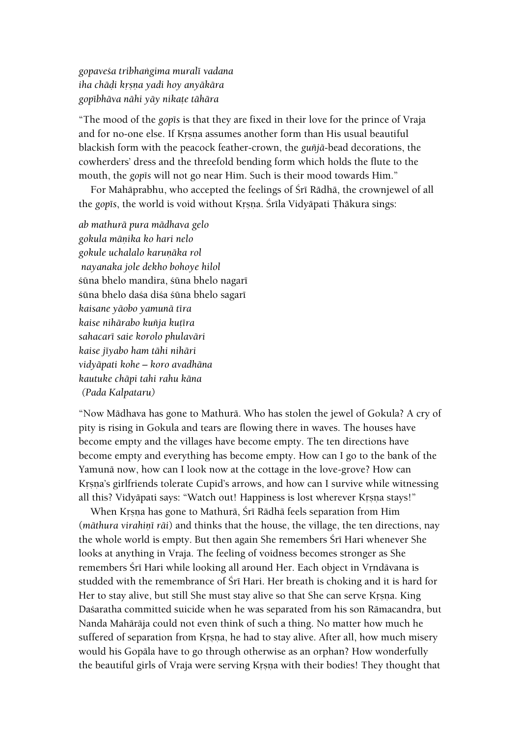*gopaveça tribhaìgima muralé vadana iha chäòi kåñëa yadi hoy anyäkära gopébhäva nähi yäy nikaöe tähära*

"The mood of the *gopés* is that they are fixed in their love for the prince of Vraja and for no-one else. If Krsna assumes another form than His usual beautiful blackish form with the peacock feather-crown, the *guïjä*-bead decorations, the cowherders' dress and the threefold bending form which holds the flute to the mouth, the *gop* is will not go near Him. Such is their mood towards Him."

For Mahāprabhu, who accepted the feelings of Śrī Rādhā, the crownjewel of all the *gopis*, the world is void without Krsna. Śrīla Vidyāpati Thākura sings:

*ab mathurä pura mädhava gelo gokula mäëika ko hari nelo gokule uchalalo karuëäka rol nayanaka jole dekho bohoye hilol* śūna bhelo mandira, śūna bhelo nagarī śūna bhelo daśa diśa śūna bhelo sagarī *kaisane yäobo yamunä téra kaise nihärabo kuïja kuöéra sahacaré saie korolo phulaväri kaise jéyabo ham tähi nihäri vidyäpati kohe – koro avadhäna kautuke chäpi tahi rahu käna (Pada Kalpataru)*

"Now Mädhava has gone to Mathurä. Who has stolen the jewel of Gokula? A cry of pity is rising in Gokula and tears are flowing there in waves. The houses have become empty and the villages have become empty. The ten directions have become empty and everything has become empty. How can I go to the bank of the Yamunä now, how can I look now at the cottage in the love-grove? How can Krsna's girlfriends tolerate Cupid's arrows, and how can I survive while witnessing all this? Vidyāpati says: "Watch out! Happiness is lost wherever Krsna stays!"

When Krsna has gone to Mathurā, Śrī Rādhā feels separation from Him (*māthura virahiņī rāi*) and thinks that the house, the village, the ten directions, nay the whole world is empty. But then again She remembers Śrī Hari whenever She looks at anything in Vraja. The feeling of voidness becomes stronger as She remembers Śrī Hari while looking all around Her. Each object in Vrndāvana is studded with the remembrance of Śrī Hari. Her breath is choking and it is hard for Her to stay alive, but still She must stay alive so that She can serve Krsna. King Daçaratha committed suicide when he was separated from his son Rämacandra, but Nanda Mahäräja could not even think of such a thing. No matter how much he suffered of separation from Krsna, he had to stay alive. After all, how much misery would his Gopäla have to go through otherwise as an orphan? How wonderfully the beautiful girls of Vraja were serving Krsna with their bodies! They thought that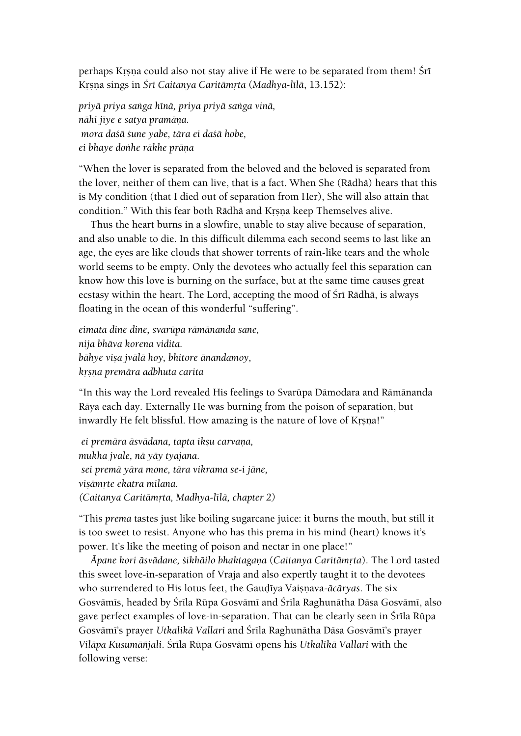perhaps Krsna could also not stay alive if He were to be separated from them! Śrī Krsna sings in *Śrī Caitanya Caritāmrta (Madhya-līlā*, 13.152):

*priyä priya saìga hénä, priya priyä saìga vinä, nähi jéye e satya pramäëa. mora daçä çune yabe, tära ei daçä hobe,*   $e$ *i* bhaye donhe rākhe prāņa

"When the lover is separated from the beloved and the beloved is separated from the lover, neither of them can live, that is a fact. When She (Rädhä) hears that this is My condition (that I died out of separation from Her), She will also attain that condition." With this fear both Rādhā and Krsņa keep Themselves alive.

Thus the heart burns in a slowfire, unable to stay alive because of separation, and also unable to die. In this difficult dilemma each second seems to last like an age, the eyes are like clouds that shower torrents of rain-like tears and the whole world seems to be empty. Only the devotees who actually feel this separation can know how this love is burning on the surface, but at the same time causes great ecstasy within the heart. The Lord, accepting the mood of Sri Rādhā, is always floating in the ocean of this wonderful "suffering".

*eimata dine dine, svarüpa rämänanda sane, nija bhäva korena vidita.*  $b$ āhye viṣa jvālā hoy, bhitore ānandamoy, *kåñëa premära adbhuta carita*

"In this way the Lord revealed His feelings to Svarüpa Dämodara and Rämänanda Räya each day. Externally He was burning from the poison of separation, but inwardly He felt blissful. How amazing is the nature of love of Krsna!"

*ei premāra āsvādana, tapta iksu carvaņa, mukha jvale, nä yäy tyajana. sei premä yära mone, tära vikrama se-i jäne, viñämåte ekatra milana. (Caitanya Caritämåta, Madhya-lélä, chapter 2)*

"This *prema* tastes just like boiling sugarcane juice: it burns the mouth, but still it is too sweet to resist. Anyone who has this prema in his mind (heart) knows it's power. It's like the meeting of poison and nectar in one place!"

*Äpane kori äsvädane, çikhäilo bhaktagaëa* (*Caitanya Caritämåta*). The Lord tasted this sweet love-in-separation of Vraja and also expertly taught it to the devotees who surrendered to His lotus feet, the Gaudiya Vaisnava-*ācāryas*. The six Gosvāmīs, headed by Śrīla Rūpa Gosvāmī and Śrīla Raghunātha Dāsa Gosvāmī, also gave perfect examples of love-in-separation. That can be clearly seen in Śrīla Rūpa Gosvämé's prayer *Utkalikä Vallari* and Çréla Raghunätha Däsa Gosvämé's prayer *Viläpa Kusumäïjali*. Çréla Rüpa Gosvämé opens his *Utkalikä Vallari* with the following verse: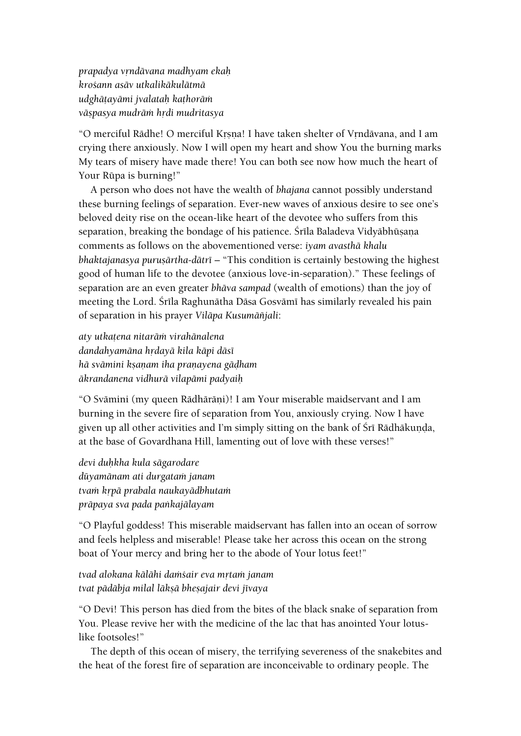*prapadya våndävana madhyam ekaù kroçann asäv utkalikäkulätmä udghäöayämi jvalataù kaöhoräà väñpasya mudräà hådi mudritasya*

"O merciful Rādhe! O merciful Krsna! I have taken shelter of Vrndāvana, and I am crying there anxiously. Now I will open my heart and show You the burning marks My tears of misery have made there! You can both see now how much the heart of Your Rüpa is burning!"

A person who does not have the wealth of *bhajana* cannot possibly understand these burning feelings of separation. Ever-new waves of anxious desire to see one's beloved deity rise on the ocean-like heart of the devotee who suffers from this separation, breaking the bondage of his patience. Śrīla Baladeva Vidyābhūṣaṇa comments as follows on the abovementioned verse: *iyam avasthä khalu bhaktajanasya puruṣārtha-dātrī* – "This condition is certainly bestowing the highest good of human life to the devotee (anxious love-in-separation)." These feelings of separation are an even greater *bhäva sampad* (wealth of emotions) than the joy of meeting the Lord. Śrīla Raghunātha Dāsa Gosvāmī has similarly revealed his pain of separation in his prayer *Viläpa Kusumäïjali*:

*aty utkaöena nitaräà virahänalena dandahyamāna hrdayā kila kāpi dāsī hä svämini kñaëam iha praëayena gäòham äkrandanena vidhurä vilapämi padyaiù*

"O Svāmini (my queen Rādhārāṇi)! I am Your miserable maidservant and I am burning in the severe fire of separation from You, anxiously crying. Now I have given up all other activities and I'm simply sitting on the bank of Śrī Rādhākunda, at the base of Govardhana Hill, lamenting out of love with these verses!"

*devi duùkha kula sägarodare düyamänam ati durgataà janam tvaà kåpä prabala naukayädbhutaà präpaya sva pada paìkajälayam*

"O Playful goddess! This miserable maidservant has fallen into an ocean of sorrow and feels helpless and miserable! Please take her across this ocean on the strong boat of Your mercy and bring her to the abode of Your lotus feet!"

*tvad alokana kālāhi damšair eva mrtam janam tvat pädäbja milal läkñä bheñajair devi jévaya*

"O Devi! This person has died from the bites of the black snake of separation from You. Please revive her with the medicine of the lac that has anointed Your lotuslike footsoles!"

The depth of this ocean of misery, the terrifying severeness of the snakebites and the heat of the forest fire of separation are inconceivable to ordinary people. The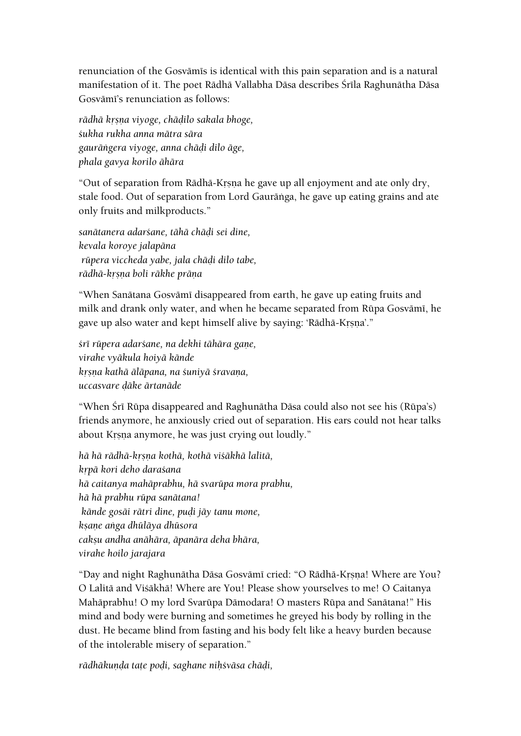renunciation of the Gosvāmīs is identical with this pain separation and is a natural manifestation of it. The poet Rādhā Vallabha Dāsa describes Śrīla Raghunātha Dāsa Gosvāmī's renunciation as follows:

*rädhä kåñëa viyoge, chäòilo sakala bhoge, çukha rukha anna mätra sära gauräìgera viyoge, anna chäòi dilo äge, phala gavya korilo ähära*

"Out of separation from Rādhā-Krsna he gave up all enjoyment and ate only dry, stale food. Out of separation from Lord Gauräìga, he gave up eating grains and ate only fruits and milkproducts."

*sanätanera adarçane, tähä chäòi sei dine, kevala koroye jalapäna rüpera viccheda yabe, jala chäòi dilo tabe, rädhä-kåñëa boli räkhe präëa*

"When Sanātana Gosvāmī disappeared from earth, he gave up eating fruits and milk and drank only water, and when he became separated from Rūpa Gosvāmī, he gave up also water and kept himself alive by saying: 'Rādhā-Krsna'."

*çré rüpera adarçane, na dekhi tähära gaëe, virahe vyäkula hoiyä kände kåñëa kathä äläpana, na çuniyä çravaëa, uccasvare òäke ärtanäde*

"When Śrī Rūpa disappeared and Raghunātha Dāsa could also not see his (Rūpa's) friends anymore, he anxiously cried out of separation. His ears could not hear talks about Krsna anymore, he was just crying out loudly."

*hä hä rädhä-kåñëa kothä, kothä viçäkhä lalitä, kåpä kori deho daraçana hä caitanya mahäprabhu, hä svarüpa mora prabhu, hä hä prabhu rüpa sanätana! kände gosäi rätri dine, puòi jäy tanu mone, kñaëe aìga dhüläya dhüsora cakñu andha anähära, äpanära deha bhära, virahe hoilo jarajara*

"Day and night Raghunātha Dāsa Gosvāmī cried: "O Rādhā-Kṛṣṇa! Where are You? O Lalitä and Viçäkhä! Where are You! Please show yourselves to me! O Caitanya Mahäprabhu! O my lord Svarüpa Dämodara! O masters Rüpa and Sanätana!" His mind and body were burning and sometimes he greyed his body by rolling in the dust. He became blind from fasting and his body felt like a heavy burden because of the intolerable misery of separation."

rādhākunda tate podi, saghane nihśvāsa chādi,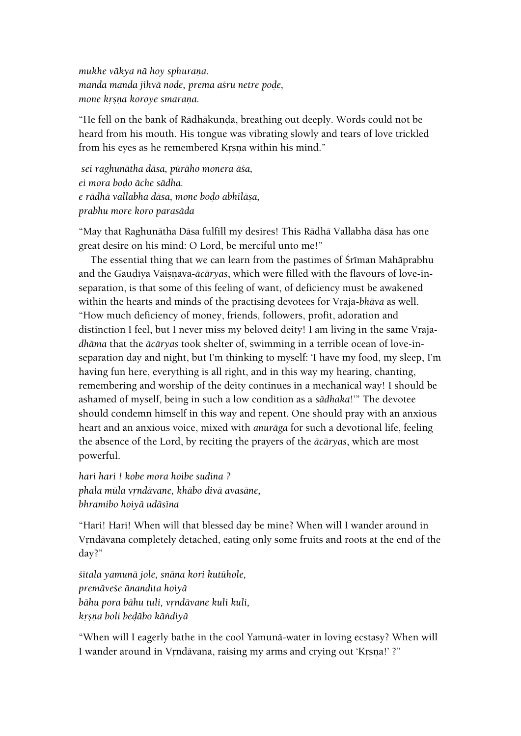mukhe vākya nā hoy sphurana. *manda manda jihvä noòe, prema açru netre poòe, mone krsna koroye smarana.* 

"He fell on the bank of Rādhākunda, breathing out deeply. Words could not be heard from his mouth. His tongue was vibrating slowly and tears of love trickled from his eyes as he remembered Krsna within his mind."

*sei raghunätha däsa, püräho monera äça, ei mora boòo äche sädha. e rädhä vallabha däsa, mone boòo abhiläña, prabhu more koro parasäda*

"May that Raghunätha Däsa fulfill my desires! This Rädhä Vallabha däsa has one great desire on his mind: O Lord, be merciful unto me!"

The essential thing that we can learn from the pastimes of Śrīman Mahāprabhu and the Gaudīya Vaisnava-*ācāryas*, which were filled with the flavours of love-inseparation, is that some of this feeling of want, of deficiency must be awakened within the hearts and minds of the practising devotees for Vraja-*bhäva* as well. "How much deficiency of money, friends, followers, profit, adoration and distinction I feel, but I never miss my beloved deity! I am living in the same Vraja*dhäma* that the *äcäryas* took shelter of, swimming in a terrible ocean of love-inseparation day and night, but I'm thinking to myself: 'I have my food, my sleep, I'm having fun here, everything is all right, and in this way my hearing, chanting, remembering and worship of the deity continues in a mechanical way! I should be ashamed of myself, being in such a low condition as a *sädhaka*!'" The devotee should condemn himself in this way and repent. One should pray with an anxious heart and an anxious voice, mixed with *anuräga* for such a devotional life, feeling the absence of the Lord, by reciting the prayers of the *äcäryas*, which are most powerful.

*hari hari ! kobe mora hoibe sudina ? phala müla våndävane, khäbo divä avasäne, bhramibo hoiyä udäséna*

"Hari! Hari! When will that blessed day be mine? When will I wander around in Vrndāvana completely detached, eating only some fruits and roots at the end of the day?"

*çétala yamunä jole, snäna kori kutühole, premäveçe änandita hoiyä bähu pora bähu tuli, våndävane kuli kuli, kåñëa boli beòäbo käìdiyä*

"When will I eagerly bathe in the cool Yamunä-water in loving ecstasy? When will I wander around in Vrndävana, raising my arms and crying out 'Krsna!' ?"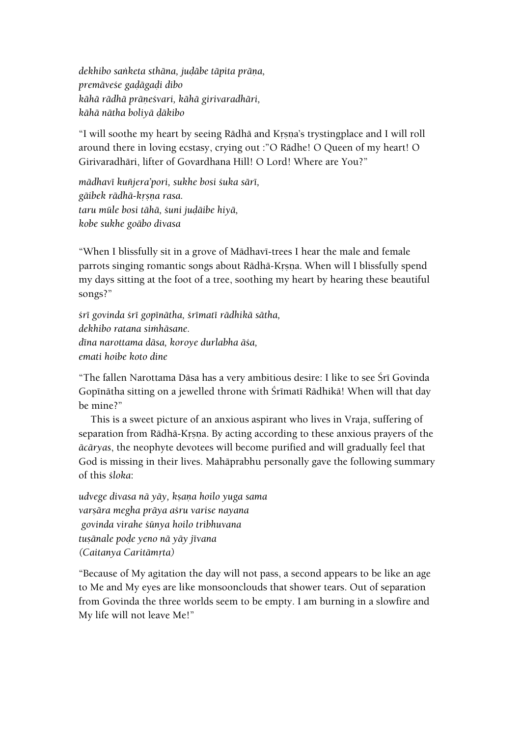*dekhibo sanketa sthāna, judābe tāpita prāņa, premäveçe gaòägaòi dibo kähä rädhä präëeçvari, kähä girivaradhäri, kähä nätha boliyä òäkibo*

"I will soothe my heart by seeing Rādhā and Krsna's trystingplace and I will roll around there in loving ecstasy, crying out :"O Rädhe! O Queen of my heart! O Girivaradhäri, lifter of Govardhana Hill! O Lord! Where are You?"

*mädhavé kuïjera'pori, sukhe bosi çuka säré, gäibek rädhä-kåñëa rasa. taru müle bosi tähä, çuni juòäibe hiyä, kobe sukhe goäbo divasa*

"When I blissfully sit in a grove of Mādhavī-trees I hear the male and female parrots singing romantic songs about Rādhā-Krsna. When will I blissfully spend my days sitting at the foot of a tree, soothing my heart by hearing these beautiful songs?"

*çré govinda çré gopénätha, çrématé rädhikä sätha, dekhibo ratana siàhäsane. déna narottama däsa, koroye durlabha äça, emati hoibe koto dine*

"The fallen Narottama Dāsa has a very ambitious desire: I like to see Śrī Govinda Gopinātha sitting on a jewelled throne with Śrimati Rādhikā! When will that day be mine?"

This is a sweet picture of an anxious aspirant who lives in Vraja, suffering of separation from Rādhā-Krsņa. By acting according to these anxious prayers of the *äcäryas*, the neophyte devotees will become purified and will gradually feel that God is missing in their lives. Mahäprabhu personally gave the following summary of this *çloka*:

*udvege divasa nä yäy, kñaëa hoilo yuga sama varñära megha präya açru varise nayana govinda virahe çünya hoilo tribhuvana tuñänale poòe yeno nä yäy jévana (Caitanya Caritämåta)*

"Because of My agitation the day will not pass, a second appears to be like an age to Me and My eyes are like monsoonclouds that shower tears. Out of separation from Govinda the three worlds seem to be empty. I am burning in a slowfire and My life will not leave Me!"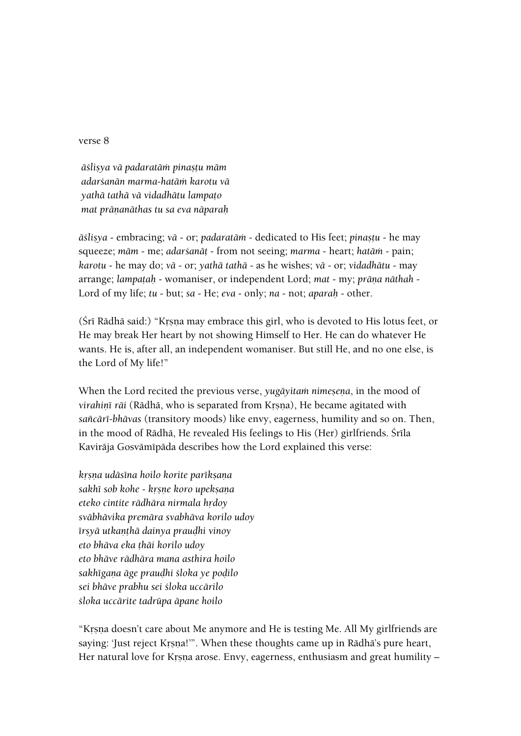verse 8

*äçliñya vä padaratäà pinañöu mäm adarçanän marma-hatäà karotu vä yathä tathä vä vidadhätu lampaöo mat präëanäthas tu sa eva näparaù*

 $\bar{a}$ *šlisya* - embracing; *vā* - or; *padaratām* - dedicated to His feet; *pinastu* - he may squeeze; *mäm* - me; *adarçanäö* - from not seeing; *marma* - heart; *hatäà* - pain; *karotu* - he may do; *vä* - or; *yathä tathä* - as he wishes; *vä* - or; *vidadhätu* - may arrange; *lampatah* - womaniser, or independent Lord; *mat* - my; *prāņa nāthah* -Lord of my life; *tu* - but; *sa* - He; *eva* - only; *na* - not; *aparaù* - other.

(Šrī Rādhā said:) "Krsna may embrace this girl, who is devoted to His lotus feet, or He may break Her heart by not showing Himself to Her. He can do whatever He wants. He is, after all, an independent womaniser. But still He, and no one else, is the Lord of My life!"

When the Lord recited the previous verse, *yugāyitam nimesena*, in the mood of *virahinī rāi* (Rādhā, who is separated from Krsna), He became agitated with *saïcäré-bhävas* (transitory moods) like envy, eagerness, humility and so on. Then, in the mood of Rādhā, He revealed His feelings to His (Her) girlfriends. Śrīla Kavirāja Gosvāmīpāda describes how the Lord explained this verse:

*kåñëa udäséna hoilo korite parékñaëa sakhé sob kohe - kåñëe koro upekñaëa eteko cintite rādhāra nirmala hrdoy sväbhävika premära svabhäva korilo udoy érñyä utkaëöhä dainya prauòhi vinoy eto bhäva eka öhäi korilo udoy eto bhäve rädhära mana asthira hoilo sakhégaëa äge prauòhi çloka ye poòilo sei bhäve prabhu sei çloka uccärilo çloka uccärite tadrüpa äpane hoilo*

"Krsna doesn't care about Me anymore and He is testing Me. All My girlfriends are saying: 'Just reject Krsna!'". When these thoughts came up in Rādhā's pure heart, Her natural love for Krsna arose. Envy, eagerness, enthusiasm and great humility –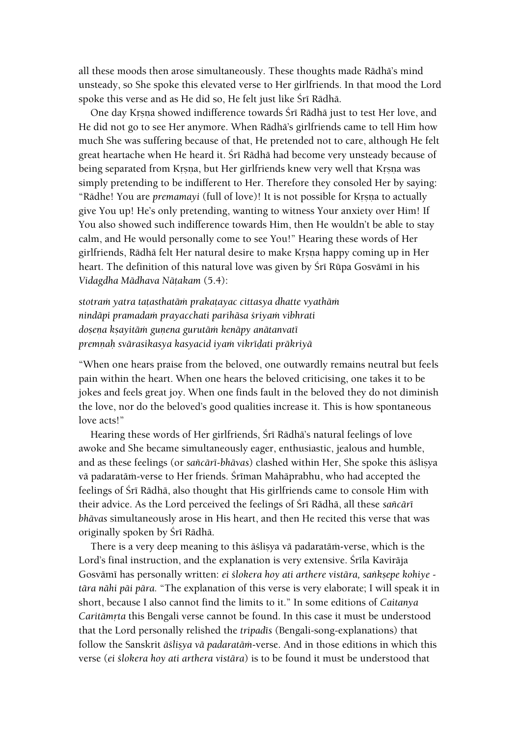all these moods then arose simultaneously. These thoughts made Rädhä's mind unsteady, so She spoke this elevated verse to Her girlfriends. In that mood the Lord spoke this verse and as He did so, He felt just like Śrī Rādhā.

One day Krsna showed indifference towards Śrī Rādhā just to test Her love, and He did not go to see Her anymore. When Rädhä's girlfriends came to tell Him how much She was suffering because of that, He pretended not to care, although He felt great heartache when He heard it. Śrī Rādhā had become very unsteady because of being separated from Krsna, but Her girlfriends knew very well that Krsna was simply pretending to be indifferent to Her. Therefore they consoled Her by saying: "Rādhe! You are *premamayi* (full of love)! It is not possible for Krsna to actually give You up! He's only pretending, wanting to witness Your anxiety over Him! If You also showed such indifference towards Him, then He wouldn't be able to stay calm, and He would personally come to see You!" Hearing these words of Her girlfriends, Rādhā felt Her natural desire to make Krsņa happy coming up in Her heart. The definition of this natural love was given by Śrī Rūpa Gosvāmī in his *Vidagdha Mädhava Näöakam* (5.4):

*stotraà yatra taöasthatäà prakaöayac cittasya dhatte vyathäà nindäpi pramadaà prayacchati parihäsa çriyaà vibhrati doñeëa kñayitäà guëena gurutäà kenäpy anätanvaté premëaù svärasikasya kasyacid iyaà vikréòati präkriyä*

"When one hears praise from the beloved, one outwardly remains neutral but feels pain within the heart. When one hears the beloved criticising, one takes it to be jokes and feels great joy. When one finds fault in the beloved they do not diminish the love, nor do the beloved's good qualities increase it. This is how spontaneous love acts!"

Hearing these words of Her girlfriends, Śrī Rādhā's natural feelings of love awoke and She became simultaneously eager, enthusiastic, jealous and humble, and as these feelings (or *sañcārī-bhāvas*) clashed within Her, She spoke this āslisya vā padaratām-verse to Her friends. Śrīman Mahāprabhu, who had accepted the feelings of Śrī Rādhā, also thought that His girlfriends came to console Him with their advice. As the Lord perceived the feelings of Sri Rādhā, all these *sañcārī bhävas* simultaneously arose in His heart, and then He recited this verse that was originally spoken by Śrī Rādhā.

There is a very deep meaning to this as alisya va padarata<sub>n</sub>-verse, which is the Lord's final instruction, and the explanation is very extensive. Śrīla Kavirāja Gosvāmī has personally written: *ei ślokera hoy ati arthere vistāra, sankṣepe kohiye tära nähi päi pära.* "The explanation of this verse is very elaborate; I will speak it in short, because I also cannot find the limits to it." In some editions of *Caitanya Caritämrta* this Bengali verse cannot be found. In this case it must be understood that the Lord personally relished the *tripadés* (Bengali-song-explanations) that follow the Sanskrit *āślisya vā padaratām-verse*. And in those editions in which this verse (*ei çlokera hoy ati arthera vistära*) is to be found it must be understood that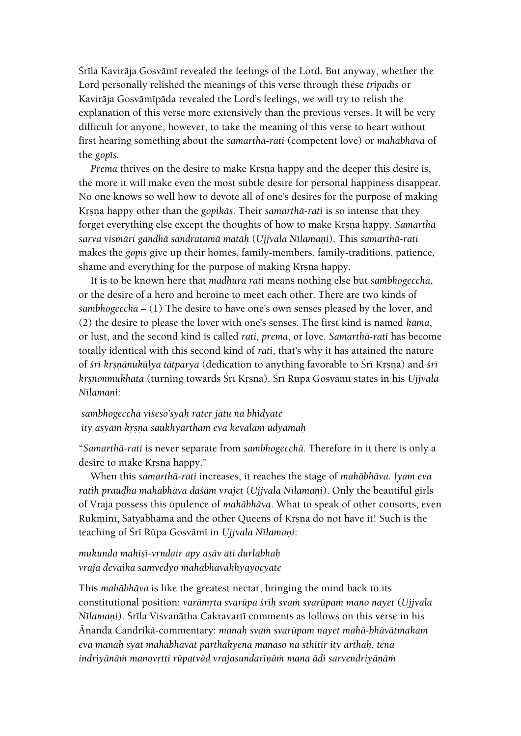Śrīla Kavirāja Gosvāmī revealed the feelings of the Lord. But anyway, whether the Lord personally relished the meanings of this verse through these *tripadés* or Kavirāja Gosvāmīpāda revealed the Lord's feelings, we will try to relish the explanation of this verse more extensively than the previous verses. It will be very difficult for anyone, however, to take the meaning of this verse to heart without first hearing something about the *samarthä-rati* (competent love) or *mahäbhäva* of the *gop*<sup>*is*</sup>.

*Prema* thrives on the desire to make Krsna happy and the deeper this desire is, the more it will make even the most subtle desire for personal happiness disappear. No one knows so well how to devote all of one's desires for the purpose of making Krsna happy other than the *gopikās*. Their *samarthā-rati* is so intense that they forget everything else except the thoughts of how to make Krsna happy. *Samarthā sarva vismäri gandhä sandratamä matäù* (*Ujjvala Nélamaëi*). This *samarthä-rati* makes the *gop* is give up their homes, family-members, family-traditions, patience, shame and everything for the purpose of making Krsna happy.

It is to be known here that *madhura rati* means nothing else but *sambhogecchä*, or the desire of a hero and heroine to meet each other. There are two kinds of *sambhogecchä* – (1) The desire to have one's own senses pleased by the lover, and (2) the desire to please the lover with one's senses. The first kind is named *käma*, or lust, and the second kind is called *rati, prema*, or love. *Samarthä-rati* has become totally identical with this second kind of *rati*, that's why it has attained the nature of *çré kåñëänukülya tätparya* (dedication to anything favorable to Çré Kåñëa) and *çré kåñëonmukhatä* (turning towards Çré Kåñëa). Çré Rüpa Gosvämé states in his *Ujjvala N*īlamani:

*sambhogecchä viçeño'syaù rater jätu na bhidyate ity asyäà kåñëa saukhyärtham eva kevalam udyamaù*

"*Samarthä-rati* is never separate from *sambhogecchä.* Therefore in it there is only a desire to make Krsna happy."

When this *samarthä-rati* increases, it reaches the stage of *mahäbhäva*. *Iyam eva*  ratih praudha mahābhāva daśām vrajet (Ujjvala Nīlamaņi). Only the beautiful girls of Vraja possess this opulence of *mahäbhäva*. What to speak of other consorts, even Rukmini, Satyabhämä and the other Queens of Krsna do not have it! Such is the teaching of Śrī Rūpa Gosvāmī in *Ujjvala Nīlamani*:

*mukunda mahiñé-våndair apy asäv ati durlabhaù vraja devaika saàvedyo mahäbhäväkhyayocyate*

This *mahäbhäva* is like the greatest nectar, bringing the mind back to its constitutional position: *varāmrta svarūpa śrīh svam svarūpam mano nayet* (*Ujjvala Nīlamani*). Šrīla Višvanātha Cakravartī comments as follows on this verse in his Änanda Candrikä-commentary: *manaù svaà svarüpaà nayet mahä-bhävätmakam eva manaù syät mahäbhävät pärthakyena manaso na sthitir ity arthaù. tena*  indriyānām manovrtti rūpatvād vrajasundarīņām mana ādi sarvendriyāņām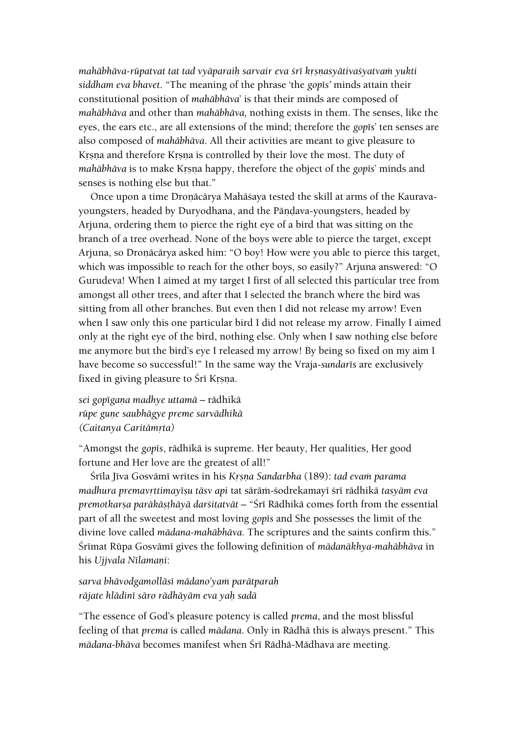*mahäbhäva-rüpatvat tat tad vyäparaiù sarvair eva çré kåñëasyätivaçyatvaà yukti siddham eva bhavet.* "The meaning of the phrase 'the *gopés'* minds attain their constitutional position of *mahäbhäva*' is that their minds are composed of *mahäbhäva* and other than *mahäbhäva,* nothing exists in them. The senses, like the eyes, the ears etc., are all extensions of the mind; therefore the *gop*<sup>1</sup>s' ten senses are also composed of *mahäbhäva*. All their activities are meant to give pleasure to Krsna and therefore Krsna is controlled by their love the most. The duty of *mahābhāva* is to make Krsna happy, therefore the object of the *gop*<sup>15</sup>' minds and senses is nothing else but that."

Once upon a time Dronācārya Mahāśaya tested the skill at arms of the Kauravayoungsters, headed by Duryodhana, and the Pāṇḍava-youngsters, headed by Arjuna, ordering them to pierce the right eye of a bird that was sitting on the branch of a tree overhead. None of the boys were able to pierce the target, except Arjuna, so Droņācārya asked him: "O boy! How were you able to pierce this target, which was impossible to reach for the other boys, so easily?" Arjuna answered: "O Gurudeva! When I aimed at my target I first of all selected this particular tree from amongst all other trees, and after that I selected the branch where the bird was sitting from all other branches. But even then I did not release my arrow! Even when I saw only this one particular bird I did not release my arrow. Finally I aimed only at the right eye of the bird, nothing else. Only when I saw nothing else before me anymore but the bird's eye I released my arrow! By being so fixed on my aim I have become so successful!" In the same way the Vraja-sundaris are exclusively fixed in giving pleasure to Śrī Krsna.

*sei gopégaëa madhye uttamä –* rädhikä *rüpe guëe saubhägye preme sarvädhikä (Caitanya Caritämåta)*

"Amongst the *gopés*, rädhikä is supreme. Her beauty, Her qualities, Her good fortune and Her love are the greatest of all!"

Śrīla Jīva Gosvāmī writes in his *Krsna Sandarbha* (189): *tad evam parama madhura premavrttimayīṣu tāsv api tat sārām-śodrekamayī śrī rādhikā tasyām eva premotkarsa parākāsthāyā darśitatvāt* – "Śrī Rādhikā comes forth from the essential part of all the sweetest and most loving *gopis* and She possesses the limit of the divine love called *mädana-mahäbhäva.* The scriptures and the saints confirm this." Śrīmat Rūpa Gosvāmī gives the following definition of *mādanākhya-mahābhāva* in his *Ujjvala Nīlamani*:

*sarva bhävodgamolläsé mädano'yaà parätparaù räjate hlädiné säro rädhäyäm eva yaù sadä*

"The essence of God's pleasure potency is called *prema*, and the most blissful feeling of that *prema* is called *mädana*. Only in Rädhä this is always present." This *mädana-bhäva* becomes manifest when Çré Rädhä-Mädhava are meeting.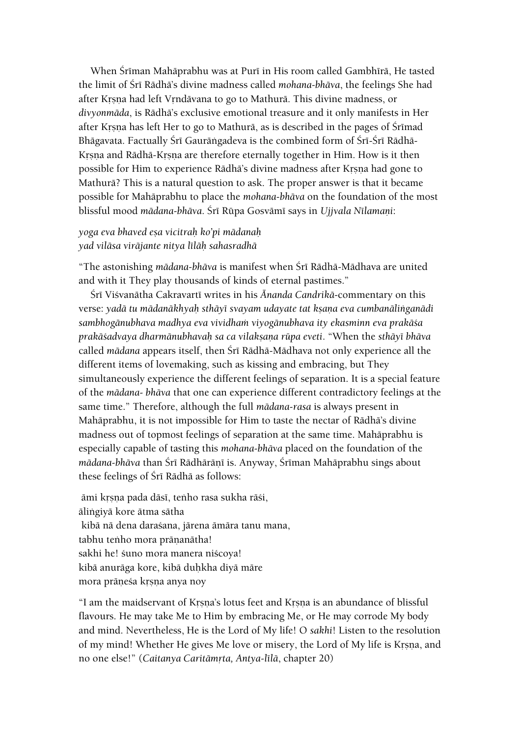When Śrīman Mahāprabhu was at Purī in His room called Gambhīrā, He tasted the limit of Śrī Rādhā's divine madness called *mohana-bhāva*, the feelings She had after Krsna had left Vrndävana to go to Mathurä. This divine madness, or *divyonmäda*, is Rädhä's exclusive emotional treasure and it only manifests in Her after Krsna has left Her to go to Mathurā, as is described in the pages of Śrīmad Bhāgavata. Factually Śrī Gaurāṅgadeva is the combined form of Śrī-Śrī Rādhā-Krsna and Rādhā-Krsna are therefore eternally together in Him. How is it then possible for Him to experience Rādhā's divine madness after Krsna had gone to Mathurä? This is a natural question to ask. The proper answer is that it became possible for Mahäprabhu to place the *mohana-bhäva* on the foundation of the most blissful mood *mādana-bhāva*. Šrī Rūpa Gosvāmī says in *Ujjvala Nīlamaņi*:

# *yoga eva bhaved eña vicitraù ko'pi mädanaù yad viläsa viräjante nitya léläù sahasradhä*

"The astonishing *mādana-bhāva* is manifest when Śrī Rādhā-Mādhava are united and with it They play thousands of kinds of eternal pastimes."

Śrī Viśvanātha Cakravartī writes in his *Ānanda Candrikā*-commentary on this verse: *yadä tu mädanäkhyaù sthäyé svayam udayate tat kñaëa eva cumbanäliìganädi sambhogänubhava madhya eva vividhaà viyogänubhava ity ekasminn eva prakäça prakäçadvaya dharmänubhavaù sa ca vilakñaëa rüpa eveti*. "When the *sthäyé bhäva*  called *mädana* appears itself, then Çré Rädhä-Mädhava not only experience all the different items of lovemaking, such as kissing and embracing, but They simultaneously experience the different feelings of separation. It is a special feature of the *mädana- bhäva* that one can experience different contradictory feelings at the same time." Therefore, although the full *mädana-rasa* is always present in Mahäprabhu, it is not impossible for Him to taste the nectar of Rädhä's divine madness out of topmost feelings of separation at the same time. Mahäprabhu is especially capable of tasting this *mohana-bhäva* placed on the foundation of the *mādana-bhāva than Śrī Rādhārānī is. Anyway, Śrīman Mahāprabhu sings about* these feelings of Śrī Rādhā as follows:

āmi krsņa pada dāsī, tenho rasa sukha rāśi, äliìgiyä kore ätma sätha kibä nä dena daraçana, järena ämära tanu mana, tabhu tenho mora prāņanātha! sakhi he! suno mora manera niscoya! kibā anurāga kore, kibā duḥkha diyā māre mora präneśa krsna anya noy

"I am the maidservant of Krsna's lotus feet and Krsna is an abundance of blissful flavours. He may take Me to Him by embracing Me, or He may corrode My body and mind. Nevertheless, He is the Lord of My life! O *sakhi*! Listen to the resolution of my mind! Whether He gives Me love or misery, the Lord of My life is Krsna, and no one else!" (*Caitanya Caritāmrta, Antya-līlā*, chapter 20)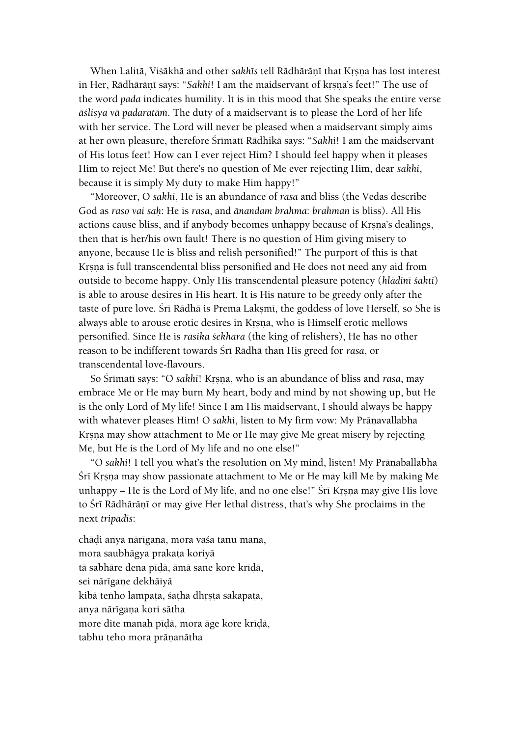When Lalitā, Viśākhā and other *sakh*īs tell Rādhārānī that Krsna has lost interest in Her, Rādhārānī says: "*Sakhi*! I am the maidservant of krsna's feet!" The use of the word *pada* indicates humility. It is in this mood that She speaks the entire verse *äçliñya vä padaratäà*. The duty of a maidservant is to please the Lord of her life with her service. The Lord will never be pleased when a maidservant simply aims at her own pleasure, therefore Śrīmatī Rādhikā says: "Sakhi! I am the maidservant of His lotus feet! How can I ever reject Him? I should feel happy when it pleases Him to reject Me! But there's no question of Me ever rejecting Him, dear *sakhi*, because it is simply My duty to make Him happy!"

"Moreover, O *sakhi*, He is an abundance of *rasa* and bliss (the Vedas describe God as *raso vai saù*: He is *rasa*, and *änandam brahma*: *brahman* is bliss). All His actions cause bliss, and if anybody becomes unhappy because of Krsna's dealings, then that is her/his own fault! There is no question of Him giving misery to anyone, because He is bliss and relish personified!" The purport of this is that Krsna is full transcendental bliss personified and He does not need any aid from outside to become happy. Only His transcendental pleasure potency (*hlädiné çakti*) is able to arouse desires in His heart. It is His nature to be greedy only after the taste of pure love. Śrī Rādhā is Prema Lakṣmī, the goddess of love Herself, so She is always able to arouse erotic desires in Krsna, who is Himself erotic mellows personified. Since He is *rasika çekhara* (the king of relishers), He has no other reason to be indifferent towards Çré Rädhä than His greed for *rasa*, or transcendental love-flavours.

So Śrīmatī says: "O *sakhi! Krsna*, who is an abundance of bliss and *rasa*, may embrace Me or He may burn My heart, body and mind by not showing up, but He is the only Lord of My life! Since I am His maidservant, I should always be happy with whatever pleases Him! O *sakhi*, listen to My firm vow: My Prāṇavallabha Krsna may show attachment to Me or He may give Me great misery by rejecting Me, but He is the Lord of My life and no one else!"

"O *sakhi*! I tell you what's the resolution on My mind, listen! My Prāṇaballabha Śrī Krsna may show passionate attachment to Me or He may kill Me by making Me unhappy – He is the Lord of My life, and no one else!" Śrī Krsna may give His love to Śrī Rādhārānī or may give Her lethal distress, that's why She proclaims in the next *tripadés*:

chāḍi anya nārīgaṇa, mora vaśa tanu mana, mora saubhāgya prakata koriyā tā sabhāre dena pīdā, āmā sane kore krīdā, sei närīgane dekhāiyā kibā tenho lampata, śatha dhrsta sakapata, anya nārīgana kori sātha more dite manah pīdā, mora āge kore krīdā, tabhu teho mora prānanātha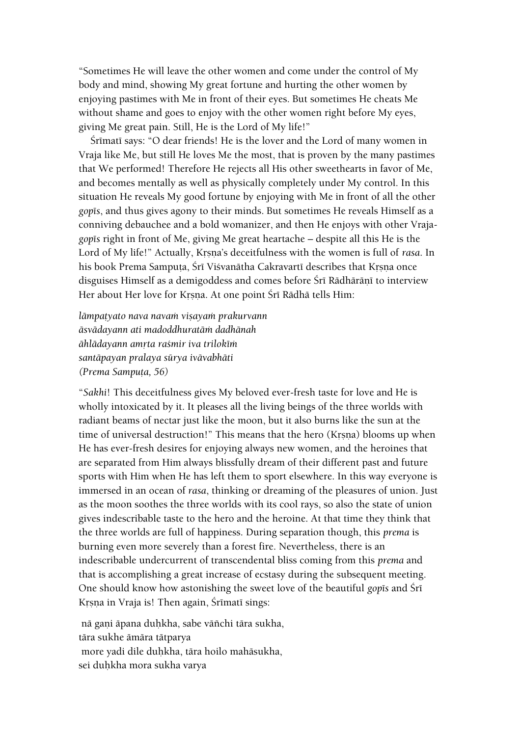"Sometimes He will leave the other women and come under the control of My body and mind, showing My great fortune and hurting the other women by enjoying pastimes with Me in front of their eyes. But sometimes He cheats Me without shame and goes to enjoy with the other women right before My eyes, giving Me great pain. Still, He is the Lord of My life!"

Śrīmatī says: "O dear friends! He is the lover and the Lord of many women in Vraja like Me, but still He loves Me the most, that is proven by the many pastimes that We performed! Therefore He rejects all His other sweethearts in favor of Me, and becomes mentally as well as physically completely under My control. In this situation He reveals My good fortune by enjoying with Me in front of all the other *gopés*, and thus gives agony to their minds. But sometimes He reveals Himself as a conniving debauchee and a bold womanizer, and then He enjoys with other Vraja*gopés* right in front of Me, giving Me great heartache – despite all this He is the Lord of My life!" Actually, Krsna's deceitfulness with the women is full of *rasa*. In his book Prema Samputa, Śrī Viśvanātha Cakravartī describes that Krsna once disguises Himself as a demigoddess and comes before Śrī Rādhārānī to interview Her about Her love for Krsna. At one point Śrī Rādhā tells Him:

*lāmpatyato nava navam visayam prakurvann äsvädayann ati madoddhuratäà dadhänah*  $\bar{a}$ hlādayann amrta raśmir iva trilokīm *santäpayan pralaya sürya ivävabhäti (Prema Sampuöa, 56)*

"*Sakhi*! This deceitfulness gives My beloved ever-fresh taste for love and He is wholly intoxicated by it. It pleases all the living beings of the three worlds with radiant beams of nectar just like the moon, but it also burns like the sun at the time of universal destruction!" This means that the hero (Krsna) blooms up when He has ever-fresh desires for enjoying always new women, and the heroines that are separated from Him always blissfully dream of their different past and future sports with Him when He has left them to sport elsewhere. In this way everyone is immersed in an ocean of *rasa*, thinking or dreaming of the pleasures of union. Just as the moon soothes the three worlds with its cool rays, so also the state of union gives indescribable taste to the hero and the heroine. At that time they think that the three worlds are full of happiness. During separation though, this *prema* is burning even more severely than a forest fire. Nevertheless, there is an indescribable undercurrent of transcendental bliss coming from this *prema* and that is accomplishing a great increase of ecstasy during the subsequent meeting. One should know how astonishing the sweet love of the beautiful *gopts* and Srt Krsna in Vraja is! Then again, Śrīmatī sings:

nā gaņi āpana duḥkha, sabe vāñchi tāra sukha, tära sukhe ämära tätparya more yadi dile duùkha, tära hoilo mahäsukha, sei duhkha mora sukha varya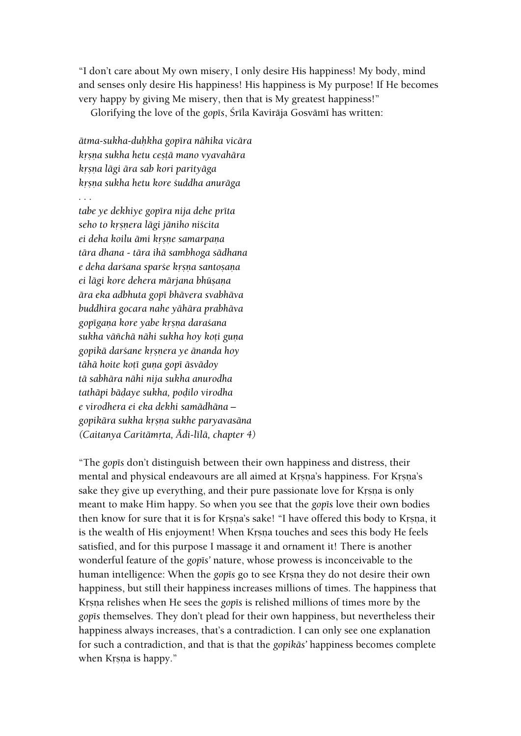"I don't care about My own misery, I only desire His happiness! My body, mind and senses only desire His happiness! His happiness is My purpose! If He becomes very happy by giving Me misery, then that is My greatest happiness!"

Glorifying the love of the *gop*is, Śrīla Kavirāja Gosvāmī has written:

*ätma-sukha-duùkha gopéra nähika vicära kåñëa sukha hetu ceñöä mano vyavahära kåñëa lägi ära sab kori parityäga kåñëa sukha hetu kore çuddha anuräga*

*. . .*

*tabe ye dekhiye gopéra nija dehe préta seho to kåñëera lägi jäniho niçcita*  $e$ *i deha koilu āmi krsne samarpana tära dhana - tära ihä sambhoga sädhana*  $e$  deha dar*sana sparse krsna santosana*  $e$ *i lāgi kore dehera mārjana bhūṣaṇa ära eka adbhuta gopé bhävera svabhäva buddhira gocara nahe yähära prabhäva gopégaëa kore yabe kåñëa daraçana* sukha vāñchā nāhi sukha hoy koți guņa *gopikä darçane kåñëera ye änanda hoy tähä hoite koöé guëa gopé äsvädoy tä sabhära nähi nija sukha anurodha tathäpi bäòaye sukha, poòilo virodha e virodhera ei eka dekhi samädhäna – gopikära sukha kåñëa sukhe paryavasäna (Caitanya Caritämåta, Ädi-lélä, chapter 4)*

"The *gopés* don't distinguish between their own happiness and distress, their mental and physical endeavours are all aimed at Krsna's happiness. For Krsna's sake they give up everything, and their pure passionate love for Krsna is only meant to make Him happy. So when you see that the *gop* is love their own bodies then know for sure that it is for Krsna's sake! "I have offered this body to Krsna, it is the wealth of His enjoyment! When Krsna touches and sees this body He feels satisfied, and for this purpose I massage it and ornament it! There is another wonderful feature of the *gopts'* nature, whose prowess is inconceivable to the human intelligence: When the *gop* is go to see Krsna they do not desire their own happiness, but still their happiness increases millions of times. The happiness that Krsna relishes when He sees the *gop* is relished millions of times more by the *gopés* themselves. They don't plead for their own happiness, but nevertheless their happiness always increases, that's a contradiction. I can only see one explanation for such a contradiction, and that is that the *gopikäs'* happiness becomes complete when Krsna is happy."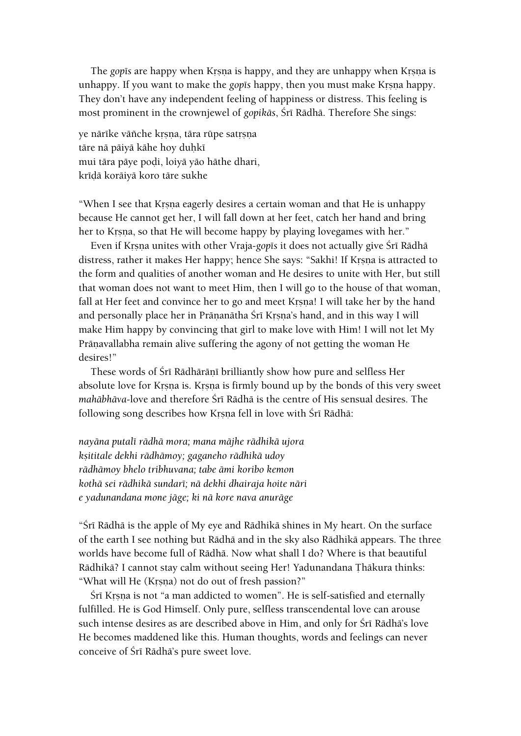The *gopts* are happy when Krsna is happy, and they are unhappy when Krsna is unhappy. If you want to make the *gop* is happy, then you must make Krsna happy. They don't have any independent feeling of happiness or distress. This feeling is most prominent in the crownjewel of *gopikās*, Śrī Rādhā. Therefore She sings:

ye närike väñche krsna, tära rüpe satrsna tāre nā pāiyā kāhe hoy duhkī mui tāra pāye podi, loiyā yāo hāthe dhari, krīdā korāiyā koro tāre sukhe

"When I see that Krsna eagerly desires a certain woman and that He is unhappy because He cannot get her, I will fall down at her feet, catch her hand and bring her to Krsna, so that He will become happy by playing lovegames with her."

Even if Krsna unites with other Vraja-*gop*is it does not actually give Śrī Rādhā distress, rather it makes Her happy; hence She says: "Sakhi! If Krsna is attracted to the form and qualities of another woman and He desires to unite with Her, but still that woman does not want to meet Him, then I will go to the house of that woman, fall at Her feet and convince her to go and meet Krsna! I will take her by the hand and personally place her in Prāṇanātha Śrī Kṛṣṇa's hand, and in this way I will make Him happy by convincing that girl to make love with Him! I will not let My Pränavallabha remain alive suffering the agony of not getting the woman He desires!"

These words of Śrī Rādhārānī brilliantly show how pure and selfless Her absolute love for Krsna is. Krsna is firmly bound up by the bonds of this very sweet mahābhāva-love and therefore Śrī Rādhā is the centre of His sensual desires. The following song describes how Krsna fell in love with Śrī Rādhā:

*nayäna putalé rädhä mora; mana mäjhe rädhikä ujora kñititale dekhi rädhämoy; gaganeho rädhikä udoy rädhämoy bhelo tribhuvana; tabe ämi koribo kemon kothä sei rädhikä sundaré; nä dekhi dhairaja hoite näri e yadunandana mone jäge; ki nä kore nava anuräge*

"Śrī Rādhā is the apple of My eye and Rādhikā shines in My heart. On the surface of the earth I see nothing but Rädhä and in the sky also Rädhikä appears. The three worlds have become full of Rädhä. Now what shall I do? Where is that beautiful Rādhikā? I cannot stay calm without seeing Her! Yadunandana Thākura thinks: "What will He (Krsna) not do out of fresh passion?"

Śrī Krsna is not "a man addicted to women". He is self-satisfied and eternally fulfilled. He is God Himself. Only pure, selfless transcendental love can arouse such intense desires as are described above in Him, and only for Śrī Rādhā's love He becomes maddened like this. Human thoughts, words and feelings can never conceive of Śrī Rādhā's pure sweet love.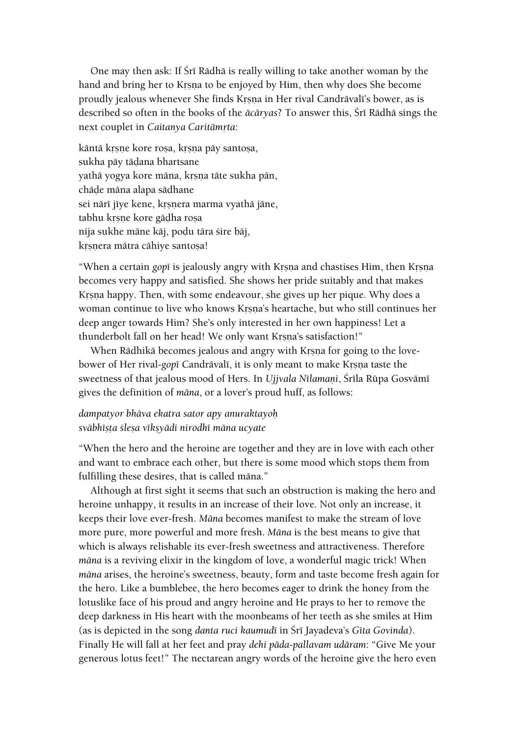One may then ask: If Śrī Rādhā is really willing to take another woman by the hand and bring her to Krsna to be enjoyed by Him, then why does She become proudly jealous whenever She finds Krsna in Her rival Candrāvalī's bower, as is described so often in the books of the *ācāryas*? To answer this, Śrī Rādhā sings the next couplet in *Caitanya Caritāmrta*:

kāntā krsņe kore rosa, krsņa pāy santosa, sukha päy tädana bhartsane yathā yogya kore māna, krsņa tāte sukha pān, chāde māna alapa sādhane sei närī jīye kene, krsņera marma vyathā jāne, tabhu krsne kore gädha rosa nija sukhe māne kāj, podu tāra śire bāj, krsnera mätra cähiye santoșa!

"When a certain *gopi* is jealously angry with Krsna and chastises Him, then Krsna becomes very happy and satisfied. She shows her pride suitably and that makes Krsna happy. Then, with some endeavour, she gives up her pique. Why does a woman continue to live who knows Krsna's heartache, but who still continues her deep anger towards Him? She's only interested in her own happiness! Let a thunderbolt fall on her head! We only want Krsna's satisfaction!"

When Rādhikā becomes jealous and angry with Krsna for going to the lovebower of Her rival-*gop*<sub>I</sub> Candrāvalī, it is only meant to make Krsna taste the sweetness of that jealous mood of Hers. In *Ujjvala Nīlamani*, Śrīla Rūpa Gosvāmī gives the definition of *mäna*, or a lover's proud huff, as follows:

### *dampatyor bhäva ekatra sator apy anuraktayoù sväbhéñöa çleña vékñyädi nirodhé mäna ucyate*

"When the hero and the heroine are together and they are in love with each other and want to embrace each other, but there is some mood which stops them from fulfilling these desires, that is called mäna."

Although at first sight it seems that such an obstruction is making the hero and heroine unhappy, it results in an increase of their love. Not only an increase, it keeps their love ever-fresh. *Mäna* becomes manifest to make the stream of love more pure, more powerful and more fresh. *Mäna* is the best means to give that which is always relishable its ever-fresh sweetness and attractiveness. Therefore *mäna* is a reviving elixir in the kingdom of love, a wonderful magic trick! When *mäna* arises, the heroine's sweetness, beauty, form and taste become fresh again for the hero. Like a bumblebee, the hero becomes eager to drink the honey from the lotuslike face of his proud and angry heroine and He prays to her to remove the deep darkness in His heart with the moonbeams of her teeth as she smiles at Him (as is depicted in the song *danta ruci kaumudé* in Çré Jayadeva's *Géta Govinda*). Finally He will fall at her feet and pray *dehi päda-pallavam udäram*: "Give Me your generous lotus feet!" The nectarean angry words of the heroine give the hero even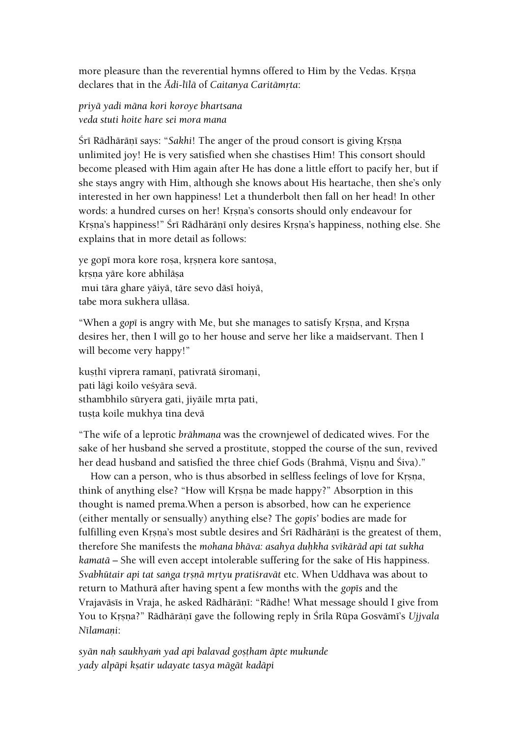more pleasure than the reverential hymns offered to Him by the Vedas. Krsna declares that in the *Ādi-līlā* of *Caitanya Caritāmrta*:

*priyä yadi mäna kori koroye bhartsana veda stuti hoite hare sei mora mana*

Śrī Rādhārānī says: "*Sakhi! The anger of the proud consort is giving Krsna* unlimited joy! He is very satisfied when she chastises Him! This consort should become pleased with Him again after He has done a little effort to pacify her, but if she stays angry with Him, although she knows about His heartache, then she's only interested in her own happiness! Let a thunderbolt then fall on her head! In other words: a hundred curses on her! Krsna's consorts should only endeavour for Krsna's happiness!" Śrī Rādhārāṇī only desires Krsna's happiness, nothing else. She explains that in more detail as follows:

ye gopi mora kore rosa, krsnera kore santosa, krsna yäre kore abhiläsa mui tāra ghare yāiyā, tāre sevo dāsī hoiyā, tabe mora sukhera ulläsa.

"When a *gopi* is angry with Me, but she manages to satisfy Krsna, and Krsna desires her, then I will go to her house and serve her like a maidservant. Then I will become very happy!"

kusthī viprera ramanī, pativratā siromani, pati lāgi koilo veśyāra sevā. sthambhilo süryera gati, jiyäile mrta pati, tusta koile mukhya tina devä

"The wife of a leprotic *brāhmana* was the crownjewel of dedicated wives. For the sake of her husband she served a prostitute, stopped the course of the sun, revived her dead husband and satisfied the three chief Gods (Brahmā, Vișnu and Śiva)."

How can a person, who is thus absorbed in selfless feelings of love for Krsna, think of anything else? "How will Krsna be made happy?" Absorption in this thought is named prema.When a person is absorbed, how can he experience (either mentally or sensually) anything else? The *gopts'* bodies are made for fulfilling even Krsna's most subtle desires and Śrī Rādhārānī is the greatest of them, therefore She manifests the *mohana bhäva: asahya duùkha svékäräd api tat sukha kamatä* – She will even accept intolerable suffering for the sake of His happiness. Svabhūtair api tat sanga trsnā mrtyu pratiśravāt etc. When Uddhava was about to return to Mathurā after having spent a few months with the *gop* is and the Vrajaväsis in Vraja, he asked Rādhārānī: "Rādhe! What message should I give from You to Krsna?" Rādhārāņī gave the following reply in Śrīla Rūpa Gosvāmī's *Ujjvala*  $N$ *<i>N*<sup>*l*</sup>amani:

*syän naù saukhyaà yad api balavad goñöham äpte mukunde yady alpäpi kñatir udayate tasya mägät kadäpi*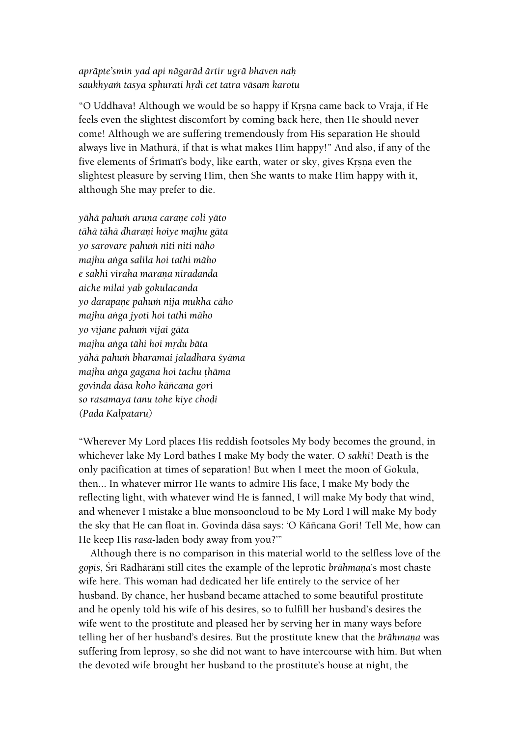## *apräpte'smin yad api nägaräd ärtir ugrä bhaven naù*  saukhyam tasya sphurati hrdi cet tatra vāsam karotu

"O Uddhava! Although we would be so happy if Krsna came back to Vraja, if He feels even the slightest discomfort by coming back here, then He should never come! Although we are suffering tremendously from His separation He should always live in Mathurä, if that is what makes Him happy!" And also, if any of the five elements of Śrīmatī's body, like earth, water or sky, gives Krsna even the slightest pleasure by serving Him, then She wants to make Him happy with it, although She may prefer to die.

*yähä pahuà aruëa caraëe coli yäto tähä tähä dharaëi hoiye majhu gäta yo sarovare pahuà niti niti näho majhu aìga salila hoi tathi mäho e sakhi viraha maraëa niradanda aiche milai yab gokulacanda yo darapaëe pahuà nija mukha cäho majhu aìga jyoti hoi tathi mäho yo véjane pahuà véjai gäta majhu aìga tähi hoi mådu bäta yähä pahuà bharamai jaladhara çyäma majhu aìga gagana hoi tachu öhäma govinda däsa koho käïcana gori so rasamaya tanu tohe kiye choòi (Pada Kalpataru)*

"Wherever My Lord places His reddish footsoles My body becomes the ground, in whichever lake My Lord bathes I make My body the water. O *sakhi*! Death is the only pacification at times of separation! But when I meet the moon of Gokula, then... In whatever mirror He wants to admire His face, I make My body the reflecting light, with whatever wind He is fanned, I will make My body that wind, and whenever I mistake a blue monsooncloud to be My Lord I will make My body the sky that He can float in. Govinda däsa says: 'O Käïcana Gori! Tell Me, how can He keep His *rasa*-laden body away from you?'"

Although there is no comparison in this material world to the selfless love of the gopis, Śrī Rādhārānī still cites the example of the leprotic *brāhmana*'s most chaste wife here. This woman had dedicated her life entirely to the service of her husband. By chance, her husband became attached to some beautiful prostitute and he openly told his wife of his desires, so to fulfill her husband's desires the wife went to the prostitute and pleased her by serving her in many ways before telling her of her husband's desires. But the prostitute knew that the *brāhmana* was suffering from leprosy, so she did not want to have intercourse with him. But when the devoted wife brought her husband to the prostitute's house at night, the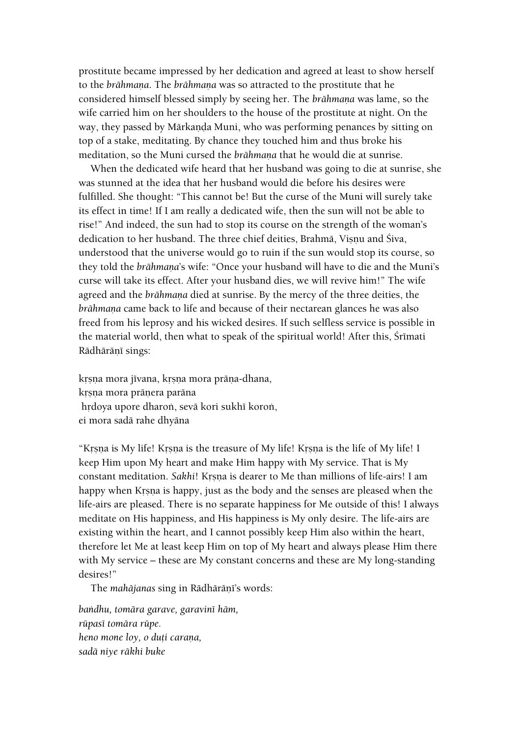prostitute became impressed by her dedication and agreed at least to show herself to the *brāhmana*. The *brāhmana* was so attracted to the prostitute that he considered himself blessed simply by seeing her. The *brāhmana* was lame, so the wife carried him on her shoulders to the house of the prostitute at night. On the way, they passed by Mārkaṇḍa Muni, who was performing penances by sitting on top of a stake, meditating. By chance they touched him and thus broke his meditation, so the Muni cursed the *brāhmana* that he would die at sunrise.

When the dedicated wife heard that her husband was going to die at sunrise, she was stunned at the idea that her husband would die before his desires were fulfilled. She thought: "This cannot be! But the curse of the Muni will surely take its effect in time! If I am really a dedicated wife, then the sun will not be able to rise!" And indeed, the sun had to stop its course on the strength of the woman's dedication to her husband. The three chief deities, Brahmā, Visnu and Śiva, understood that the universe would go to ruin if the sun would stop its course, so they told the *brāhmaņa*'s wife: "Once your husband will have to die and the Muni's curse will take its effect. After your husband dies, we will revive him!" The wife agreed and the *brāhmaņa* died at sunrise. By the mercy of the three deities, the *brāhmana* came back to life and because of their nectarean glances he was also freed from his leprosy and his wicked desires. If such selfless service is possible in the material world, then what to speak of the spiritual world! After this, Srimati Rādhārāņī sings:

krsna mora jivana, krsna mora präna-dhana, krsna mora pränera paräna hrdoya upore dharon, sevä kori sukhī koron, ei mora sadä rahe dhyäna

"Krsna is My life! Krsna is the treasure of My life! Krsna is the life of My life! I keep Him upon My heart and make Him happy with My service. That is My constant meditation. *Sakhi*! Krsna is dearer to Me than millions of life-airs! I am happy when Krsna is happy, just as the body and the senses are pleased when the life-airs are pleased. There is no separate happiness for Me outside of this! I always meditate on His happiness, and His happiness is My only desire. The life-airs are existing within the heart, and I cannot possibly keep Him also within the heart, therefore let Me at least keep Him on top of My heart and always please Him there with My service – these are My constant concerns and these are My long-standing desires!"

The *mahājanas* sing in Rādhārānī's words:

*baìdhu, tomära garave, garaviné häm, rüpasé tomära rüpe. heno mone loy, o duti carana, sadä niye räkhi buke*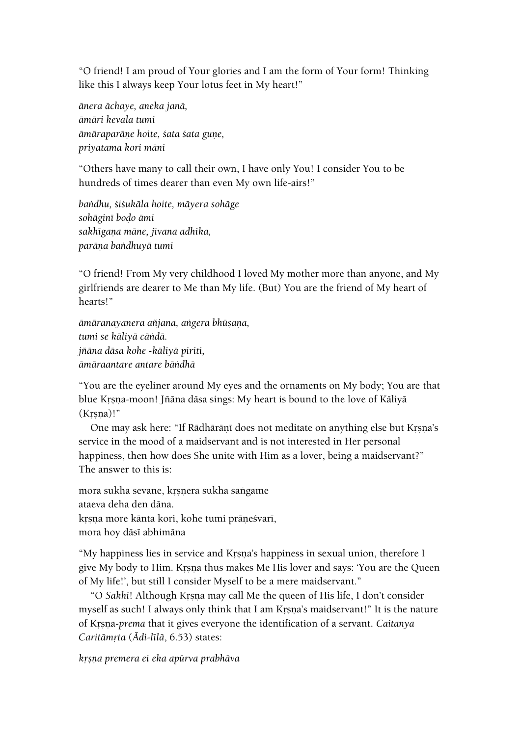"O friend! I am proud of Your glories and I am the form of Your form! Thinking like this I always keep Your lotus feet in My heart!"

*änera ächaye, aneka janä, ämäri kevala tumi ämäraparäëe hoite, çata çata guëe, priyatama kori mäni*

"Others have many to call their own, I have only You! I consider You to be hundreds of times dearer than even My own life-airs!"

*baìdhu, çiçukäla hoite, mäyera sohäge sohäginé boòo ämi sakhégaëa mäne, jévana adhika, paräëa baìdhuyä tumi*

"O friend! From My very childhood I loved My mother more than anyone, and My girlfriends are dearer to Me than My life. (But) You are the friend of My heart of hearts!"

*ämäranayanera aïjana, aìgera bhüñaëa, tumi se käliyä cäìdä. jïäna däsa kohe -käliyä piriti, ämäraantare antare bäìdhä*

"You are the eyeliner around My eyes and the ornaments on My body; You are that blue Krsna-moon! Jñāna dāsa sings: My heart is bound to the love of Kāliyā  $(Krsna)$ !"

One may ask here: "If Rādhārānī does not meditate on anything else but Krsna's service in the mood of a maidservant and is not interested in Her personal happiness, then how does She unite with Him as a lover, being a maidservant?" The answer to this is:

mora sukha sevane, krsnera sukha sangame ataeva deha den däna. krsna more känta kori, kohe tumi präneśvarī,

mora hoy dāsī abhimāna

"My happiness lies in service and Krsna's happiness in sexual union, therefore I give My body to Him. Krsna thus makes Me His lover and says: 'You are the Queen of My life!', but still I consider Myself to be a mere maidservant."

"O Sakhi! Although Krsna may call Me the queen of His life, I don't consider myself as such! I always only think that I am Krsna's maidservant!" It is the nature of Kåñëa-*prema* that it gives everyone the identification of a servant. *Caitanya Caritāmṛta (Ādi-līlā*, 6.53) states:

*kåñëa premera ei eka apürva prabhäva*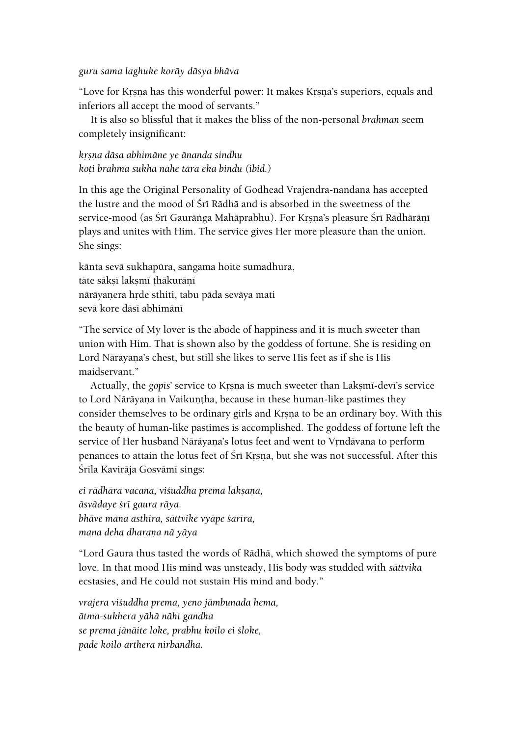#### *guru sama laghuke koräy däsya bhäva*

"Love for Krsna has this wonderful power: It makes Krsna's superiors, equals and inferiors all accept the mood of servants."

It is also so blissful that it makes the bliss of the non-personal *brahman* seem completely insignificant:

*kåñëa däsa abhimäne ye änanda sindhu koöi brahma sukha nahe tära eka bindu (ibid.)*

In this age the Original Personality of Godhead Vrajendra-nandana has accepted the lustre and the mood of Sri Rādhā and is absorbed in the sweetness of the service-mood (as Śrī Gaurāṅga Mahāprabhu). For Krsna's pleasure Śrī Rādhārānī plays and unites with Him. The service gives Her more pleasure than the union. She sings:

kānta sevā sukhapūra, saṅgama hoite sumadhura, tāte sāksī laksmī thākurānī nārāyaņera hrde sthiti, tabu pāda sevāya mati sevā kore dāsī abhimānī

"The service of My lover is the abode of happiness and it is much sweeter than union with Him. That is shown also by the goddess of fortune. She is residing on Lord Nārāyaṇa's chest, but still she likes to serve His feet as if she is His maidservant."

Actually, the *gopts*' service to Krsna is much sweeter than Laksmi-devi's service to Lord Nārāyaṇa in Vaikuṇṭha, because in these human-like pastimes they consider themselves to be ordinary girls and Krsna to be an ordinary boy. With this the beauty of human-like pastimes is accomplished. The goddess of fortune left the service of Her husband Nārāyaṇa's lotus feet and went to Vṛndāvana to perform penances to attain the lotus feet of Śrī Krsna, but she was not successful. After this Śrīla Kavirāja Gosvāmī sings:

*ei rädhära vacana, viçuddha prema lakñaëa, äsvädaye çré gaura räya. bhäve mana asthira, sättvike vyäpe çaréra, mana deha dharaëa nä yäya*

"Lord Gaura thus tasted the words of Rädhä, which showed the symptoms of pure love. In that mood His mind was unsteady, His body was studded with *sättvika* ecstasies, and He could not sustain His mind and body."

*vrajera viçuddha prema, yeno jämbunada hema, ätma-sukhera yähä nähi gandha se prema jänäite loke, prabhu koilo ei çloke, pade koilo arthera nirbandha.*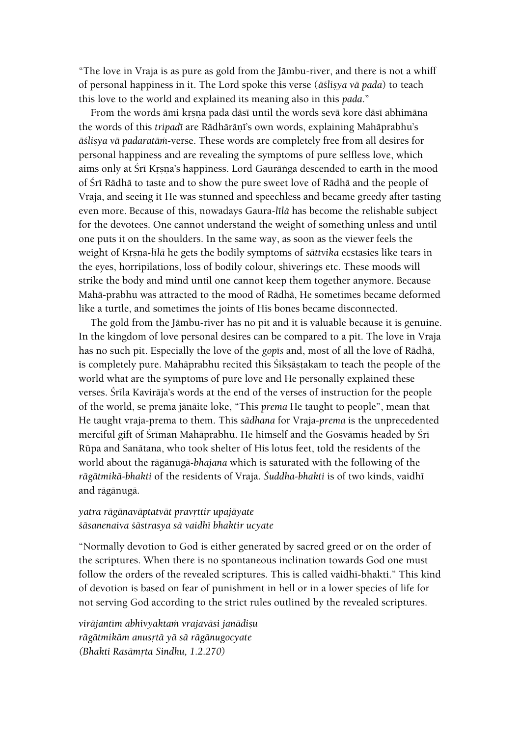"The love in Vraja is as pure as gold from the Jämbu-river, and there is not a whiff of personal happiness in it. The Lord spoke this verse ( $\bar{a}$ stisya vā pada) to teach this love to the world and explained its meaning also in this *pada*."

From the words ämi krsna pada däsī until the words sevä kore däsī abhimäna the words of this *tripad*i are Rādhārāṇi's own words, explaining Mahāprabhu's *äçliñya vä padaratäà*-verse. These words are completely free from all desires for personal happiness and are revealing the symptoms of pure selfless love, which aims only at Śrī Krsna's happiness. Lord Gaurānga descended to earth in the mood of Śrī Rādhā to taste and to show the pure sweet love of Rādhā and the people of Vraja, and seeing it He was stunned and speechless and became greedy after tasting even more. Because of this, nowadays Gaura-*līlā* has become the relishable subject for the devotees. One cannot understand the weight of something unless and until one puts it on the shoulders. In the same way, as soon as the viewer feels the weight of Kåñëa-*lélä* he gets the bodily symptoms of *sättvika* ecstasies like tears in the eyes, horripilations, loss of bodily colour, shiverings etc. These moods will strike the body and mind until one cannot keep them together anymore. Because Mahä-prabhu was attracted to the mood of Rädhä, He sometimes became deformed like a turtle, and sometimes the joints of His bones became disconnected.

The gold from the Jämbu-river has no pit and it is valuable because it is genuine. In the kingdom of love personal desires can be compared to a pit. The love in Vraja has no such pit. Especially the love of the *gop*<sub>Is</sub> and, most of all the love of Rādhā, is completely pure. Mahāprabhu recited this Śiksāstakam to teach the people of the world what are the symptoms of pure love and He personally explained these verses. Śrīla Kavirāja's words at the end of the verses of instruction for the people of the world, se prema jänäite loke, "This *prema* He taught to people", mean that He taught vraja-prema to them. This *sädhana* for Vraja-*prema* is the unprecedented merciful gift of Śrīman Mahāprabhu. He himself and the Gosvāmīs headed by Śrī Rüpa and Sanätana, who took shelter of His lotus feet, told the residents of the world about the rägänugä*-bhajana* which is saturated with the following of the *rägätmikä-bhakti* of the residents of Vraja. *Çuddha-bhakti* is of two kinds, vaidhé and rägänugä.

# *yatra rägänaväptatvät pravåttir upajäyate çäsanenaiva çästrasya sä vaidhé bhaktir ucyate*

"Normally devotion to God is either generated by sacred greed or on the order of the scriptures. When there is no spontaneous inclination towards God one must follow the orders of the revealed scriptures. This is called vaidhi-bhakti." This kind of devotion is based on fear of punishment in hell or in a lower species of life for not serving God according to the strict rules outlined by the revealed scriptures.

*viräjantém abhivyaktaà vrajaväsi janädiñu rägätmikäm anusåtä yä sä rägänugocyate (Bhakti Rasämåta Sindhu, 1.2.270)*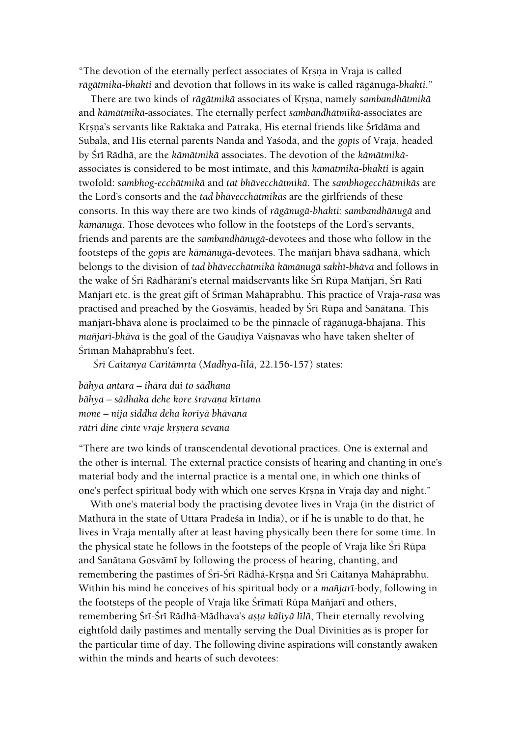"The devotion of the eternally perfect associates of Krsna in Vraja is called *rägätmika-bhakti* and devotion that follows in its wake is called rägänuga*-bhakti*."

There are two kinds of *rāgātmikā* associates of Krsna, namely *sambandhātmikā* and *kämätmikä*-associates. The eternally perfect *sambandhätmikä*-associates are Krsna's servants like Raktaka and Patraka, His eternal friends like Śrīdāma and Subala, and His eternal parents Nanda and Yaçodä, and the *gopés* of Vraja, headed by Śrī Rādhā, are the kāmātmikā associates. The devotion of the kāmātmikāassociates is considered to be most intimate, and this *kämätmikä-bhakti* is again twofold: *sambhog-ecchätmikä* and *tat bhävecchätmikä*. The *sambhogecchätmikäs* are the Lord's consorts and the *tad bhävecchätmikäs* are the girlfriends of these consorts. In this way there are two kinds of *rägänugä-bhakti: sambandhänugä* and *kämänugä*. Those devotees who follow in the footsteps of the Lord's servants, friends and parents are the *sambandhänugä*-devotees and those who follow in the footsteps of the *gopés* are *kämänugä-*devotees. The maïjaré bhäva sädhanä, which belongs to the division of *tad bhävecchätmikä kämänugä sakhé-bhäva* and follows in the wake of Śrī Rādhārāṇī's eternal maidservants like Śrī Rūpa Mañjarī, Śrī Rati Mañjarī etc. is the great gift of Śrīman Mahāprabhu. This practice of Vraja-rasa was practised and preached by the Gosvāmīs, headed by Śrī Rūpa and Sanātana. This mañjarī-bhāva alone is proclaimed to be the pinnacle of rāgānugā-bhajana. This *mañjarī-bhāva* is the goal of the Gaudīya Vaisnavas who have taken shelter of Śrīman Mahāprabhu's feet.

*Çré Caitanya Caritämåta* (*Madhya-lélä*, 22.156-157) states:

*bähya antara – ihära dui to sädhana bähya – sädhaka dehe kore çravaëa kértana mone – nija siddha deha koriyä bhävana rātri dine cinte vraje krsnera sevana* 

"There are two kinds of transcendental devotional practices. One is external and the other is internal. The external practice consists of hearing and chanting in one's material body and the internal practice is a mental one, in which one thinks of one's perfect spiritual body with which one serves Krsna in Vraja day and night."

With one's material body the practising devotee lives in Vraja (in the district of Mathurä in the state of Uttara Pradeça in India), or if he is unable to do that, he lives in Vraja mentally after at least having physically been there for some time. In the physical state he follows in the footsteps of the people of Vraja like Śrī Rūpa and Sanātana Gosvāmī by following the process of hearing, chanting, and remembering the pastimes of Śrī-Śrī Rādhā-Krṣṇa and Śrī Caitanya Mahāprabhu. Within his mind he conceives of his spiritual body or a *maïjaré*-body, following in the footsteps of the people of Vraja like Śrīmatī Rūpa Mañjarī and others, remembering Śrī-Śrī Rādhā-Mādhava's așța kāliyā līlā, Their eternally revolving eightfold daily pastimes and mentally serving the Dual Divinities as is proper for the particular time of day. The following divine aspirations will constantly awaken within the minds and hearts of such devotees: